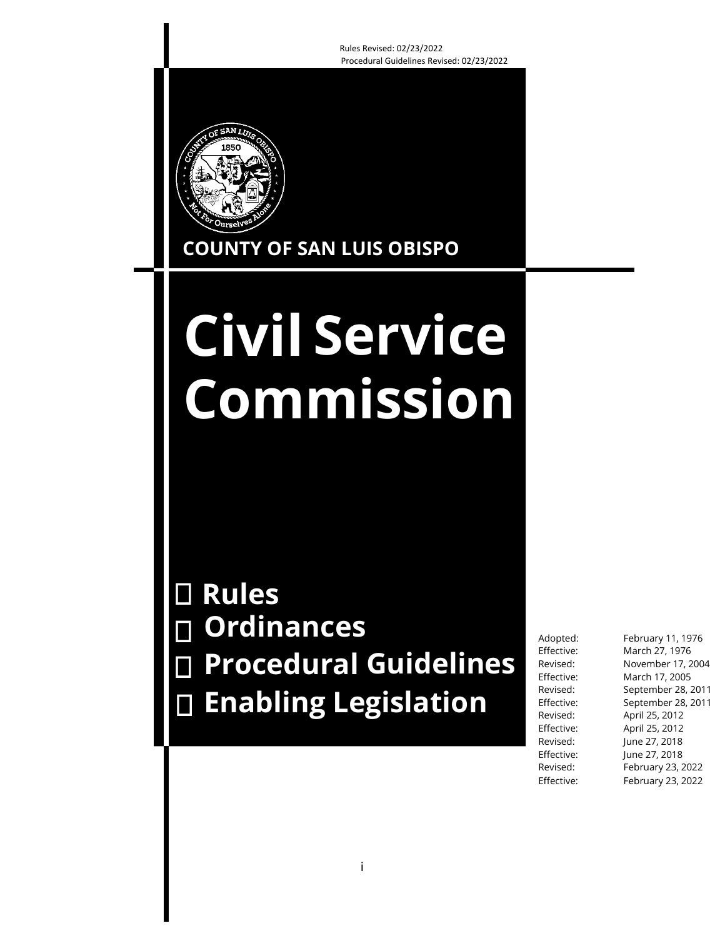Rules Revised: 02/23/2022 Procedural Guidelines Revised: 02/23/2022



**COUNTY OF SAN LUIS OBISPO**

# **Civil Service Commission**

**Rules Ordinances Procedural Guidelines Enabling Legislation**

Adopted: February 11, 1976 Effective: March 27, 1976 Revised: November 17, 2004 Effective: March 17, 2005 Revised: September 28, 2011 Effective: September 28, 2011 Revised: April 25, 2012 Effective: April 25, 2012 Revised: June 27, 2018 Effective: June 27, 2018 Revised: February 23, 2022 Effective: February 23, 2022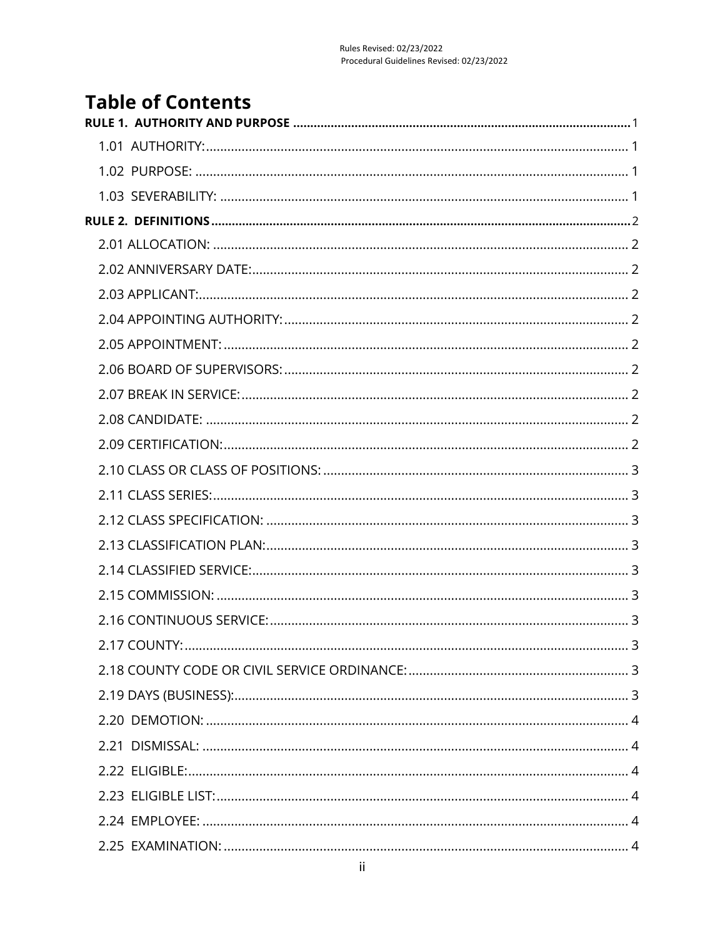# **Table of Contents**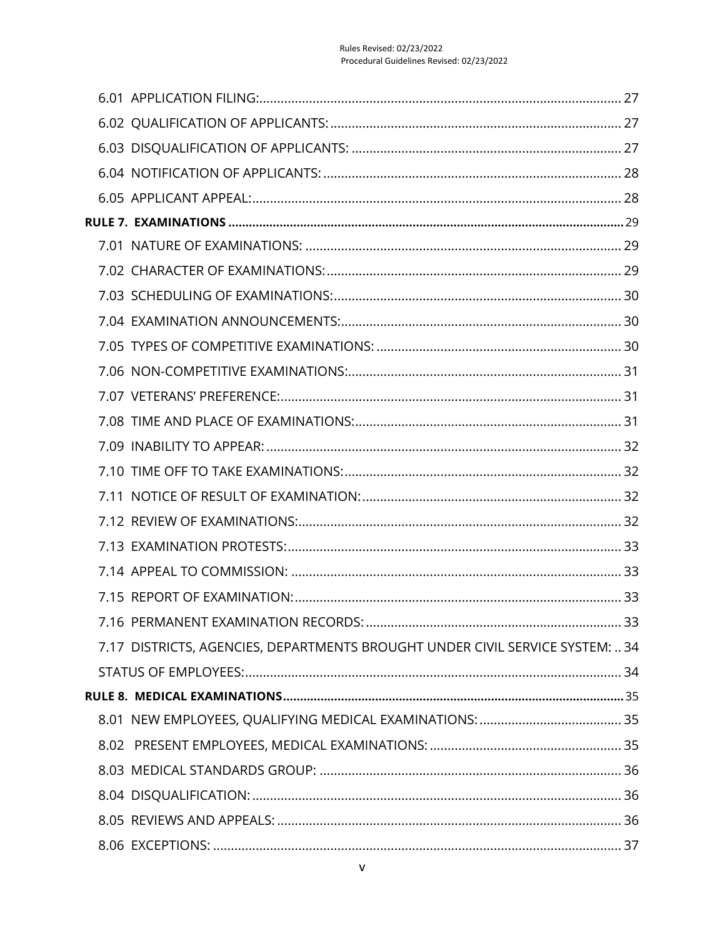| 7.17 DISTRICTS, AGENCIES, DEPARTMENTS BROUGHT UNDER CIVIL SERVICE SYSTEM:  34 |
|-------------------------------------------------------------------------------|
|                                                                               |
|                                                                               |
|                                                                               |
|                                                                               |
|                                                                               |
|                                                                               |
|                                                                               |
|                                                                               |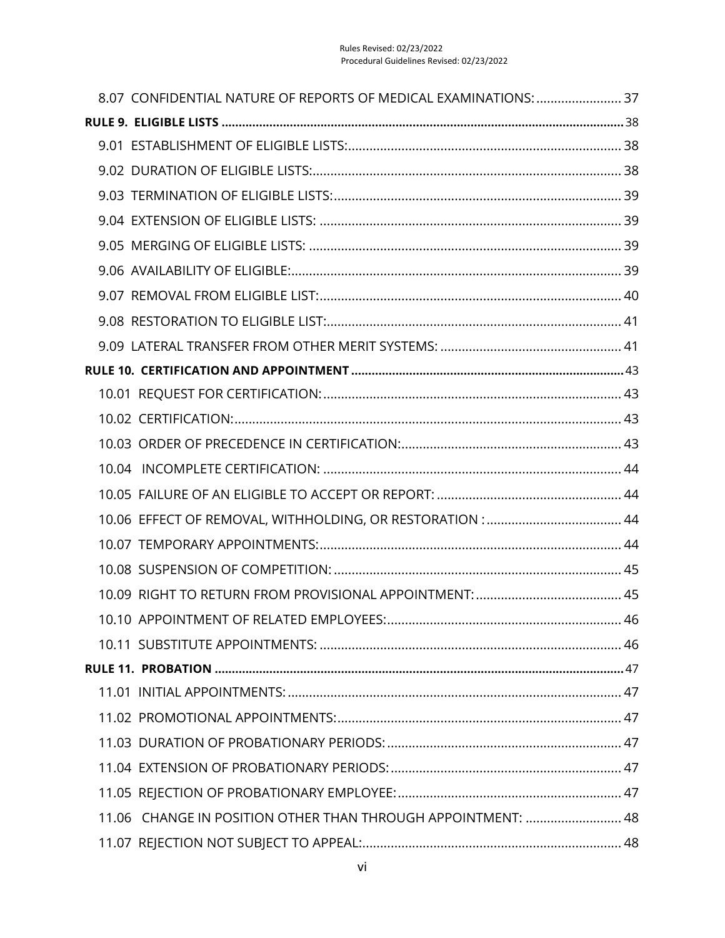| 8.07 CONFIDENTIAL NATURE OF REPORTS OF MEDICAL EXAMINATIONS:  37 |  |
|------------------------------------------------------------------|--|
|                                                                  |  |
|                                                                  |  |
|                                                                  |  |
|                                                                  |  |
|                                                                  |  |
|                                                                  |  |
|                                                                  |  |
|                                                                  |  |
|                                                                  |  |
|                                                                  |  |
|                                                                  |  |
|                                                                  |  |
|                                                                  |  |
|                                                                  |  |
|                                                                  |  |
|                                                                  |  |
|                                                                  |  |
|                                                                  |  |
|                                                                  |  |
|                                                                  |  |
|                                                                  |  |
|                                                                  |  |
|                                                                  |  |
|                                                                  |  |
|                                                                  |  |
|                                                                  |  |
|                                                                  |  |
|                                                                  |  |
| 11.06 CHANGE IN POSITION OTHER THAN THROUGH APPOINTMENT:  48     |  |
|                                                                  |  |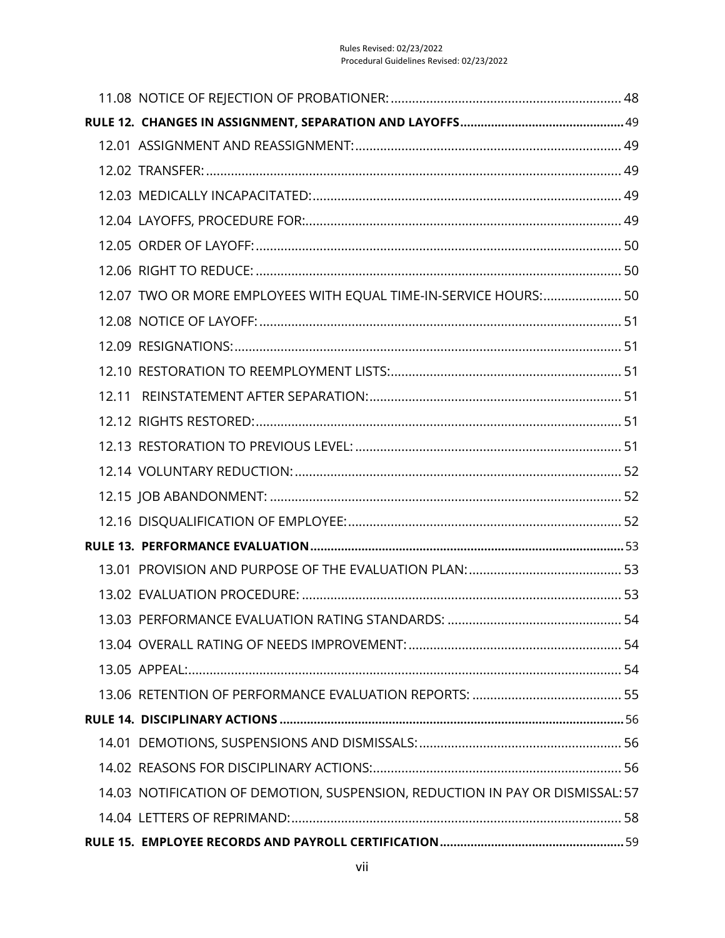| 12.07 TWO OR MORE EMPLOYEES WITH EQUAL TIME-IN-SERVICE HOURS: 50              |
|-------------------------------------------------------------------------------|
|                                                                               |
|                                                                               |
|                                                                               |
|                                                                               |
|                                                                               |
|                                                                               |
|                                                                               |
|                                                                               |
|                                                                               |
|                                                                               |
|                                                                               |
|                                                                               |
|                                                                               |
|                                                                               |
|                                                                               |
|                                                                               |
|                                                                               |
|                                                                               |
|                                                                               |
| 14.03 NOTIFICATION OF DEMOTION, SUSPENSION, REDUCTION IN PAY OR DISMISSAL: 57 |
|                                                                               |
|                                                                               |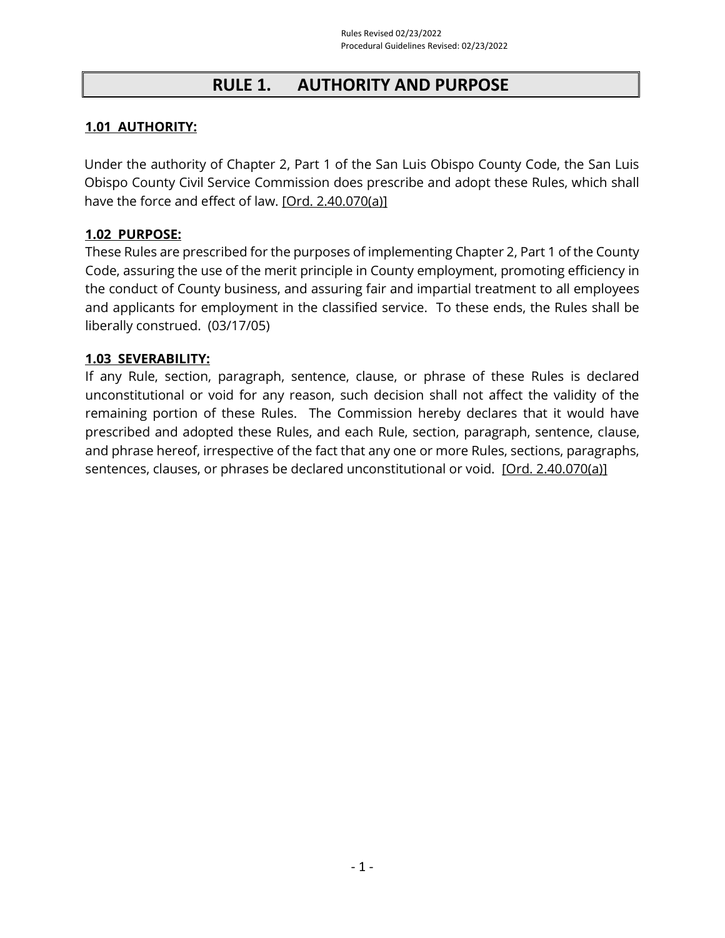# **RULE 1. AUTHORITY AND PURPOSE**

## <span id="page-8-1"></span><span id="page-8-0"></span>**1.01 AUTHORITY:**

Under the authority of Chapter 2, Part 1 of the San Luis Obispo County Code, the San Luis Obispo County Civil Service Commission does prescribe and adopt these Rules, which shall have the force and effect of law. [\[Ord. 2.40.070\(a\)\]](https://library.municode.com/ca/san_luis_obispo_county/codes/county_code?nodeId=TIT2ADPE_CH2.40CISESY_2.40.110DIPR)

## <span id="page-8-2"></span>**1.02 PURPOSE:**

These Rules are prescribed for the purposes of implementing Chapter 2, Part 1 of the County Code, assuring the use of the merit principle in County employment, promoting efficiency in the conduct of County business, and assuring fair and impartial treatment to all employees and applicants for employment in the classified service. To these ends, the Rules shall be liberally construed. (03/17/05)

#### <span id="page-8-3"></span>**1.03 SEVERABILITY:**

If any Rule, section, paragraph, sentence, clause, or phrase of these Rules is declared unconstitutional or void for any reason, such decision shall not affect the validity of the remaining portion of these Rules. The Commission hereby declares that it would have prescribed and adopted these Rules, and each Rule, section, paragraph, sentence, clause, and phrase hereof, irrespective of the fact that any one or more Rules, sections, paragraphs, sentences, clauses, or phrases be declared unconstitutional or void. [\[Ord. 2.40.070\(a\)\]](https://library.municode.com/ca/san_luis_obispo_county/codes/county_code?nodeId=TIT2ADPE_CH2.40CISESY_2.40.110DIPR)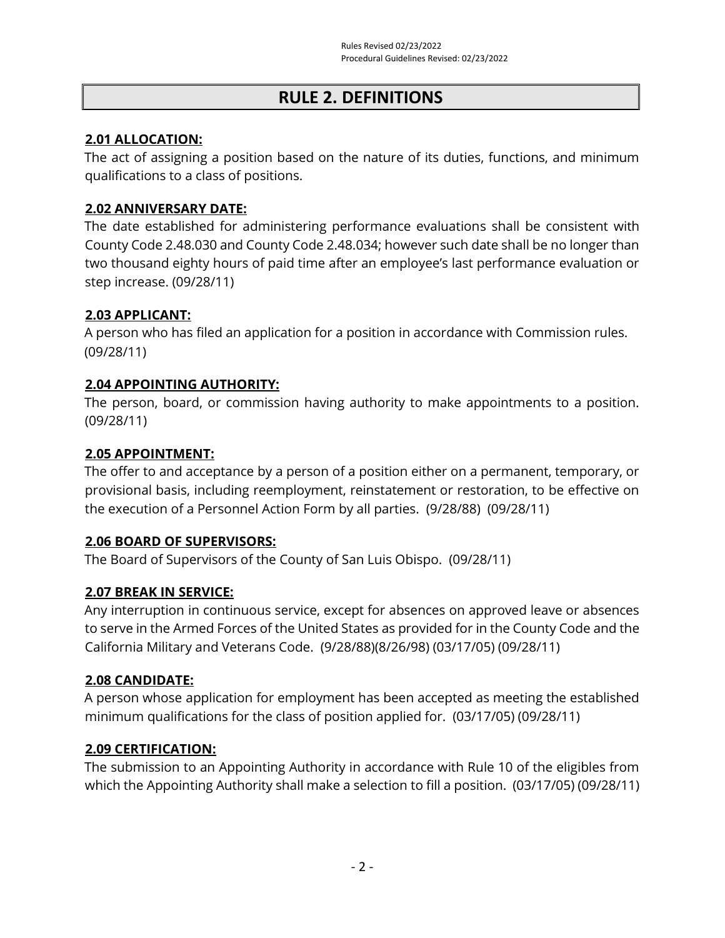# **RULE 2. DEFINITIONS**

## <span id="page-9-1"></span><span id="page-9-0"></span>**2.01 ALLOCATION:**

The act of assigning a position based on the nature of its duties, functions, and minimum qualifications to a class of positions.

## <span id="page-9-2"></span>**2.02 ANNIVERSARY DATE:**

The date established for administering performance evaluations shall be consistent with County Code 2.48.030 and County Code 2.48.034; however such date shall be no longer than two thousand eighty hours of paid time after an employee's last performance evaluation or step increase. (09/28/11)

## <span id="page-9-3"></span>**2.03 APPLICANT:**

A person who has filed an application for a position in accordance with Commission rules. (09/28/11)

## <span id="page-9-4"></span>**2.04 APPOINTING AUTHORITY:**

The person, board, or commission having authority to make appointments to a position. (09/28/11)

## <span id="page-9-5"></span>**2.05 APPOINTMENT:**

The offer to and acceptance by a person of a position either on a permanent, temporary, or provisional basis, including reemployment, reinstatement or restoration, to be effective on the execution of a Personnel Action Form by all parties. (9/28/88) (09/28/11)

## <span id="page-9-6"></span>**2.06 BOARD OF SUPERVISORS:**

The Board of Supervisors of the County of San Luis Obispo. (09/28/11)

## <span id="page-9-7"></span>**2.07 BREAK IN SERVICE:**

Any interruption in continuous service, except for absences on approved leave or absences to serve in the Armed Forces of the United States as provided for in the County Code and the California Military and Veterans Code. (9/28/88)(8/26/98) (03/17/05) (09/28/11)

## <span id="page-9-8"></span>**2.08 CANDIDATE:**

A person whose application for employment has been accepted as meeting the established minimum qualifications for the class of position applied for. (03/17/05) (09/28/11)

## <span id="page-9-9"></span>**2.09 CERTIFICATION:**

The submission to an Appointing Authority in accordance with Rule 10 of the eligibles from which the Appointing Authority shall make a selection to fill a position. (03/17/05) (09/28/11)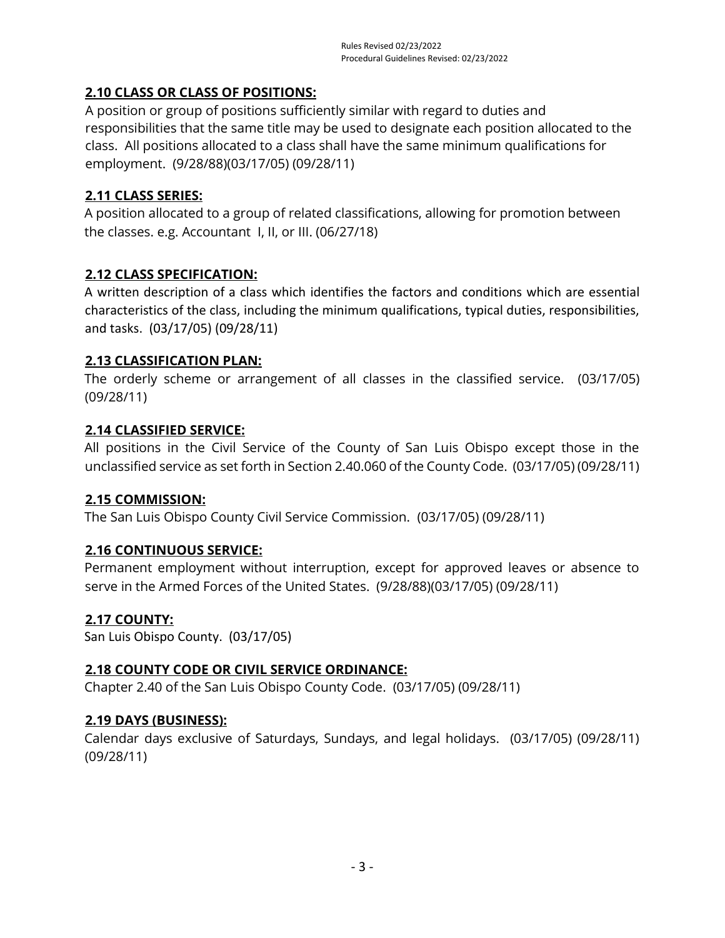## <span id="page-10-0"></span>**2.10 CLASS OR CLASS OF POSITIONS:**

A position or group of positions sufficiently similar with regard to duties and responsibilities that the same title may be used to designate each position allocated to the class. All positions allocated to a class shall have the same minimum qualifications for employment. (9/28/88)(03/17/05) (09/28/11)

## <span id="page-10-1"></span>**2.11 CLASS SERIES:**

A position allocated to a group of related classifications, allowing for promotion between the classes. e.g. Accountant I, II, or III. (06/27/18)

## <span id="page-10-2"></span>**2.12 CLASS SPECIFICATION:**

A written description of a class which identifies the factors and conditions which are essential characteristics of the class, including the minimum qualifications, typical duties, responsibilities, and tasks. (03/17/05) (09/28/11)

## <span id="page-10-3"></span>**2.13 CLASSIFICATION PLAN:**

The orderly scheme or arrangement of all classes in the classified service. (03/17/05) (09/28/11)

## <span id="page-10-4"></span>**2.14 CLASSIFIED SERVICE:**

All positions in the Civil Service of the County of San Luis Obispo except those in the unclassified service as set forth in Section 2.40.060 of the County Code. (03/17/05) (09/28/11)

## <span id="page-10-5"></span>**2.15 COMMISSION:**

The San Luis Obispo County Civil Service Commission. (03/17/05) (09/28/11)

## <span id="page-10-6"></span>**2.16 CONTINUOUS SERVICE:**

Permanent employment without interruption, except for approved leaves or absence to serve in the Armed Forces of the United States. (9/28/88)(03/17/05) (09/28/11)

## <span id="page-10-7"></span>**2.17 COUNTY:**

San Luis Obispo County. (03/17/05)

## <span id="page-10-8"></span>**2.18 COUNTY CODE OR CIVIL SERVICE ORDINANCE:**

Chapter 2.40 of the San Luis Obispo County Code. (03/17/05) (09/28/11)

## <span id="page-10-9"></span>**2.19 DAYS (BUSINESS):**

Calendar days exclusive of Saturdays, Sundays, and legal holidays. (03/17/05) (09/28/11) (09/28/11)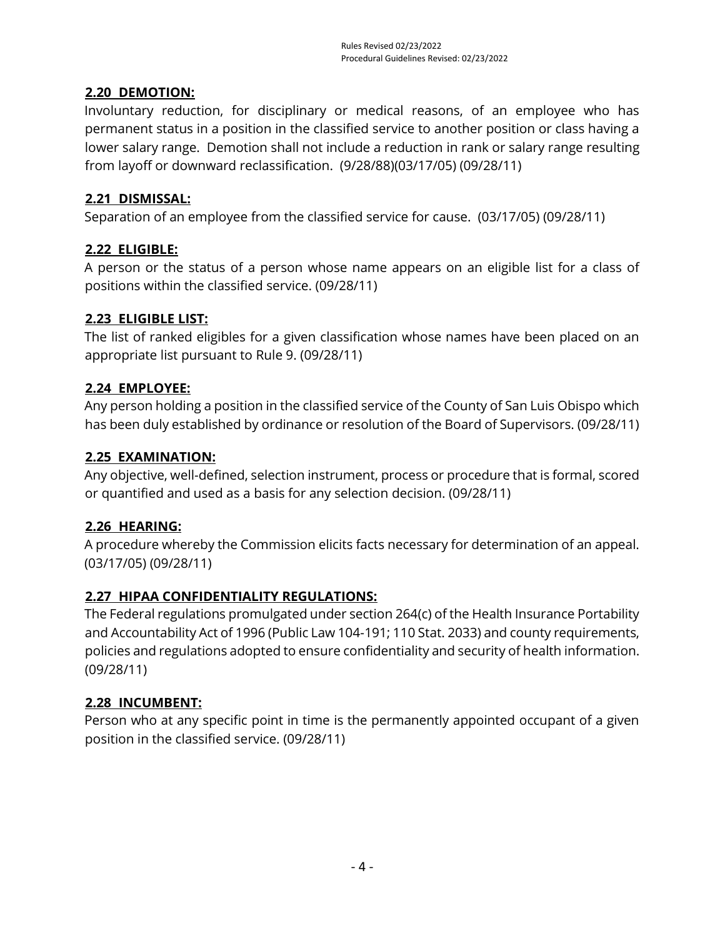## <span id="page-11-0"></span>**2.20 DEMOTION:**

Involuntary reduction, for disciplinary or medical reasons, of an employee who has permanent status in a position in the classified service to another position or class having a lower salary range. Demotion shall not include a reduction in rank or salary range resulting from layoff or downward reclassification. (9/28/88)(03/17/05) (09/28/11)

## <span id="page-11-1"></span>**2.21 DISMISSAL:**

Separation of an employee from the classified service for cause. (03/17/05) (09/28/11)

## <span id="page-11-2"></span>**2.22 ELIGIBLE:**

A person or the status of a person whose name appears on an eligible list for a class of positions within the classified service. (09/28/11)

## <span id="page-11-3"></span>**2.23 ELIGIBLE LIST:**

The list of ranked eligibles for a given classification whose names have been placed on an appropriate list pursuant to Rule 9. (09/28/11)

## <span id="page-11-4"></span>**2.24 EMPLOYEE:**

Any person holding a position in the classified service of the County of San Luis Obispo which has been duly established by ordinance or resolution of the Board of Supervisors. (09/28/11)

## <span id="page-11-5"></span>**2.25 EXAMINATION:**

Any objective, well-defined, selection instrument, process or procedure that is formal, scored or quantified and used as a basis for any selection decision. (09/28/11)

## <span id="page-11-6"></span>**2.26 HEARING:**

A procedure whereby the Commission elicits facts necessary for determination of an appeal. (03/17/05) (09/28/11)

## <span id="page-11-7"></span>**2.27 HIPAA CONFIDENTIALITY REGULATIONS:**

The Federal regulations promulgated under section 264(c) of the Health Insurance Portability and Accountability Act of 1996 (Public Law 104-191; 110 Stat. 2033) and county requirements, policies and regulations adopted to ensure confidentiality and security of health information. (09/28/11)

## <span id="page-11-8"></span>**2.28 INCUMBENT:**

Person who at any specific point in time is the permanently appointed occupant of a given position in the classified service. (09/28/11)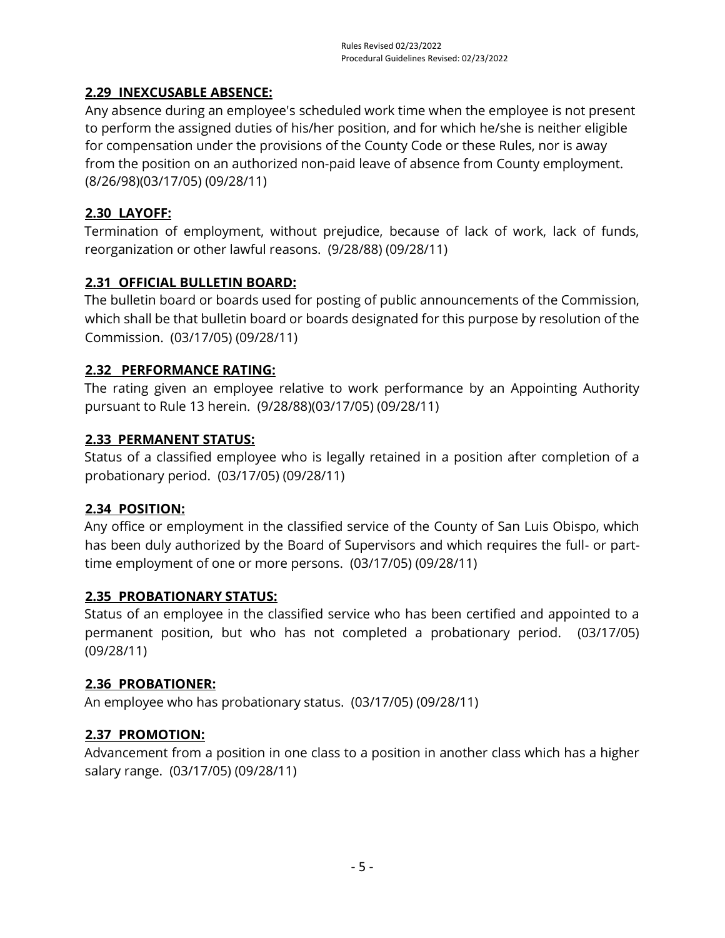## <span id="page-12-0"></span>**2.29 INEXCUSABLE ABSENCE:**

Any absence during an employee's scheduled work time when the employee is not present to perform the assigned duties of his/her position, and for which he/she is neither eligible for compensation under the provisions of the County Code or these Rules, nor is away from the position on an authorized non-paid leave of absence from County employment. (8/26/98)(03/17/05) (09/28/11)

## <span id="page-12-1"></span>**2.30 LAYOFF:**

Termination of employment, without prejudice, because of lack of work, lack of funds, reorganization or other lawful reasons. (9/28/88) (09/28/11)

## <span id="page-12-2"></span>**2.31 OFFICIAL BULLETIN BOARD:**

The bulletin board or boards used for posting of public announcements of the Commission, which shall be that bulletin board or boards designated for this purpose by resolution of the Commission. (03/17/05) (09/28/11)

## <span id="page-12-3"></span>**2.32 PERFORMANCE RATING:**

The rating given an employee relative to work performance by an Appointing Authority pursuant to Rule 13 herein. (9/28/88)(03/17/05) (09/28/11)

## <span id="page-12-4"></span>**2.33 PERMANENT STATUS:**

Status of a classified employee who is legally retained in a position after completion of a probationary period. (03/17/05) (09/28/11)

## <span id="page-12-5"></span>**2.34 POSITION:**

Any office or employment in the classified service of the County of San Luis Obispo, which has been duly authorized by the Board of Supervisors and which requires the full- or parttime employment of one or more persons. (03/17/05) (09/28/11)

## <span id="page-12-6"></span>**2.35 PROBATIONARY STATUS:**

Status of an employee in the classified service who has been certified and appointed to a permanent position, but who has not completed a probationary period. (03/17/05) (09/28/11)

## <span id="page-12-7"></span>**2.36 PROBATIONER:**

An employee who has probationary status. (03/17/05) (09/28/11)

## <span id="page-12-8"></span>**2.37 PROMOTION:**

Advancement from a position in one class to a position in another class which has a higher salary range. (03/17/05) (09/28/11)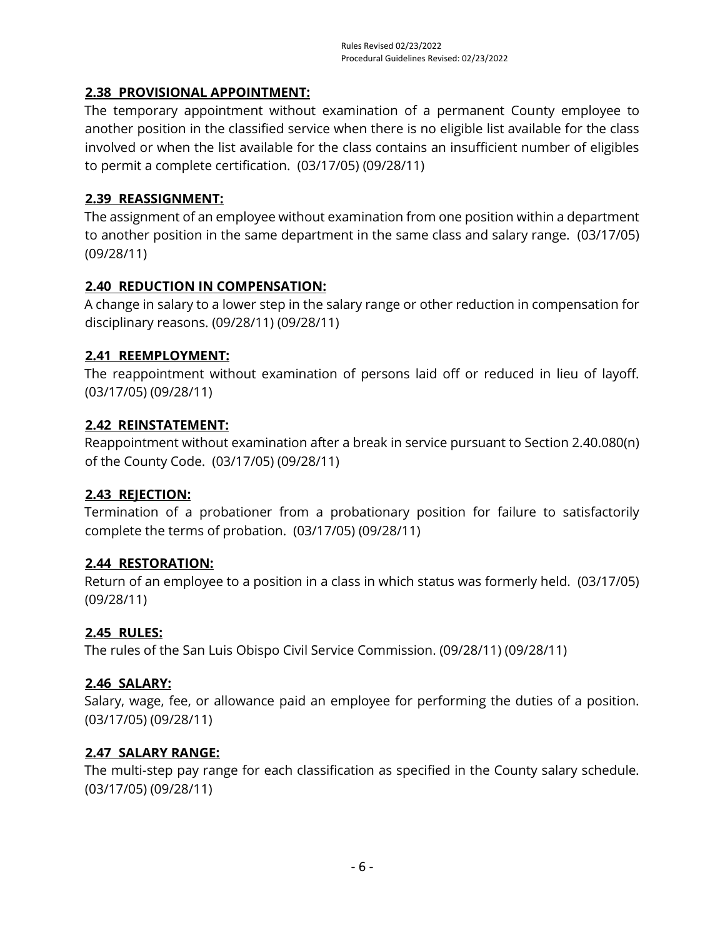## <span id="page-13-0"></span>**2.38 PROVISIONAL APPOINTMENT:**

The temporary appointment without examination of a permanent County employee to another position in the classified service when there is no eligible list available for the class involved or when the list available for the class contains an insufficient number of eligibles to permit a complete certification. (03/17/05) (09/28/11)

## <span id="page-13-1"></span>**2.39 REASSIGNMENT:**

The assignment of an employee without examination from one position within a department to another position in the same department in the same class and salary range. (03/17/05) (09/28/11)

## <span id="page-13-2"></span>**2.40 REDUCTION IN COMPENSATION:**

A change in salary to a lower step in the salary range or other reduction in compensation for disciplinary reasons. (09/28/11) (09/28/11)

## <span id="page-13-3"></span>**2.41 REEMPLOYMENT:**

The reappointment without examination of persons laid off or reduced in lieu of layoff. (03/17/05) (09/28/11)

## <span id="page-13-4"></span>**2.42 REINSTATEMENT:**

Reappointment without examination after a break in service pursuant to Section 2.40.080(n) of the County Code. (03/17/05) (09/28/11)

## <span id="page-13-5"></span>**2.43 REJECTION:**

Termination of a probationer from a probationary position for failure to satisfactorily complete the terms of probation. (03/17/05) (09/28/11)

## <span id="page-13-6"></span>**2.44 RESTORATION:**

Return of an employee to a position in a class in which status was formerly held. (03/17/05) (09/28/11)

## <span id="page-13-7"></span>**2.45 RULES:**

The rules of the San Luis Obispo Civil Service Commission. (09/28/11) (09/28/11)

## <span id="page-13-8"></span>**2.46 SALARY:**

Salary, wage, fee, or allowance paid an employee for performing the duties of a position. (03/17/05) (09/28/11)

## <span id="page-13-9"></span>**2.47 SALARY RANGE:**

The multi-step pay range for each classification as specified in the County salary schedule. (03/17/05) (09/28/11)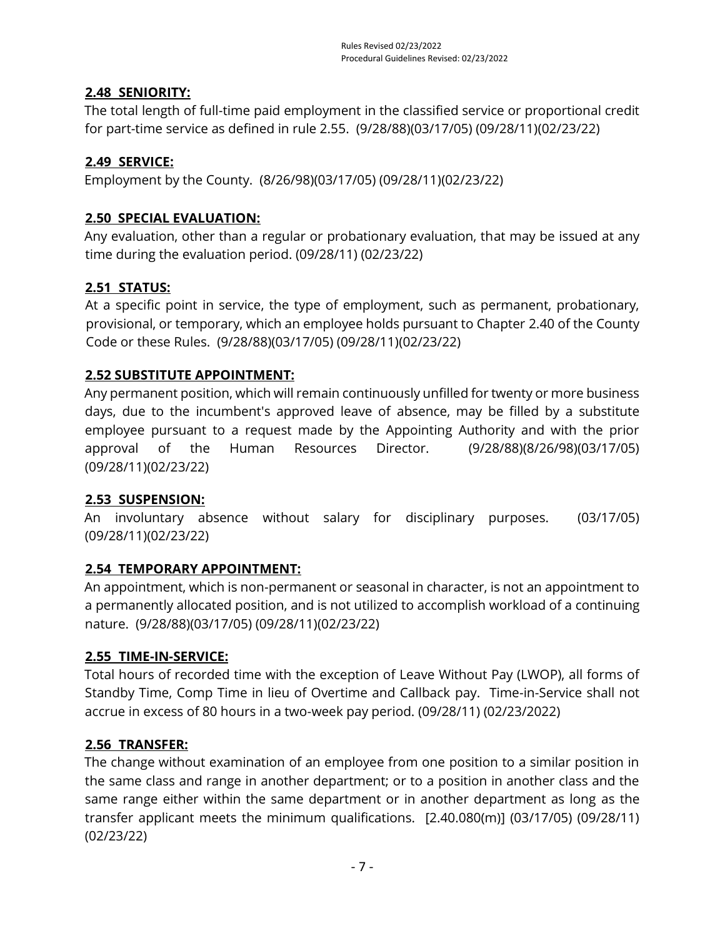## <span id="page-14-0"></span>**2.48 SENIORITY:**

The total length of full-time paid employment in the classified service or proportional credit for part-time service as defined in rule 2.55. (9/28/88)(03/17/05) (09/28/11)(02/23/22)

## <span id="page-14-1"></span>**2.49 SERVICE:**

<span id="page-14-2"></span>Employment by the County. (8/26/98)(03/17/05) (09/28/11)(02/23/22)

## **2.50 SPECIAL EVALUATION:**

Any evaluation, other than a regular or probationary evaluation, that may be issued at any time during the evaluation period. (09/28/11) (02/23/22)

## **2.51 STATUS:**

At a specific point in service, the type of employment, such as permanent, probationary, provisional, or temporary, which an employee holds pursuant to Chapter 2.40 of the County Code or these Rules. (9/28/88)(03/17/05) (09/28/11)(02/23/22)

## <span id="page-14-3"></span>**2.52 SUBSTITUTE APPOINTMENT:**

Any permanent position, which will remain continuously unfilled for twenty or more business days, due to the incumbent's approved leave of absence, may be filled by a substitute employee pursuant to a request made by the Appointing Authority and with the prior approval of the Human Resources Director. (9/28/88)(8/26/98)(03/17/05) (09/28/11)(02/23/22)

## <span id="page-14-4"></span>**2.53 SUSPENSION:**

An involuntary absence without salary for disciplinary purposes. (03/17/05) (09/28/11)(02/23/22)

## <span id="page-14-5"></span>**2.54 TEMPORARY APPOINTMENT:**

An appointment, which is non-permanent or seasonal in character, is not an appointment to a permanently allocated position, and is not utilized to accomplish workload of a continuing nature. (9/28/88)(03/17/05) (09/28/11)(02/23/22)

## <span id="page-14-6"></span>**2.55 TIME-IN-SERVICE:**

Total hours of recorded time with the exception of Leave Without Pay (LWOP), all forms of Standby Time, Comp Time in lieu of Overtime and Callback pay. Time-in-Service shall not accrue in excess of 80 hours in a two-week pay period. (09/28/11) (02/23/2022)

## <span id="page-14-7"></span>**2.56 TRANSFER:**

The change without examination of an employee from one position to a similar position in the same class and range in another department; or to a position in another class and the same range either within the same department or in another department as long as the transfer applicant meets the minimum qualifications. [2.40.080(m)] (03/17/05) (09/28/11) (02/23/22)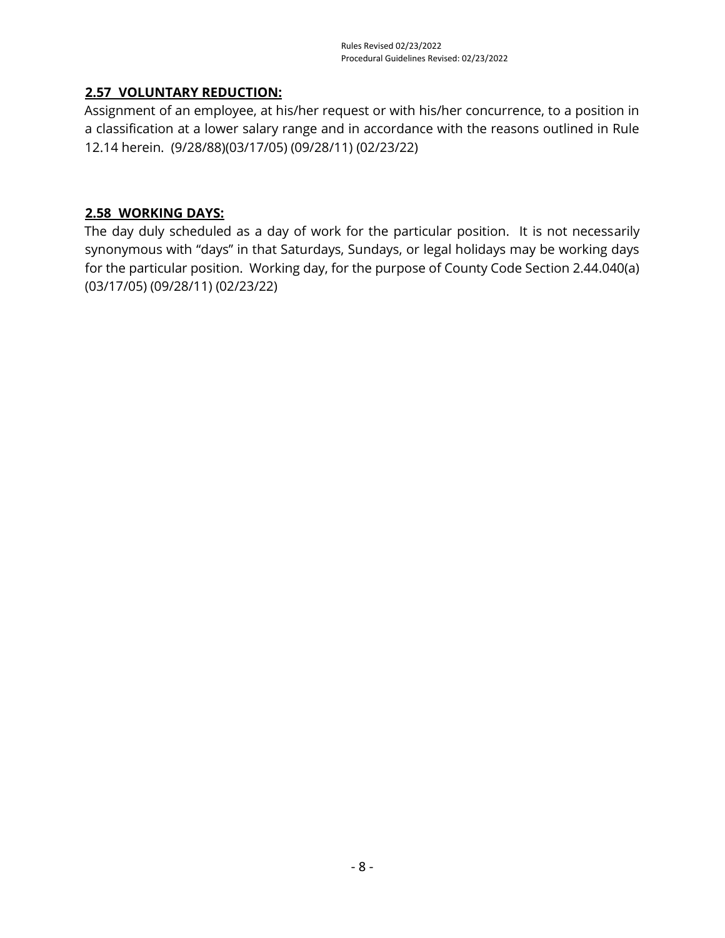## <span id="page-15-0"></span>**2.57 VOLUNTARY REDUCTION:**

Assignment of an employee, at his/her request or with his/her concurrence, to a position in a classification at a lower salary range and in accordance with the reasons outlined in Rule 12.14 herein. (9/28/88)(03/17/05) (09/28/11) (02/23/22)

#### <span id="page-15-1"></span>**2.58 WORKING DAYS:**

The day duly scheduled as a day of work for the particular position. It is not necessarily synonymous with "days" in that Saturdays, Sundays, or legal holidays may be working days for the particular position. Working day, for the purpose of County Code Section 2.44.040(a) (03/17/05) (09/28/11) (02/23/22)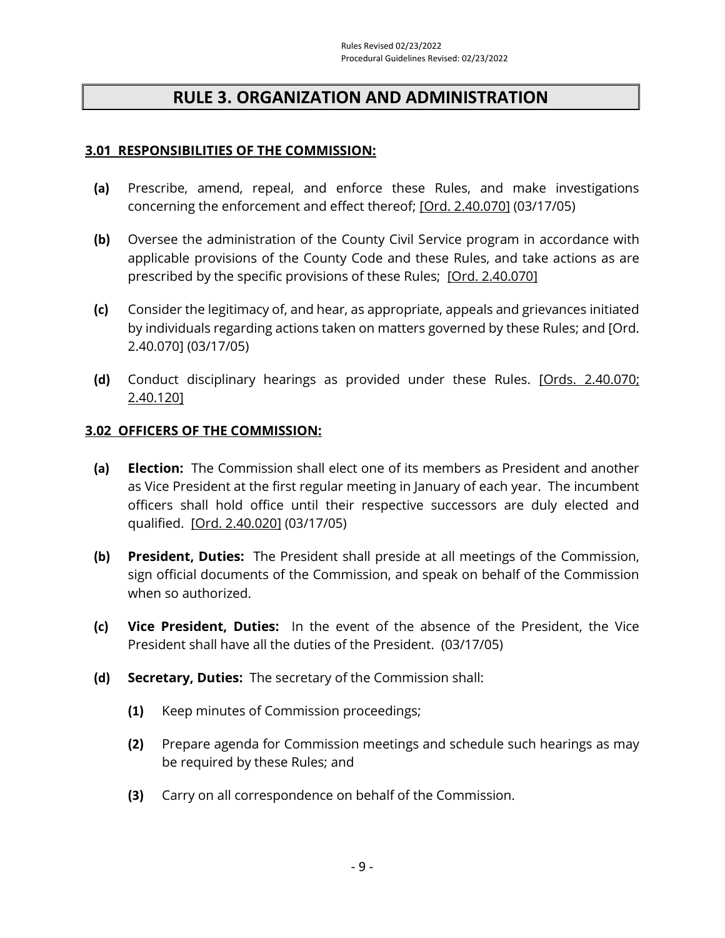## **RULE 3. ORGANIZATION AND ADMINISTRATION**

#### <span id="page-16-1"></span><span id="page-16-0"></span>**3.01 RESPONSIBILITIES OF THE COMMISSION:**

- **(a)** Prescribe, amend, repeal, and enforce these Rules, and make investigations concerning the enforcement and effect thereof; [Ord. [2.40.070\]](https://library.municode.com/ca/san_luis_obispo_county/codes/county_code?nodeId=TIT2ADPE_CH2.40CISESY_2.40.110DIPR) (03/17/05)
- **(b)** Oversee the administration of the County Civil Service program in accordance with applicable provisions of the County Code and these Rules, and take actions as are prescribed by the specific provisions of these Rules; [\[Ord. 2.40.070\]](https://library.municode.com/ca/san_luis_obispo_county/codes/county_code?nodeId=TIT2ADPE_CH2.40CISESY_2.40.070DUCOPEDI)
- **(c)** Consider the legitimacy of, and hear, as appropriate, appeals and grievances initiated by individuals regarding actions taken on matters governed by these Rules; and [Ord. 2.40.070] (03/17/05)
- **(d)** Conduct disciplinary hearings as provided under these Rules. [\[Ords. 2.40.070;](https://library.municode.com/ca/san_luis_obispo_county/codes/county_code?nodeId=TIT2ADPE_CH2.40CISESY_2.40.070DUCOPEDI)  [2.40.120\]](https://library.municode.com/ca/san_luis_obispo_county/codes/county_code?nodeId=TIT2ADPE_CH2.40CISESY_2.40.070DUCOPEDI)

#### <span id="page-16-2"></span>**3.02 OFFICERS OF THE COMMISSION:**

- **(a) Election:** The Commission shall elect one of its members as President and another as Vice President at the first regular meeting in January of each year. The incumbent officers shall hold office until their respective successors are duly elected and qualified. [\[Ord. 2.40.020\]](https://library.municode.com/ca/san_luis_obispo_county/codes/county_code?nodeId=TIT2ADPE_CH2.40CISESY_2.40.070DUCOPEDI) (03/17/05)
- **(b) President, Duties:** The President shall preside at all meetings of the Commission, sign official documents of the Commission, and speak on behalf of the Commission when so authorized.
- **(c) Vice President, Duties:** In the event of the absence of the President, the Vice President shall have all the duties of the President. (03/17/05)
- **(d) Secretary, Duties:** The secretary of the Commission shall:
	- **(1)** Keep minutes of Commission proceedings;
	- **(2)** Prepare agenda for Commission meetings and schedule such hearings as may be required by these Rules; and
	- **(3)** Carry on all correspondence on behalf of the Commission.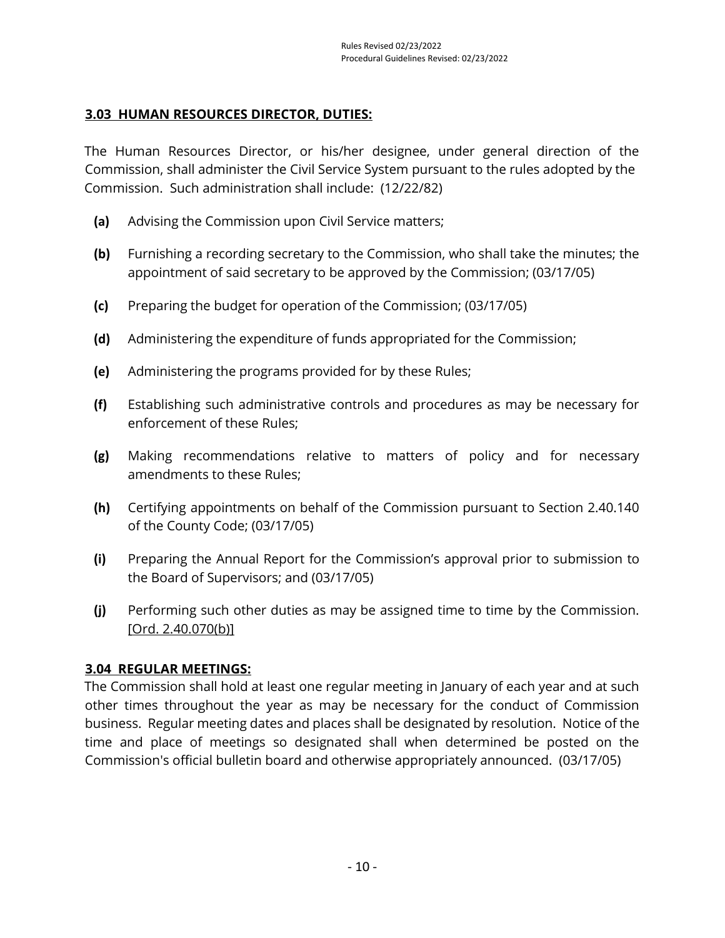## <span id="page-17-0"></span>**3.03 HUMAN RESOURCES DIRECTOR, DUTIES:**

The Human Resources Director, or his/her designee, under general direction of the Commission, shall administer the Civil Service System pursuant to the rules adopted by the Commission. Such administration shall include: (12/22/82)

- **(a)** Advising the Commission upon Civil Service matters;
- **(b)** Furnishing a recording secretary to the Commission, who shall take the minutes; the appointment of said secretary to be approved by the Commission; (03/17/05)
- **(c)** Preparing the budget for operation of the Commission; (03/17/05)
- **(d)** Administering the expenditure of funds appropriated for the Commission;
- **(e)** Administering the programs provided for by these Rules;
- **(f)** Establishing such administrative controls and procedures as may be necessary for enforcement of these Rules;
- **(g)** Making recommendations relative to matters of policy and for necessary amendments to these Rules;
- **(h)** Certifying appointments on behalf of the Commission pursuant to Section 2.40.140 of the County Code; (03/17/05)
- **(i)** Preparing the Annual Report for the Commission's approval prior to submission to the Board of Supervisors; and (03/17/05)
- **(j)** Performing such other duties as may be assigned time to time by the Commission. [\[Ord. 2.40.070\(b\)\]](https://library.municode.com/ca/san_luis_obispo_county/codes/county_code?nodeId=TIT2ADPE_CH2.40CISESY_2.40.070DUCOPEDI)

## <span id="page-17-1"></span>**3.04 REGULAR MEETINGS:**

The Commission shall hold at least one regular meeting in January of each year and at such other times throughout the year as may be necessary for the conduct of Commission business. Regular meeting dates and places shall be designated by resolution. Notice of the time and place of meetings so designated shall when determined be posted on the Commission's official bulletin board and otherwise appropriately announced. (03/17/05)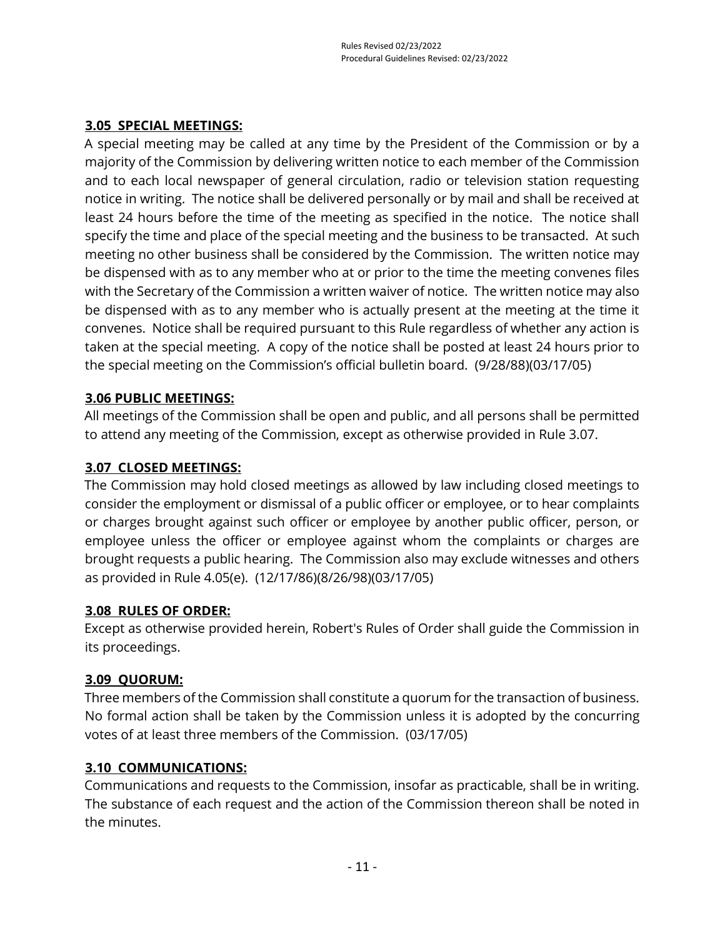## <span id="page-18-0"></span>**3.05 SPECIAL MEETINGS:**

A special meeting may be called at any time by the President of the Commission or by a majority of the Commission by delivering written notice to each member of the Commission and to each local newspaper of general circulation, radio or television station requesting notice in writing. The notice shall be delivered personally or by mail and shall be received at least 24 hours before the time of the meeting as specified in the notice. The notice shall specify the time and place of the special meeting and the business to be transacted. At such meeting no other business shall be considered by the Commission. The written notice may be dispensed with as to any member who at or prior to the time the meeting convenes files with the Secretary of the Commission a written waiver of notice. The written notice may also be dispensed with as to any member who is actually present at the meeting at the time it convenes. Notice shall be required pursuant to this Rule regardless of whether any action is taken at the special meeting. A copy of the notice shall be posted at least 24 hours prior to the special meeting on the Commission's official bulletin board. (9/28/88)(03/17/05)

## <span id="page-18-1"></span>**3.06 PUBLIC MEETINGS:**

All meetings of the Commission shall be open and public, and all persons shall be permitted to attend any meeting of the Commission, except as otherwise provided in Rule 3.07.

## <span id="page-18-2"></span>**3.07 CLOSED MEETINGS:**

The Commission may hold closed meetings as allowed by law including closed meetings to consider the employment or dismissal of a public officer or employee, or to hear complaints or charges brought against such officer or employee by another public officer, person, or employee unless the officer or employee against whom the complaints or charges are brought requests a public hearing. The Commission also may exclude witnesses and others as provided in Rule 4.05(e). (12/17/86)(8/26/98)(03/17/05)

## <span id="page-18-3"></span>**3.08 RULES OF ORDER:**

Except as otherwise provided herein, Robert's Rules of Order shall guide the Commission in its proceedings.

## <span id="page-18-4"></span>**3.09 QUORUM:**

Three members of the Commission shall constitute a quorum for the transaction of business. No formal action shall be taken by the Commission unless it is adopted by the concurring votes of at least three members of the Commission. (03/17/05)

## <span id="page-18-5"></span>**3.10 COMMUNICATIONS:**

Communications and requests to the Commission, insofar as practicable, shall be in writing. The substance of each request and the action of the Commission thereon shall be noted in the minutes.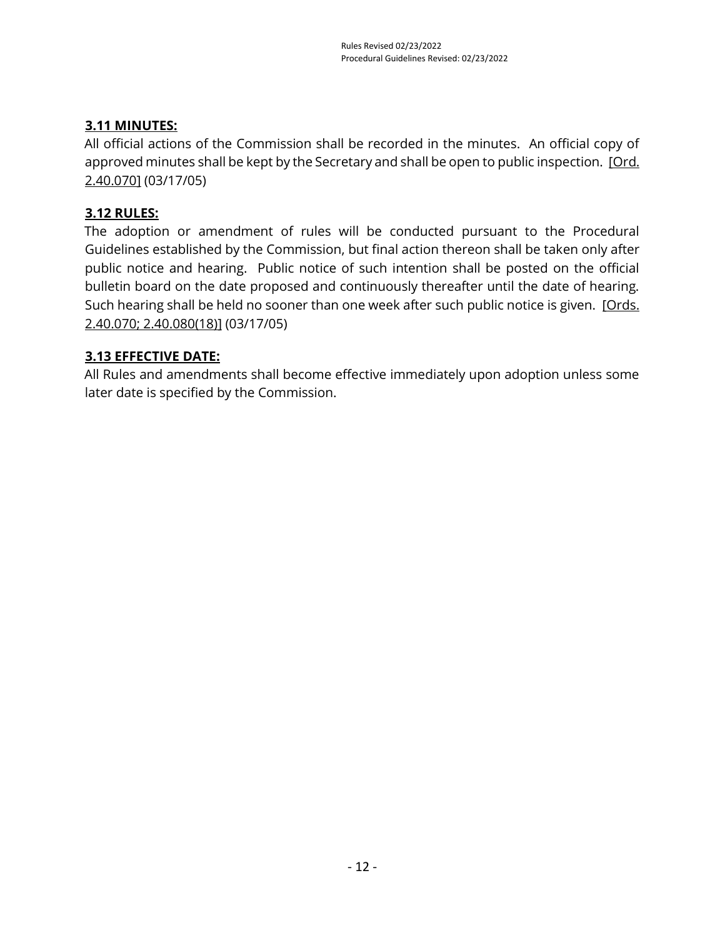## <span id="page-19-0"></span>**3.11 MINUTES:**

All official actions of the Commission shall be recorded in the minutes. An official copy of approved minutes shall be kept by the Secretary and shall be open to public inspection. [Ord. [2.40.070\]](https://library.municode.com/ca/san_luis_obispo_county/codes/county_code?nodeId=TIT2ADPE_CH2.40CISESY_2.40.070DUCOPEDI) (03/17/05)

## <span id="page-19-1"></span>**3.12 RULES:**

The adoption or amendment of rules will be conducted pursuant to the Procedural Guidelines established by the Commission, but final action thereon shall be taken only after public notice and hearing. Public notice of such intention shall be posted on the official bulletin board on the date proposed and continuously thereafter until the date of hearing. Such hearing shall be held no sooner than one week after such public notice is given. [Ords.] [2.40.070; 2.40.080\(18\)\]](https://library.municode.com/ca/san_luis_obispo_county/codes/county_code?nodeId=TIT2ADPE_CH2.40CISESY_2.40.070DUCOPEDI) (03/17/05)

## <span id="page-19-2"></span>**3.13 EFFECTIVE DATE:**

All Rules and amendments shall become effective immediately upon adoption unless some later date is specified by the Commission.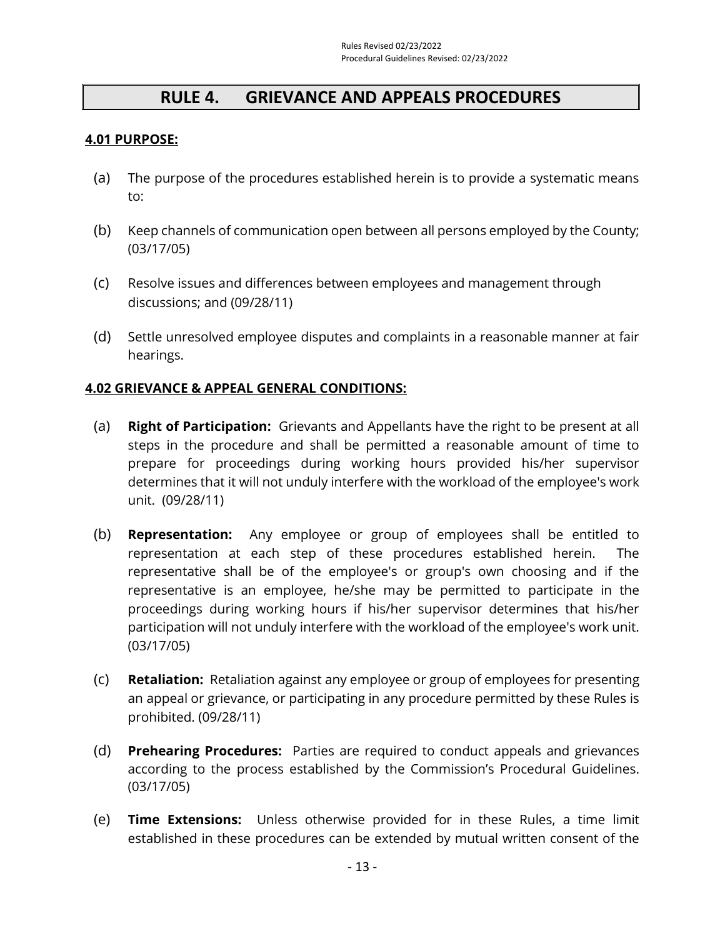## **RULE 4. GRIEVANCE AND APPEALS PROCEDURES**

#### <span id="page-20-1"></span><span id="page-20-0"></span>**4.01 PURPOSE:**

- (a) The purpose of the procedures established herein is to provide a systematic means to:
- (b) Keep channels of communication open between all persons employed by the County; (03/17/05)
- (c) Resolve issues and differences between employees and management through discussions; and (09/28/11)
- (d) Settle unresolved employee disputes and complaints in a reasonable manner at fair hearings.

#### <span id="page-20-2"></span>**4.02 GRIEVANCE & APPEAL GENERAL CONDITIONS:**

- (a) **Right of Participation:** Grievants and Appellants have the right to be present at all steps in the procedure and shall be permitted a reasonable amount of time to prepare for proceedings during working hours provided his/her supervisor determines that it will not unduly interfere with the workload of the employee's work unit. (09/28/11)
- (b) **Representation:** Any employee or group of employees shall be entitled to representation at each step of these procedures established herein. The representative shall be of the employee's or group's own choosing and if the representative is an employee, he/she may be permitted to participate in the proceedings during working hours if his/her supervisor determines that his/her participation will not unduly interfere with the workload of the employee's work unit. (03/17/05)
- (c) **Retaliation:** Retaliation against any employee or group of employees for presenting an appeal or grievance, or participating in any procedure permitted by these Rules is prohibited. (09/28/11)
- (d) **Prehearing Procedures:** Parties are required to conduct appeals and grievances according to the process established by the Commission's Procedural Guidelines. (03/17/05)
- (e) **Time Extensions:** Unless otherwise provided for in these Rules, a time limit established in these procedures can be extended by mutual written consent of the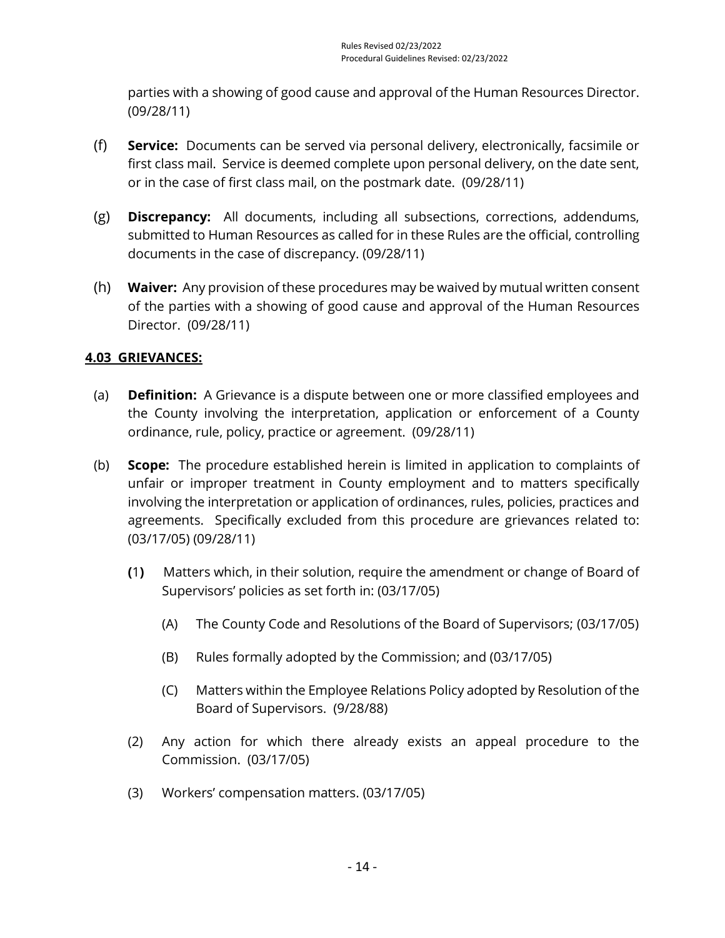parties with a showing of good cause and approval of the Human Resources Director. (09/28/11)

- (f) **Service:** Documents can be served via personal delivery, electronically, facsimile or first class mail. Service is deemed complete upon personal delivery, on the date sent, or in the case of first class mail, on the postmark date. (09/28/11)
- (g) **Discrepancy:** All documents, including all subsections, corrections, addendums, submitted to Human Resources as called for in these Rules are the official, controlling documents in the case of discrepancy. (09/28/11)
- (h) **Waiver:** Any provision of these procedures may be waived by mutual written consent of the parties with a showing of good cause and approval of the Human Resources Director. (09/28/11)

## <span id="page-21-0"></span>**4.03 GRIEVANCES:**

- (a) **Definition:** A Grievance is a dispute between one or more classified employees and the County involving the interpretation, application or enforcement of a County ordinance, rule, policy, practice or agreement. (09/28/11)
- (b) **Scope:** The procedure established herein is limited in application to complaints of unfair or improper treatment in County employment and to matters specifically involving the interpretation or application of ordinances, rules, policies, practices and agreements. Specifically excluded from this procedure are grievances related to: (03/17/05) (09/28/11)
	- **(**1**)** Matters which, in their solution, require the amendment or change of Board of Supervisors' policies as set forth in: (03/17/05)
		- (A) The County Code and Resolutions of the Board of Supervisors; (03/17/05)
		- (B) Rules formally adopted by the Commission; and (03/17/05)
		- (C) Matters within the Employee Relations Policy adopted by Resolution of the Board of Supervisors. (9/28/88)
	- (2) Any action for which there already exists an appeal procedure to the Commission. (03/17/05)
	- (3) Workers' compensation matters. (03/17/05)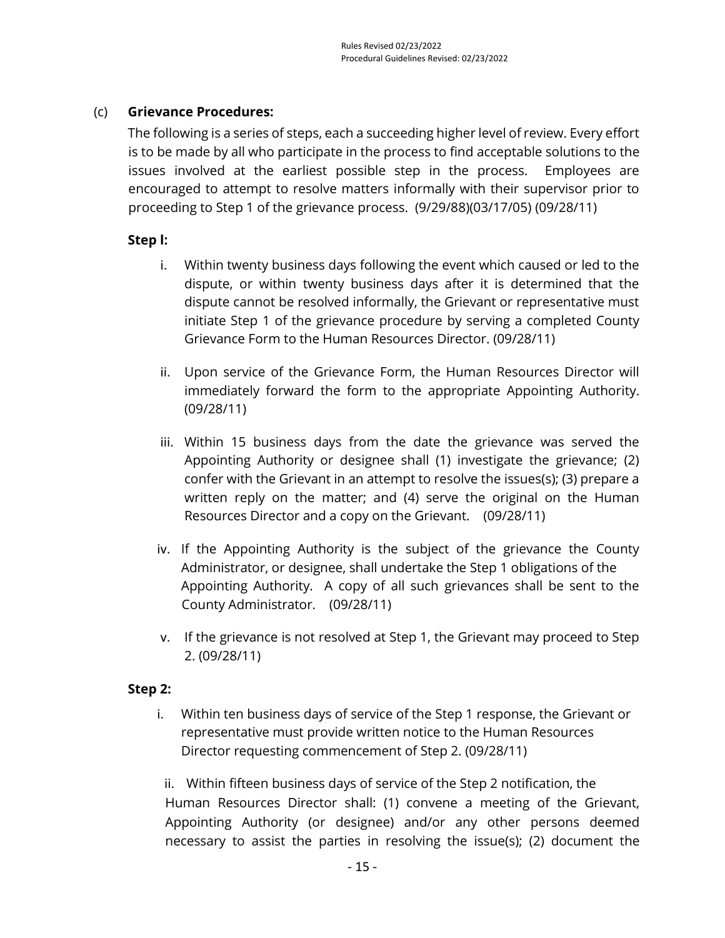#### (c) **Grievance Procedures:**

The following is a series of steps, each a succeeding higher level of review. Every effort is to be made by all who participate in the process to find acceptable solutions to the issues involved at the earliest possible step in the process. Employees are encouraged to attempt to resolve matters informally with their supervisor prior to proceeding to Step 1 of the grievance process. (9/29/88)(03/17/05) (09/28/11)

#### **Step l:**

- i. Within twenty business days following the event which caused or led to the dispute, or within twenty business days after it is determined that the dispute cannot be resolved informally, the Grievant or representative must initiate Step 1 of the grievance procedure by serving a completed County Grievance Form to the Human Resources Director. (09/28/11)
- ii. Upon service of the Grievance Form, the Human Resources Director will immediately forward the form to the appropriate Appointing Authority. (09/28/11)
- iii. Within 15 business days from the date the grievance was served the Appointing Authority or designee shall (1) investigate the grievance; (2) confer with the Grievant in an attempt to resolve the issues(s); (3) prepare a written reply on the matter; and (4) serve the original on the Human Resources Director and a copy on the Grievant. (09/28/11)
- iv. If the Appointing Authority is the subject of the grievance the County Administrator, or designee, shall undertake the Step 1 obligations of the Appointing Authority. A copy of all such grievances shall be sent to the County Administrator. (09/28/11)
- v. If the grievance is not resolved at Step 1, the Grievant may proceed to Step 2. (09/28/11)

#### **Step 2:**

i. Within ten business days of service of the Step 1 response, the Grievant or representative must provide written notice to the Human Resources Director requesting commencement of Step 2. (09/28/11)

ii. Within fifteen business days of service of the Step 2 notification, the Human Resources Director shall: (1) convene a meeting of the Grievant, Appointing Authority (or designee) and/or any other persons deemed necessary to assist the parties in resolving the issue(s); (2) document the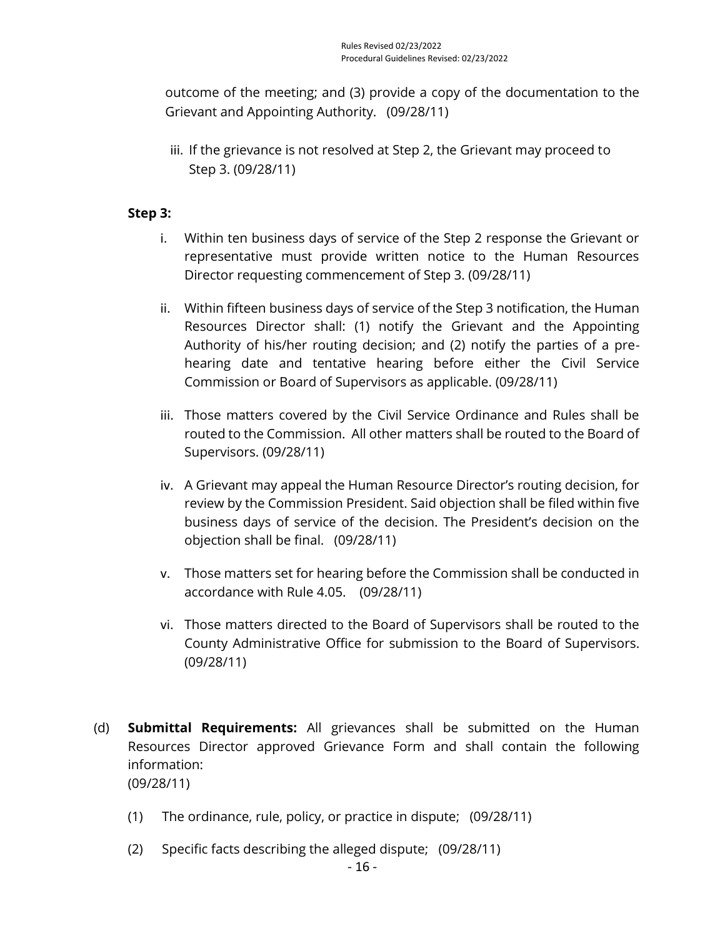outcome of the meeting; and (3) provide a copy of the documentation to the Grievant and Appointing Authority. (09/28/11)

iii. If the grievance is not resolved at Step 2, the Grievant may proceed to Step 3. (09/28/11)

## **Step 3:**

- i. Within ten business days of service of the Step 2 response the Grievant or representative must provide written notice to the Human Resources Director requesting commencement of Step 3. (09/28/11)
- ii. Within fifteen business days of service of the Step 3 notification, the Human Resources Director shall: (1) notify the Grievant and the Appointing Authority of his/her routing decision; and (2) notify the parties of a prehearing date and tentative hearing before either the Civil Service Commission or Board of Supervisors as applicable. (09/28/11)
- iii. Those matters covered by the Civil Service Ordinance and Rules shall be routed to the Commission. All other matters shall be routed to the Board of Supervisors. (09/28/11)
- iv. A Grievant may appeal the Human Resource Director's routing decision, for review by the Commission President. Said objection shall be filed within five business days of service of the decision. The President's decision on the objection shall be final. (09/28/11)
- v. Those matters set for hearing before the Commission shall be conducted in accordance with Rule 4.05. (09/28/11)
- vi. Those matters directed to the Board of Supervisors shall be routed to the County Administrative Office for submission to the Board of Supervisors. (09/28/11)
- (d) **Submittal Requirements:** All grievances shall be submitted on the Human Resources Director approved Grievance Form and shall contain the following information: (09/28/11)
	- (1) The ordinance, rule, policy, or practice in dispute; (09/28/11)
	- (2) Specific facts describing the alleged dispute; (09/28/11)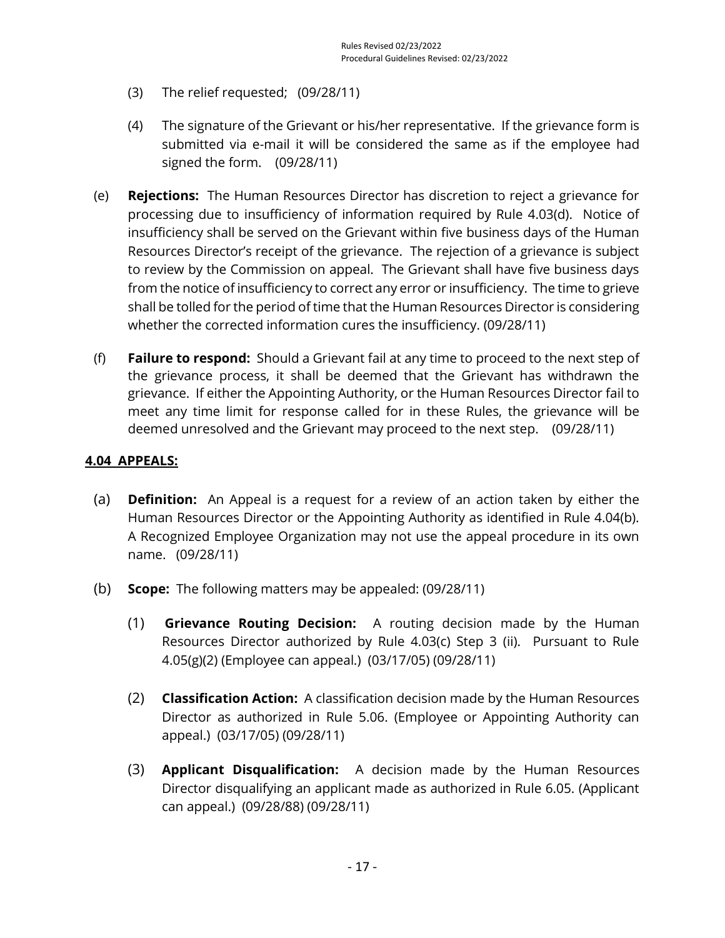- (3) The relief requested; (09/28/11)
- (4) The signature of the Grievant or his/her representative. If the grievance form is submitted via e-mail it will be considered the same as if the employee had signed the form. (09/28/11)
- (e) **Rejections:** The Human Resources Director has discretion to reject a grievance for processing due to insufficiency of information required by Rule 4.03(d). Notice of insufficiency shall be served on the Grievant within five business days of the Human Resources Director's receipt of the grievance. The rejection of a grievance is subject to review by the Commission on appeal. The Grievant shall have five business days from the notice of insufficiency to correct any error or insufficiency. The time to grieve shall be tolled for the period of time that the Human Resources Director is considering whether the corrected information cures the insufficiency. (09/28/11)
- (f) **Failure to respond:** Should a Grievant fail at any time to proceed to the next step of the grievance process, it shall be deemed that the Grievant has withdrawn the grievance. If either the Appointing Authority, or the Human Resources Director fail to meet any time limit for response called for in these Rules, the grievance will be deemed unresolved and the Grievant may proceed to the next step. (09/28/11)

## <span id="page-24-0"></span>**4.04 APPEALS:**

- (a) **Definition:** An Appeal is a request for a review of an action taken by either the Human Resources Director or the Appointing Authority as identified in Rule 4.04(b). A Recognized Employee Organization may not use the appeal procedure in its own name. (09/28/11)
- (b) **Scope:** The following matters may be appealed: (09/28/11)
	- (1) **Grievance Routing Decision:** A routing decision made by the Human Resources Director authorized by Rule 4.03(c) Step 3 (ii). Pursuant to Rule 4.05(g)(2) (Employee can appeal.) (03/17/05) (09/28/11)
	- (2) **Classification Action:** A classification decision made by the Human Resources Director as authorized in Rule 5.06. (Employee or Appointing Authority can appeal.) (03/17/05) (09/28/11)
	- (3) **Applicant Disqualification:** A decision made by the Human Resources Director disqualifying an applicant made as authorized in Rule 6.05. (Applicant can appeal.) (09/28/88) (09/28/11)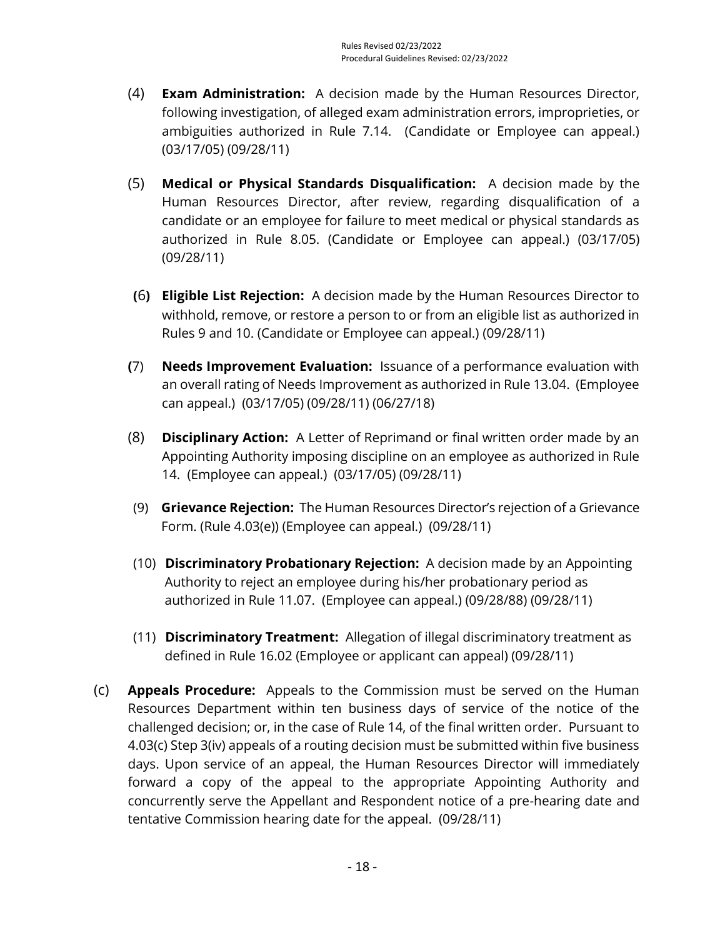- (4) **Exam Administration:** A decision made by the Human Resources Director, following investigation, of alleged exam administration errors, improprieties, or ambiguities authorized in Rule 7.14. (Candidate or Employee can appeal.) (03/17/05) (09/28/11)
- (5) **Medical or Physical Standards Disqualification:** A decision made by the Human Resources Director, after review, regarding disqualification of a candidate or an employee for failure to meet medical or physical standards as authorized in Rule 8.05. (Candidate or Employee can appeal.) (03/17/05) (09/28/11)
- **(**6**) Eligible List Rejection:** A decision made by the Human Resources Director to withhold, remove, or restore a person to or from an eligible list as authorized in Rules 9 and 10. (Candidate or Employee can appeal.) (09/28/11)
- **(**7) **Needs Improvement Evaluation:** Issuance of a performance evaluation with an overall rating of Needs Improvement as authorized in Rule 13.04. (Employee can appeal.) (03/17/05) (09/28/11) (06/27/18)
- (8) **Disciplinary Action:** A Letter of Reprimand or final written order made by an Appointing Authority imposing discipline on an employee as authorized in Rule 14. (Employee can appeal.) (03/17/05) (09/28/11)
- (9) **Grievance Rejection:** The Human Resources Director's rejection of a Grievance Form. (Rule 4.03(e)) (Employee can appeal.) (09/28/11)
- (10) **Discriminatory Probationary Rejection:** A decision made by an Appointing Authority to reject an employee during his/her probationary period as authorized in Rule 11.07. (Employee can appeal.) (09/28/88) (09/28/11)
- (11) **Discriminatory Treatment:** Allegation of illegal discriminatory treatment as defined in Rule 16.02 (Employee or applicant can appeal) (09/28/11)
- (c) **Appeals Procedure:** Appeals to the Commission must be served on the Human Resources Department within ten business days of service of the notice of the challenged decision; or, in the case of Rule 14, of the final written order. Pursuant to 4.03(c) Step 3(iv) appeals of a routing decision must be submitted within five business days. Upon service of an appeal, the Human Resources Director will immediately forward a copy of the appeal to the appropriate Appointing Authority and concurrently serve the Appellant and Respondent notice of a pre-hearing date and tentative Commission hearing date for the appeal. (09/28/11)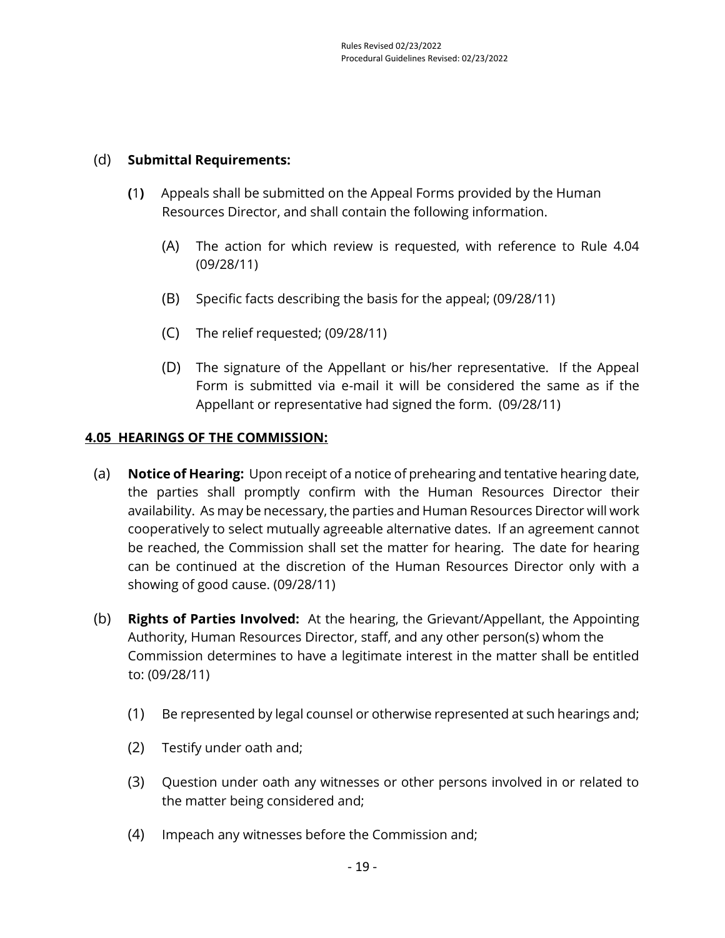## (d) **Submittal Requirements:**

- **(**1**)** Appeals shall be submitted on the Appeal Forms provided by the Human Resources Director, and shall contain the following information.
	- (A) The action for which review is requested, with reference to Rule 4.04 (09/28/11)
	- (B) Specific facts describing the basis for the appeal; (09/28/11)
	- (C) The relief requested; (09/28/11)
	- (D) The signature of the Appellant or his/her representative. If the Appeal Form is submitted via e-mail it will be considered the same as if the Appellant or representative had signed the form. (09/28/11)

## <span id="page-26-0"></span>**4.05 HEARINGS OF THE COMMISSION:**

- (a) **Notice of Hearing:** Upon receipt of a notice of prehearing and tentative hearing date, the parties shall promptly confirm with the Human Resources Director their availability. As may be necessary, the parties and Human Resources Director will work cooperatively to select mutually agreeable alternative dates. If an agreement cannot be reached, the Commission shall set the matter for hearing. The date for hearing can be continued at the discretion of the Human Resources Director only with a showing of good cause. (09/28/11)
- (b) **Rights of Parties Involved:** At the hearing, the Grievant/Appellant, the Appointing Authority, Human Resources Director, staff, and any other person(s) whom the Commission determines to have a legitimate interest in the matter shall be entitled to: (09/28/11)
	- (1) Be represented by legal counsel or otherwise represented at such hearings and;
	- (2) Testify under oath and;
	- (3) Question under oath any witnesses or other persons involved in or related to the matter being considered and;
	- (4) Impeach any witnesses before the Commission and;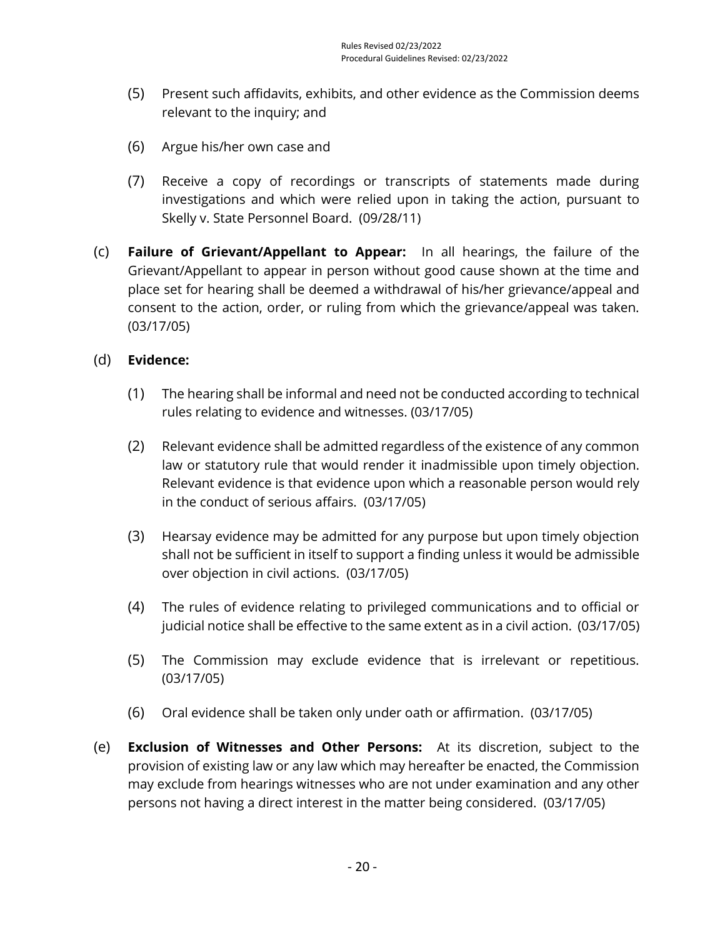- (5) Present such affidavits, exhibits, and other evidence as the Commission deems relevant to the inquiry; and
- (6) Argue his/her own case and
- (7) Receive a copy of recordings or transcripts of statements made during investigations and which were relied upon in taking the action, pursuant to Skelly v. State Personnel Board. (09/28/11)
- (c) **Failure of Grievant/Appellant to Appear:** In all hearings, the failure of the Grievant/Appellant to appear in person without good cause shown at the time and place set for hearing shall be deemed a withdrawal of his/her grievance/appeal and consent to the action, order, or ruling from which the grievance/appeal was taken. (03/17/05)

## (d) **Evidence:**

- (1) The hearing shall be informal and need not be conducted according to technical rules relating to evidence and witnesses. (03/17/05)
- (2) Relevant evidence shall be admitted regardless of the existence of any common law or statutory rule that would render it inadmissible upon timely objection. Relevant evidence is that evidence upon which a reasonable person would rely in the conduct of serious affairs. (03/17/05)
- (3) Hearsay evidence may be admitted for any purpose but upon timely objection shall not be sufficient in itself to support a finding unless it would be admissible over objection in civil actions. (03/17/05)
- (4) The rules of evidence relating to privileged communications and to official or judicial notice shall be effective to the same extent as in a civil action. (03/17/05)
- (5) The Commission may exclude evidence that is irrelevant or repetitious. (03/17/05)
- (6) Oral evidence shall be taken only under oath or affirmation. (03/17/05)
- (e) **Exclusion of Witnesses and Other Persons:** At its discretion, subject to the provision of existing law or any law which may hereafter be enacted, the Commission may exclude from hearings witnesses who are not under examination and any other persons not having a direct interest in the matter being considered. (03/17/05)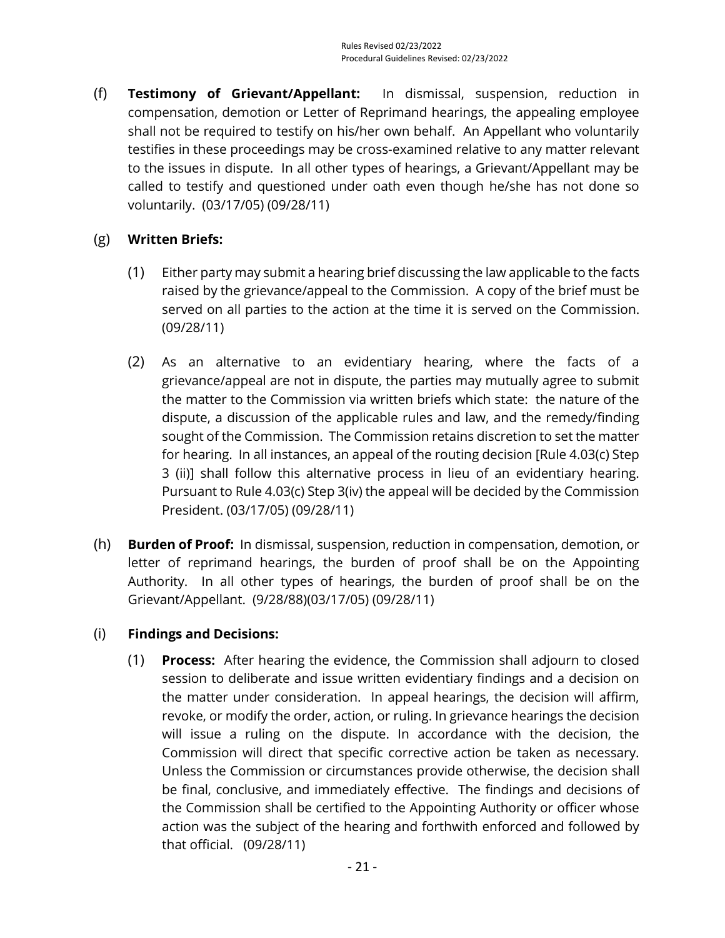(f) **Testimony of Grievant/Appellant:** In dismissal, suspension, reduction in compensation, demotion or Letter of Reprimand hearings, the appealing employee shall not be required to testify on his/her own behalf. An Appellant who voluntarily testifies in these proceedings may be cross-examined relative to any matter relevant to the issues in dispute. In all other types of hearings, a Grievant/Appellant may be called to testify and questioned under oath even though he/she has not done so voluntarily. (03/17/05) (09/28/11)

## (g) **Written Briefs:**

- (1) Either party may submit a hearing brief discussing the law applicable to the facts raised by the grievance/appeal to the Commission. A copy of the brief must be served on all parties to the action at the time it is served on the Commission. (09/28/11)
- (2) As an alternative to an evidentiary hearing, where the facts of a grievance/appeal are not in dispute, the parties may mutually agree to submit the matter to the Commission via written briefs which state: the nature of the dispute, a discussion of the applicable rules and law, and the remedy/finding sought of the Commission. The Commission retains discretion to set the matter for hearing. In all instances, an appeal of the routing decision [Rule 4.03(c) Step 3 (ii)] shall follow this alternative process in lieu of an evidentiary hearing. Pursuant to Rule 4.03(c) Step 3(iv) the appeal will be decided by the Commission President. (03/17/05) (09/28/11)
- (h) **Burden of Proof:** In dismissal, suspension, reduction in compensation, demotion, or letter of reprimand hearings, the burden of proof shall be on the Appointing Authority. In all other types of hearings, the burden of proof shall be on the Grievant/Appellant. (9/28/88)(03/17/05) (09/28/11)

## (i) **Findings and Decisions:**

(1) **Process:** After hearing the evidence, the Commission shall adjourn to closed session to deliberate and issue written evidentiary findings and a decision on the matter under consideration. In appeal hearings, the decision will affirm, revoke, or modify the order, action, or ruling. In grievance hearings the decision will issue a ruling on the dispute. In accordance with the decision, the Commission will direct that specific corrective action be taken as necessary. Unless the Commission or circumstances provide otherwise, the decision shall be final, conclusive, and immediately effective. The findings and decisions of the Commission shall be certified to the Appointing Authority or officer whose action was the subject of the hearing and forthwith enforced and followed by that official. (09/28/11)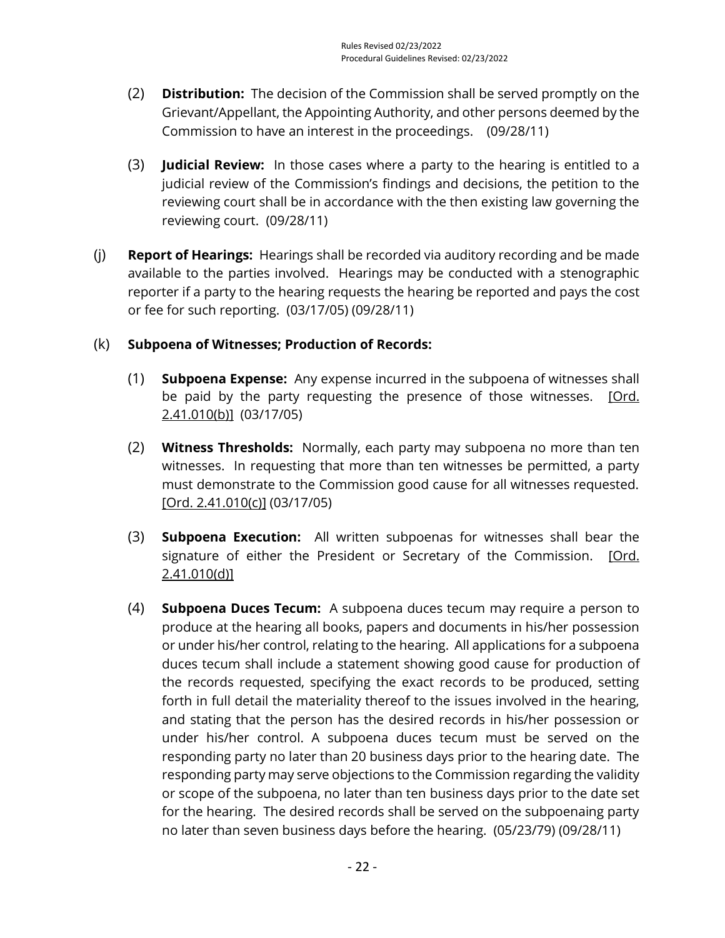- (2) **Distribution:** The decision of the Commission shall be served promptly on the Grievant/Appellant, the Appointing Authority, and other persons deemed by the Commission to have an interest in the proceedings. (09/28/11)
- (3) **Judicial Review:** In those cases where a party to the hearing is entitled to a judicial review of the Commission's findings and decisions, the petition to the reviewing court shall be in accordance with the then existing law governing the reviewing court. (09/28/11)
- (j) **Report of Hearings:** Hearings shall be recorded via auditory recording and be made available to the parties involved. Hearings may be conducted with a stenographic reporter if a party to the hearing requests the hearing be reported and pays the cost or fee for such reporting. (03/17/05) (09/28/11)

## (k) **Subpoena of Witnesses; Production of Records:**

- (1) **Subpoena Expense:** Any expense incurred in the subpoena of witnesses shall be paid by the party requesting the presence of those witnesses. [Ord. [2.41.010\(b\)\]](https://library.municode.com/ca/san_luis_obispo_county/codes/county_code?nodeId=TIT2ADPE_CH2.41SUNF_2.41.010SU) (03/17/05)
- (2) **Witness Thresholds:** Normally, each party may subpoena no more than ten witnesses. In requesting that more than ten witnesses be permitted, a party must demonstrate to the Commission good cause for all witnesses requested. [\[Ord. 2.41.010\(c\)\]](https://library.municode.com/ca/san_luis_obispo_county/codes/county_code?nodeId=TIT2ADPE_CH2.41SUNF_2.41.010SU) (03/17/05)
- (3) **Subpoena Execution:** All written subpoenas for witnesses shall bear the signature of either the President or Secretary of the Commission. [Ord. [2.41.010\(d\)\]](https://library.municode.com/ca/san_luis_obispo_county/codes/county_code?nodeId=TIT2ADPE_CH2.41SUNF_2.41.010SU)
- (4) **Subpoena Duces Tecum:** A subpoena duces tecum may require a person to produce at the hearing all books, papers and documents in his/her possession or under his/her control, relating to the hearing. All applications for a subpoena duces tecum shall include a statement showing good cause for production of the records requested, specifying the exact records to be produced, setting forth in full detail the materiality thereof to the issues involved in the hearing, and stating that the person has the desired records in his/her possession or under his/her control. A subpoena duces tecum must be served on the responding party no later than 20 business days prior to the hearing date. The responding party may serve objections to the Commission regarding the validity or scope of the subpoena, no later than ten business days prior to the date set for the hearing. The desired records shall be served on the subpoenaing party no later than seven business days before the hearing. (05/23/79) (09/28/11)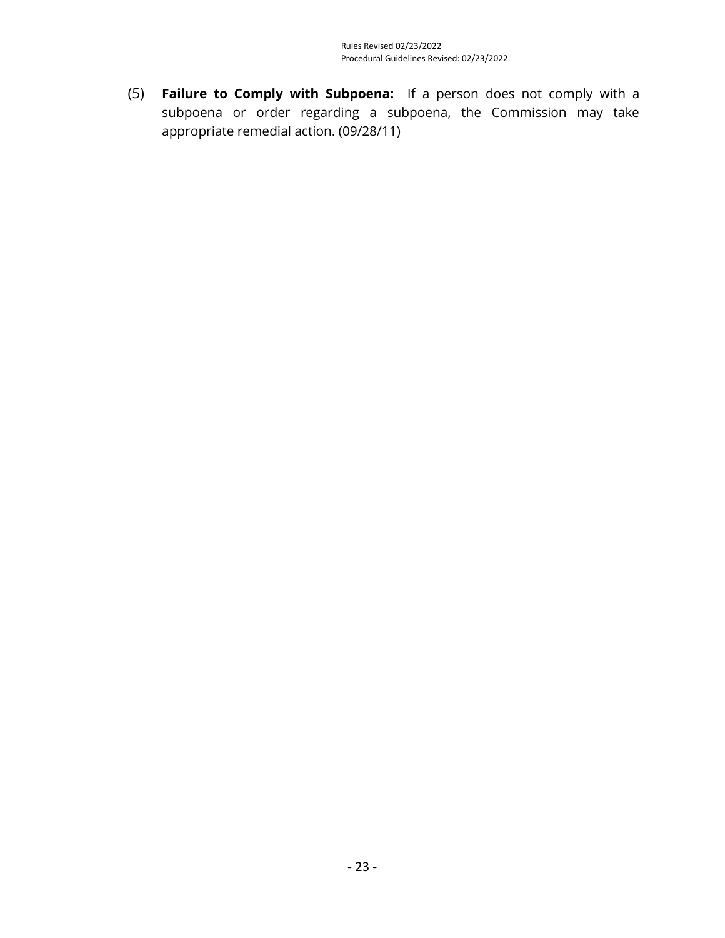(5) **Failure to Comply with Subpoena:** If a person does not comply with a subpoena or order regarding a subpoena, the Commission may take appropriate remedial action. (09/28/11)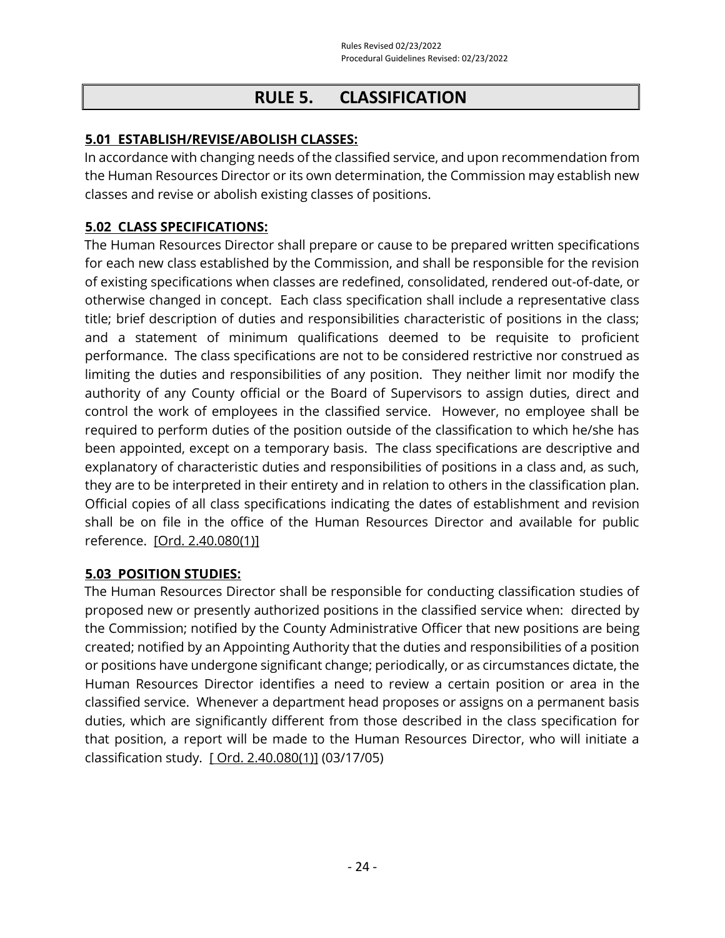# **RULE 5. CLASSIFICATION**

## <span id="page-31-1"></span><span id="page-31-0"></span>**5.01 ESTABLISH/REVISE/ABOLISH CLASSES:**

In accordance with changing needs of the classified service, and upon recommendation from the Human Resources Director or its own determination, the Commission may establish new classes and revise or abolish existing classes of positions.

## <span id="page-31-2"></span>**5.02 CLASS SPECIFICATIONS:**

The Human Resources Director shall prepare or cause to be prepared written specifications for each new class established by the Commission, and shall be responsible for the revision of existing specifications when classes are redefined, consolidated, rendered out-of-date, or otherwise changed in concept. Each class specification shall include a representative class title; brief description of duties and responsibilities characteristic of positions in the class; and a statement of minimum qualifications deemed to be requisite to proficient performance. The class specifications are not to be considered restrictive nor construed as limiting the duties and responsibilities of any position. They neither limit nor modify the authority of any County official or the Board of Supervisors to assign duties, direct and control the work of employees in the classified service. However, no employee shall be required to perform duties of the position outside of the classification to which he/she has been appointed, except on a temporary basis. The class specifications are descriptive and explanatory of characteristic duties and responsibilities of positions in a class and, as such, they are to be interpreted in their entirety and in relation to others in the classification plan. Official copies of all class specifications indicating the dates of establishment and revision shall be on file in the office of the Human Resources Director and available for public reference. [\[Ord. 2.40.080\(1\)\]](https://library.municode.com/ca/san_luis_obispo_county/codes/county_code?nodeId=TIT2ADPE_CH2.40CISESY_2.40.080CORU)

## <span id="page-31-3"></span>**5.03 POSITION STUDIES:**

The Human Resources Director shall be responsible for conducting classification studies of proposed new or presently authorized positions in the classified service when: directed by the Commission; notified by the County Administrative Officer that new positions are being created; notified by an Appointing Authority that the duties and responsibilities of a position or positions have undergone significant change; periodically, or as circumstances dictate, the Human Resources Director identifies a need to review a certain position or area in the classified service. Whenever a department head proposes or assigns on a permanent basis duties, which are significantly different from those described in the class specification for that position, a report will be made to the Human Resources Director, who will initiate a classification study. [\[ Ord. 2.40.080\(1\)\]](https://library.municode.com/ca/san_luis_obispo_county/codes/county_code?nodeId=TIT2ADPE_CH2.40CISESY_2.40.080CORU) (03/17/05)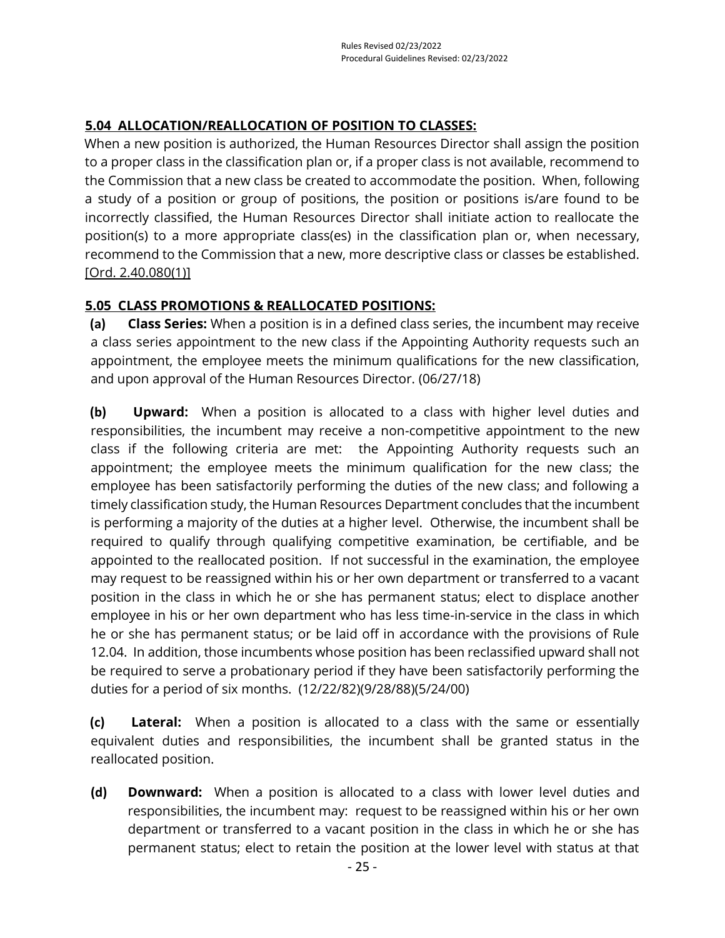## <span id="page-32-0"></span>**5.04 ALLOCATION/REALLOCATION OF POSITION TO CLASSES:**

When a new position is authorized, the Human Resources Director shall assign the position to a proper class in the classification plan or, if a proper class is not available, recommend to the Commission that a new class be created to accommodate the position. When, following a study of a position or group of positions, the position or positions is/are found to be incorrectly classified, the Human Resources Director shall initiate action to reallocate the position(s) to a more appropriate class(es) in the classification plan or, when necessary, recommend to the Commission that a new, more descriptive class or classes be established. [\[Ord. 2.40.080\(1\)\]](https://library.municode.com/ca/san_luis_obispo_county/codes/county_code?nodeId=TIT2ADPE_CH2.40CISESY_2.40.080CORU)

## <span id="page-32-1"></span>**5.05 CLASS PROMOTIONS & REALLOCATED POSITIONS:**

**(a) Class Series:** When a position is in a defined class series, the incumbent may receive a class series appointment to the new class if the Appointing Authority requests such an appointment, the employee meets the minimum qualifications for the new classification, and upon approval of the Human Resources Director. (06/27/18)

**(b) Upward:** When a position is allocated to a class with higher level duties and responsibilities, the incumbent may receive a non-competitive appointment to the new class if the following criteria are met: the Appointing Authority requests such an appointment; the employee meets the minimum qualification for the new class; the employee has been satisfactorily performing the duties of the new class; and following a timely classification study, the Human Resources Department concludes that the incumbent is performing a majority of the duties at a higher level. Otherwise, the incumbent shall be required to qualify through qualifying competitive examination, be certifiable, and be appointed to the reallocated position. If not successful in the examination, the employee may request to be reassigned within his or her own department or transferred to a vacant position in the class in which he or she has permanent status; elect to displace another employee in his or her own department who has less time-in-service in the class in which he or she has permanent status; or be laid off in accordance with the provisions of Rule 12.04. In addition, those incumbents whose position has been reclassified upward shall not be required to serve a probationary period if they have been satisfactorily performing the duties for a period of six months. (12/22/82)(9/28/88)(5/24/00)

**(c) Lateral:** When a position is allocated to a class with the same or essentially equivalent duties and responsibilities, the incumbent shall be granted status in the reallocated position.

**(d) Downward:** When a position is allocated to a class with lower level duties and responsibilities, the incumbent may: request to be reassigned within his or her own department or transferred to a vacant position in the class in which he or she has permanent status; elect to retain the position at the lower level with status at that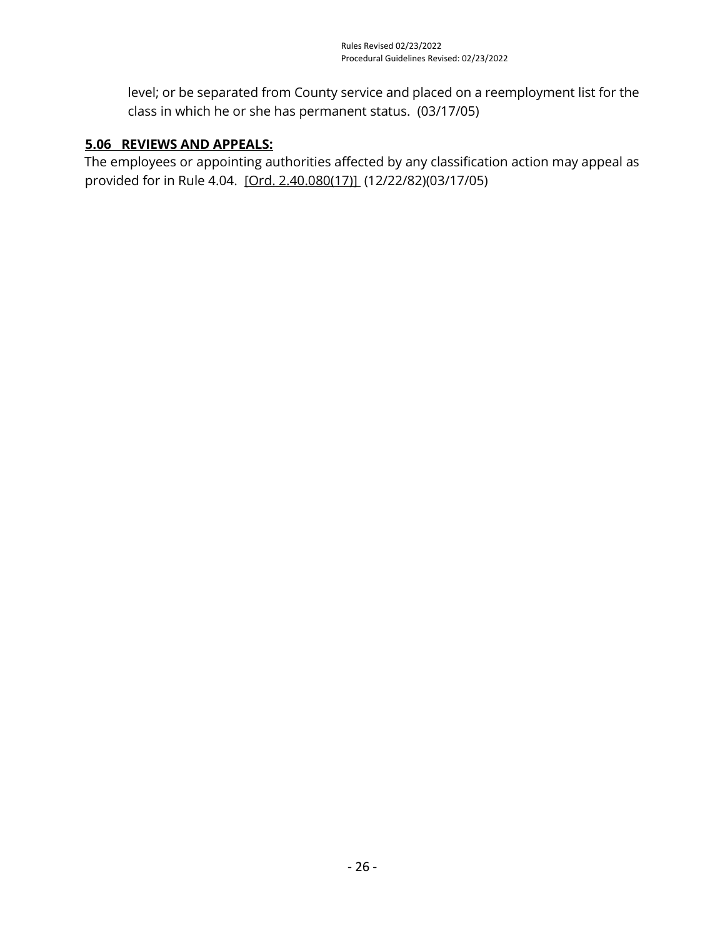level; or be separated from County service and placed on a reemployment list for the class in which he or she has permanent status. (03/17/05)

## <span id="page-33-0"></span>**5.06 REVIEWS AND APPEALS:**

The employees or appointing authorities affected by any classification action may appeal as provided for in Rule 4.04. [\[Ord. 2.40.080\(17\)\]](https://library.municode.com/ca/san_luis_obispo_county/codes/county_code?nodeId=TIT2ADPE_CH2.40CISESY_2.40.080CORU) (12/22/82)(03/17/05)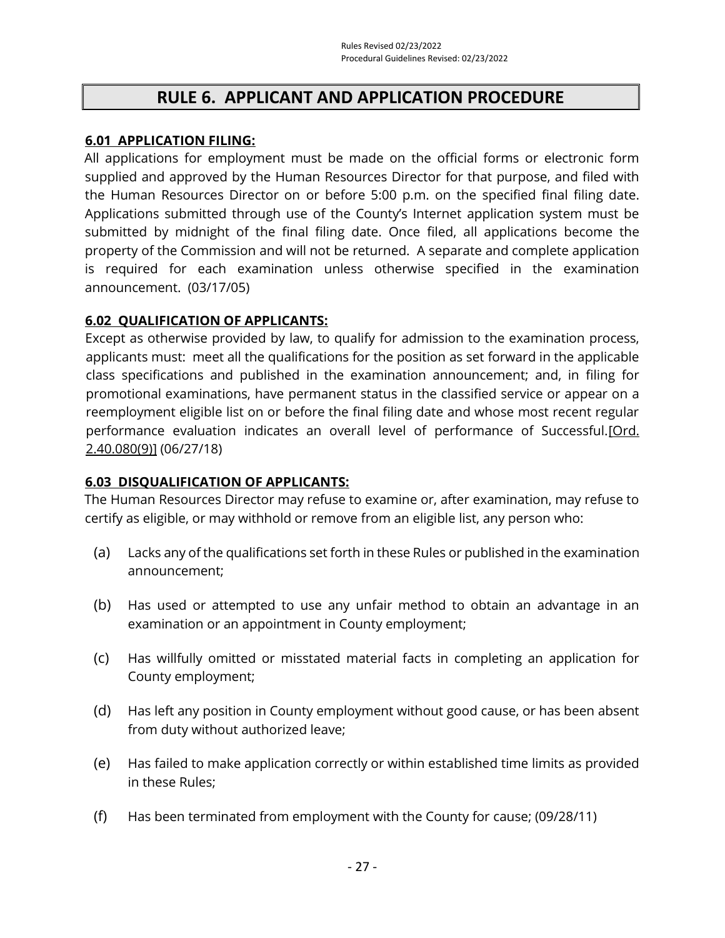## **RULE 6. APPLICANT AND APPLICATION PROCEDURE**

#### <span id="page-34-1"></span><span id="page-34-0"></span>**6.01 APPLICATION FILING:**

All applications for employment must be made on the official forms or electronic form supplied and approved by the Human Resources Director for that purpose, and filed with the Human Resources Director on or before 5:00 p.m. on the specified final filing date. Applications submitted through use of the County's Internet application system must be submitted by midnight of the final filing date. Once filed, all applications become the property of the Commission and will not be returned. A separate and complete application is required for each examination unless otherwise specified in the examination announcement. (03/17/05)

## <span id="page-34-2"></span>**6.02 QUALIFICATION OF APPLICANTS:**

Except as otherwise provided by law, to qualify for admission to the examination process, applicants must: meet all the qualifications for the position as set forward in the applicable class specifications and published in the examination announcement; and, in filing for promotional examinations, have permanent status in the classified service or appear on a reemployment eligible list on or before the final filing date and whose most recent regular performance evaluation indicates an overall level of performance of Successful[.\[Ord.](https://library.municode.com/ca/san_luis_obispo_county/codes/county_code?nodeId=TIT2ADPE_CH2.40CISESY_2.40.080CORU)  [2.40.080\(9\)\]](https://library.municode.com/ca/san_luis_obispo_county/codes/county_code?nodeId=TIT2ADPE_CH2.40CISESY_2.40.080CORU) (06/27/18)

## <span id="page-34-3"></span>**6.03 DISQUALIFICATION OF APPLICANTS:**

The Human Resources Director may refuse to examine or, after examination, may refuse to certify as eligible, or may withhold or remove from an eligible list, any person who:

- (a) Lacks any of the qualifications set forth in these Rules or published in the examination announcement;
- (b) Has used or attempted to use any unfair method to obtain an advantage in an examination or an appointment in County employment;
- (c) Has willfully omitted or misstated material facts in completing an application for County employment;
- (d) Has left any position in County employment without good cause, or has been absent from duty without authorized leave;
- (e) Has failed to make application correctly or within established time limits as provided in these Rules;
- (f) Has been terminated from employment with the County for cause; (09/28/11)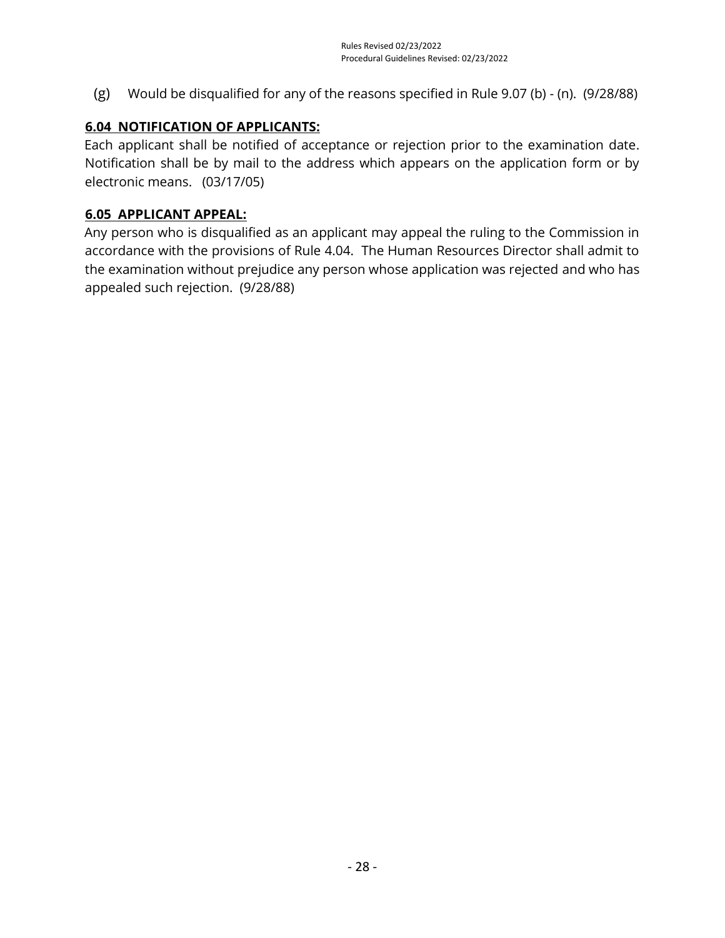(g) Would be disqualified for any of the reasons specified in Rule 9.07 (b) - (n). (9/28/88)

## <span id="page-35-0"></span>**6.04 NOTIFICATION OF APPLICANTS:**

Each applicant shall be notified of acceptance or rejection prior to the examination date. Notification shall be by mail to the address which appears on the application form or by electronic means. (03/17/05)

#### <span id="page-35-1"></span>**6.05 APPLICANT APPEAL:**

Any person who is disqualified as an applicant may appeal the ruling to the Commission in accordance with the provisions of Rule 4.04. The Human Resources Director shall admit to the examination without prejudice any person whose application was rejected and who has appealed such rejection. (9/28/88)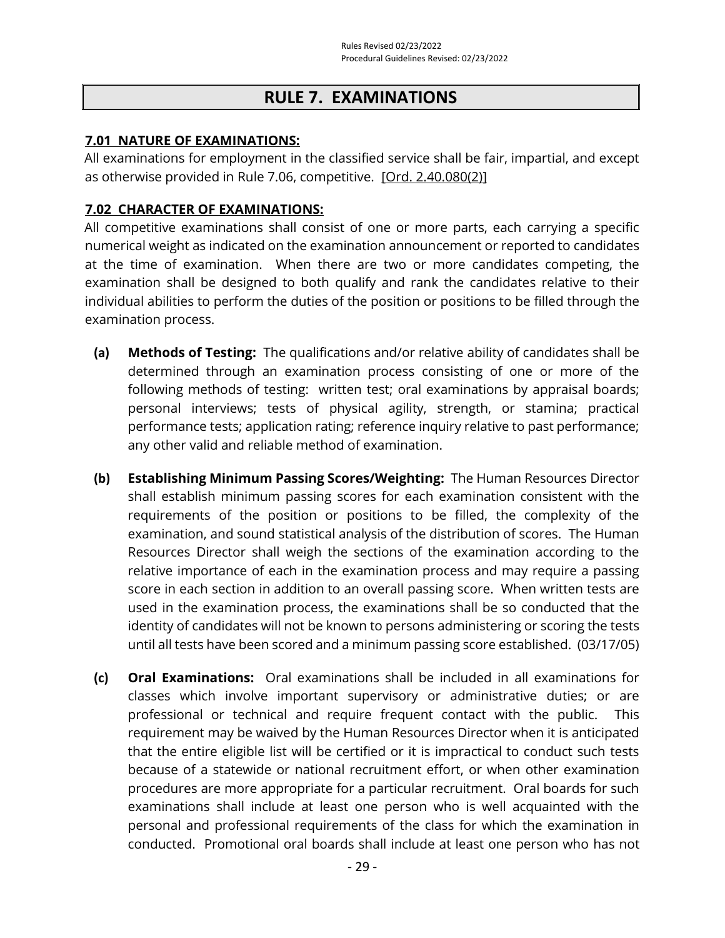# **RULE 7. EXAMINATIONS**

#### **7.01 NATURE OF EXAMINATIONS:**

All examinations for employment in the classified service shall be fair, impartial, and except as otherwise provided in Rule 7.06, competitive. [\[Ord. 2.40.080\(2\)\]](https://library.municode.com/ca/san_luis_obispo_county/codes/county_code?nodeId=TIT2ADPE_CH2.40CISESY_2.40.080CORU)

## **7.02 CHARACTER OF EXAMINATIONS:**

All competitive examinations shall consist of one or more parts, each carrying a specific numerical weight as indicated on the examination announcement or reported to candidates at the time of examination. When there are two or more candidates competing, the examination shall be designed to both qualify and rank the candidates relative to their individual abilities to perform the duties of the position or positions to be filled through the examination process.

- **(a) Methods of Testing:** The qualifications and/or relative ability of candidates shall be determined through an examination process consisting of one or more of the following methods of testing: written test; oral examinations by appraisal boards; personal interviews; tests of physical agility, strength, or stamina; practical performance tests; application rating; reference inquiry relative to past performance; any other valid and reliable method of examination.
- **(b) Establishing Minimum Passing Scores/Weighting:** The Human Resources Director shall establish minimum passing scores for each examination consistent with the requirements of the position or positions to be filled, the complexity of the examination, and sound statistical analysis of the distribution of scores. The Human Resources Director shall weigh the sections of the examination according to the relative importance of each in the examination process and may require a passing score in each section in addition to an overall passing score. When written tests are used in the examination process, the examinations shall be so conducted that the identity of candidates will not be known to persons administering or scoring the tests until all tests have been scored and a minimum passing score established. (03/17/05)
- **(c) Oral Examinations:** Oral examinations shall be included in all examinations for classes which involve important supervisory or administrative duties; or are professional or technical and require frequent contact with the public. This requirement may be waived by the Human Resources Director when it is anticipated that the entire eligible list will be certified or it is impractical to conduct such tests because of a statewide or national recruitment effort, or when other examination procedures are more appropriate for a particular recruitment. Oral boards for such examinations shall include at least one person who is well acquainted with the personal and professional requirements of the class for which the examination in conducted. Promotional oral boards shall include at least one person who has not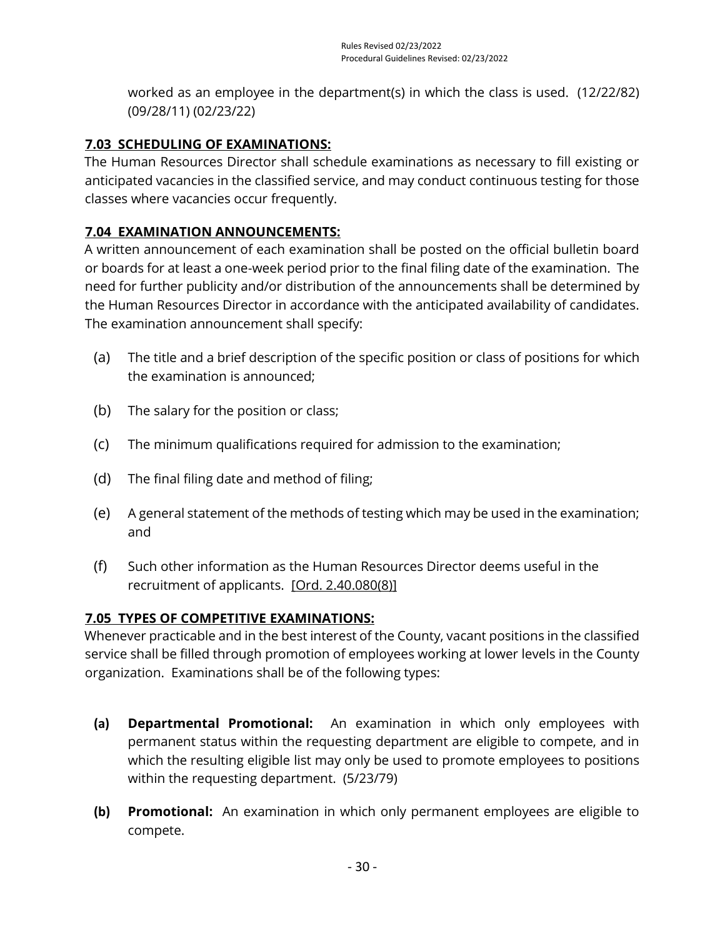worked as an employee in the department(s) in which the class is used. (12/22/82) (09/28/11) (02/23/22)

# **7.03 SCHEDULING OF EXAMINATIONS:**

The Human Resources Director shall schedule examinations as necessary to fill existing or anticipated vacancies in the classified service, and may conduct continuous testing for those classes where vacancies occur frequently.

# **7.04 EXAMINATION ANNOUNCEMENTS:**

A written announcement of each examination shall be posted on the official bulletin board or boards for at least a one-week period prior to the final filing date of the examination. The need for further publicity and/or distribution of the announcements shall be determined by the Human Resources Director in accordance with the anticipated availability of candidates. The examination announcement shall specify:

- (a) The title and a brief description of the specific position or class of positions for which the examination is announced;
- (b) The salary for the position or class;
- (c) The minimum qualifications required for admission to the examination;
- (d) The final filing date and method of filing;
- (e) A general statement of the methods of testing which may be used in the examination; and
- (f) Such other information as the Human Resources Director deems useful in the recruitment of applicants. [\[Ord. 2.40.080\(8\)\]](https://library.municode.com/ca/san_luis_obispo_county/codes/county_code?nodeId=TIT2ADPE_CH2.40CISESY_2.40.080CORU)

# **7.05 TYPES OF COMPETITIVE EXAMINATIONS:**

Whenever practicable and in the best interest of the County, vacant positions in the classified service shall be filled through promotion of employees working at lower levels in the County organization. Examinations shall be of the following types:

- **(a) Departmental Promotional:** An examination in which only employees with permanent status within the requesting department are eligible to compete, and in which the resulting eligible list may only be used to promote employees to positions within the requesting department. (5/23/79)
- **(b) Promotional:** An examination in which only permanent employees are eligible to compete.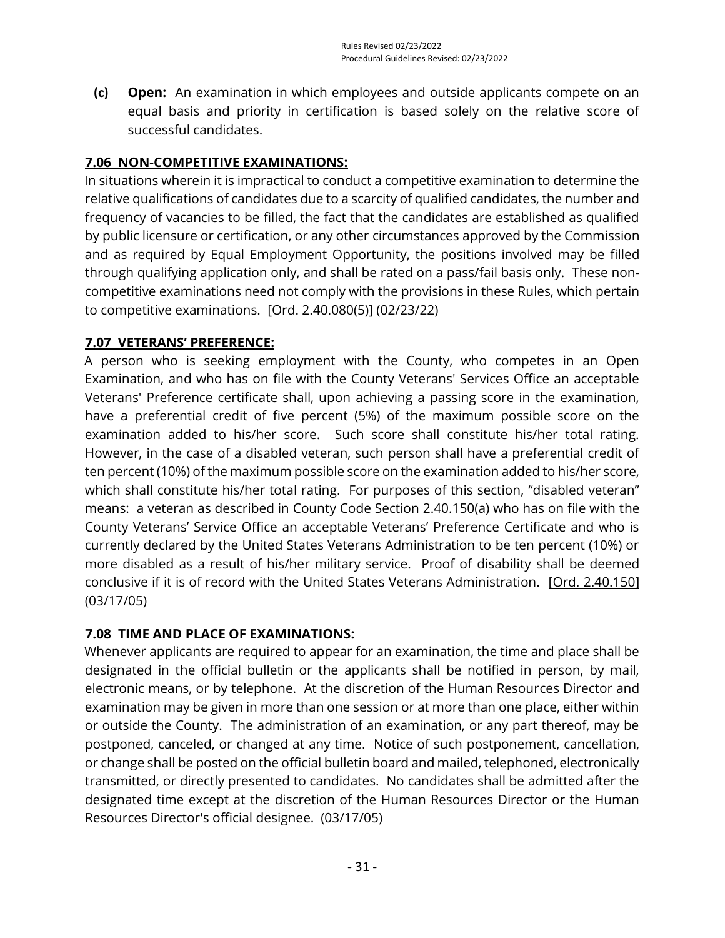**(c) Open:** An examination in which employees and outside applicants compete on an equal basis and priority in certification is based solely on the relative score of successful candidates.

# **7.06 NON-COMPETITIVE EXAMINATIONS:**

In situations wherein it is impractical to conduct a competitive examination to determine the relative qualifications of candidates due to a scarcity of qualified candidates, the number and frequency of vacancies to be filled, the fact that the candidates are established as qualified by public licensure or certification, or any other circumstances approved by the Commission and as required by Equal Employment Opportunity, the positions involved may be filled through qualifying application only, and shall be rated on a pass/fail basis only. These noncompetitive examinations need not comply with the provisions in these Rules, which pertain to competitive examinations. [\[Ord. 2.40.080\(5\)\]](https://library.municode.com/ca/san_luis_obispo_county/codes/county_code?nodeId=TIT2ADPE_CH2.40CISESY_2.40.080CORU) (02/23/22)

# **7.07 VETERANS' PREFERENCE:**

A person who is seeking employment with the County, who competes in an Open Examination, and who has on file with the County Veterans' Services Office an acceptable Veterans' Preference certificate shall, upon achieving a passing score in the examination, have a preferential credit of five percent (5%) of the maximum possible score on the examination added to his/her score. Such score shall constitute his/her total rating. However, in the case of a disabled veteran, such person shall have a preferential credit of ten percent (10%) of the maximum possible score on the examination added to his/her score, which shall constitute his/her total rating. For purposes of this section, "disabled veteran" means: a veteran as described in County Code Section 2.40.150(a) who has on file with the County Veterans' Service Office an acceptable Veterans' Preference Certificate and who is currently declared by the United States Veterans Administration to be ten percent (10%) or more disabled as a result of his/her military service. Proof of disability shall be deemed conclusive if it is of record with the United States Veterans Administration. [\[Ord. 2.40.150\]](https://library.municode.com/ca/san_luis_obispo_county/codes/county_code?nodeId=TIT2ADPE_CH2.40CISESY_2.40.150VEPR) (03/17/05)

# **7.08 TIME AND PLACE OF EXAMINATIONS:**

Whenever applicants are required to appear for an examination, the time and place shall be designated in the official bulletin or the applicants shall be notified in person, by mail, electronic means, or by telephone. At the discretion of the Human Resources Director and examination may be given in more than one session or at more than one place, either within or outside the County. The administration of an examination, or any part thereof, may be postponed, canceled, or changed at any time. Notice of such postponement, cancellation, or change shall be posted on the official bulletin board and mailed, telephoned, electronically transmitted, or directly presented to candidates. No candidates shall be admitted after the designated time except at the discretion of the Human Resources Director or the Human Resources Director's official designee. (03/17/05)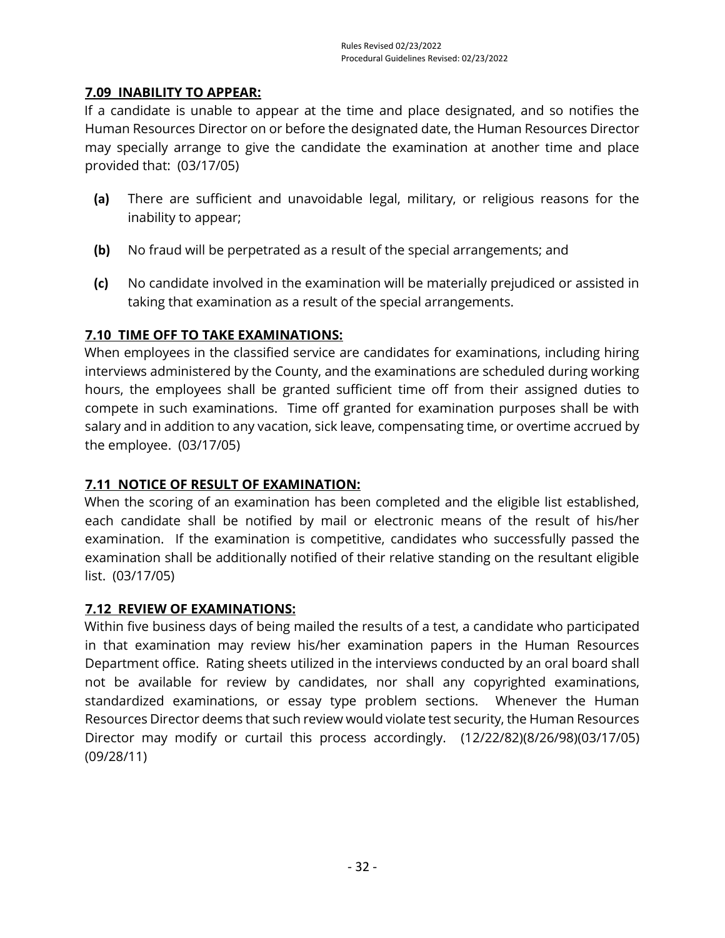# **7.09 INABILITY TO APPEAR:**

If a candidate is unable to appear at the time and place designated, and so notifies the Human Resources Director on or before the designated date, the Human Resources Director may specially arrange to give the candidate the examination at another time and place provided that: (03/17/05)

- **(a)** There are sufficient and unavoidable legal, military, or religious reasons for the inability to appear;
- **(b)** No fraud will be perpetrated as a result of the special arrangements; and
- **(c)** No candidate involved in the examination will be materially prejudiced or assisted in taking that examination as a result of the special arrangements.

# **7.10 TIME OFF TO TAKE EXAMINATIONS:**

When employees in the classified service are candidates for examinations, including hiring interviews administered by the County, and the examinations are scheduled during working hours, the employees shall be granted sufficient time off from their assigned duties to compete in such examinations. Time off granted for examination purposes shall be with salary and in addition to any vacation, sick leave, compensating time, or overtime accrued by the employee. (03/17/05)

# **7.11 NOTICE OF RESULT OF EXAMINATION:**

When the scoring of an examination has been completed and the eligible list established, each candidate shall be notified by mail or electronic means of the result of his/her examination. If the examination is competitive, candidates who successfully passed the examination shall be additionally notified of their relative standing on the resultant eligible list. (03/17/05)

# **7.12 REVIEW OF EXAMINATIONS:**

Within five business days of being mailed the results of a test, a candidate who participated in that examination may review his/her examination papers in the Human Resources Department office. Rating sheets utilized in the interviews conducted by an oral board shall not be available for review by candidates, nor shall any copyrighted examinations, standardized examinations, or essay type problem sections. Whenever the Human Resources Director deems that such review would violate test security, the Human Resources Director may modify or curtail this process accordingly. (12/22/82)(8/26/98)(03/17/05) (09/28/11)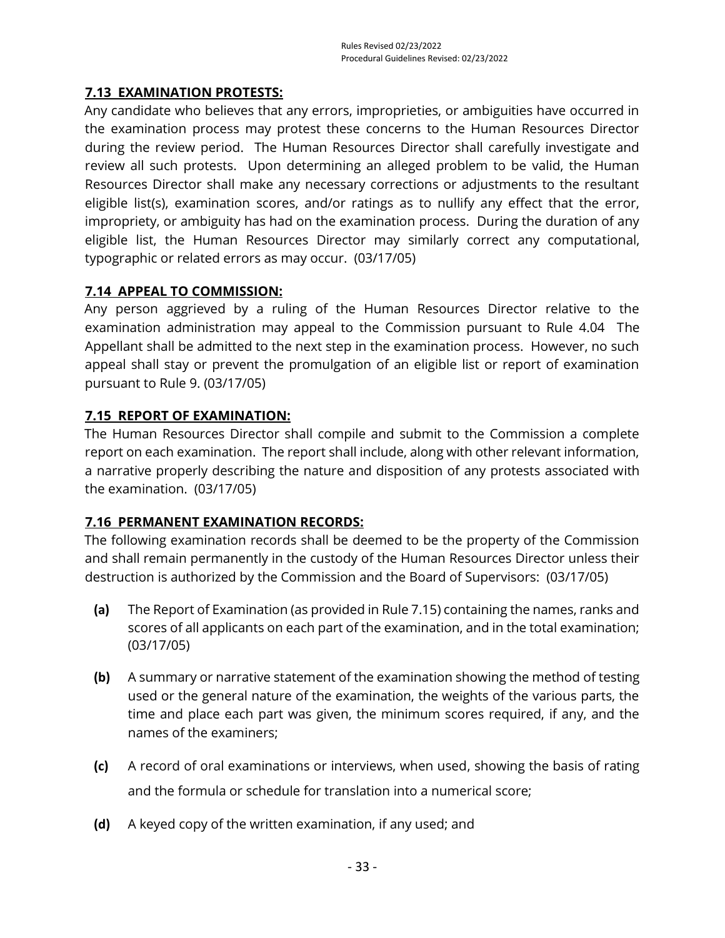## **7.13 EXAMINATION PROTESTS:**

Any candidate who believes that any errors, improprieties, or ambiguities have occurred in the examination process may protest these concerns to the Human Resources Director during the review period. The Human Resources Director shall carefully investigate and review all such protests. Upon determining an alleged problem to be valid, the Human Resources Director shall make any necessary corrections or adjustments to the resultant eligible list(s), examination scores, and/or ratings as to nullify any effect that the error, impropriety, or ambiguity has had on the examination process. During the duration of any eligible list, the Human Resources Director may similarly correct any computational, typographic or related errors as may occur. (03/17/05)

## **7.14 APPEAL TO COMMISSION:**

Any person aggrieved by a ruling of the Human Resources Director relative to the examination administration may appeal to the Commission pursuant to Rule 4.04 The Appellant shall be admitted to the next step in the examination process. However, no such appeal shall stay or prevent the promulgation of an eligible list or report of examination pursuant to Rule 9. (03/17/05)

## **7.15 REPORT OF EXAMINATION:**

The Human Resources Director shall compile and submit to the Commission a complete report on each examination. The report shall include, along with other relevant information, a narrative properly describing the nature and disposition of any protests associated with the examination. (03/17/05)

# **7.16 PERMANENT EXAMINATION RECORDS:**

The following examination records shall be deemed to be the property of the Commission and shall remain permanently in the custody of the Human Resources Director unless their destruction is authorized by the Commission and the Board of Supervisors: (03/17/05)

- **(a)** The Report of Examination (as provided in Rule 7.15) containing the names, ranks and scores of all applicants on each part of the examination, and in the total examination; (03/17/05)
- **(b)** A summary or narrative statement of the examination showing the method of testing used or the general nature of the examination, the weights of the various parts, the time and place each part was given, the minimum scores required, if any, and the names of the examiners;
- **(c)** A record of oral examinations or interviews, when used, showing the basis of rating and the formula or schedule for translation into a numerical score;
- **(d)** A keyed copy of the written examination, if any used; and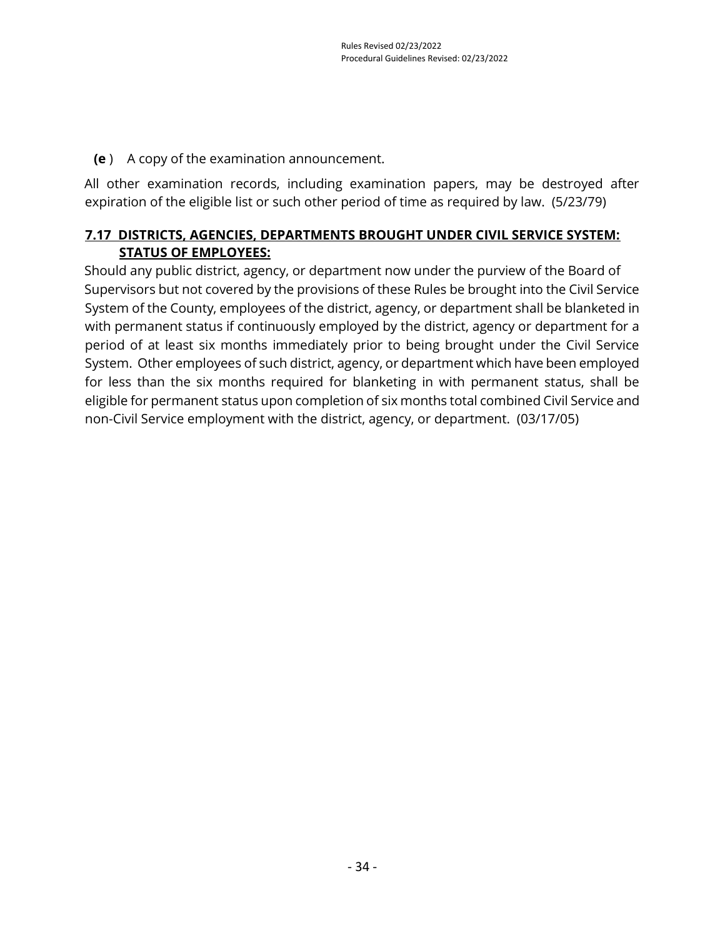**(e** ) A copy of the examination announcement.

All other examination records, including examination papers, may be destroyed after expiration of the eligible list or such other period of time as required by law. (5/23/79)

# **7.17 DISTRICTS, AGENCIES, DEPARTMENTS BROUGHT UNDER CIVIL SERVICE SYSTEM: STATUS OF EMPLOYEES:**

Should any public district, agency, or department now under the purview of the Board of Supervisors but not covered by the provisions of these Rules be brought into the Civil Service System of the County, employees of the district, agency, or department shall be blanketed in with permanent status if continuously employed by the district, agency or department for a period of at least six months immediately prior to being brought under the Civil Service System. Other employees of such district, agency, or department which have been employed for less than the six months required for blanketing in with permanent status, shall be eligible for permanent status upon completion of six months total combined Civil Service and non-Civil Service employment with the district, agency, or department. (03/17/05)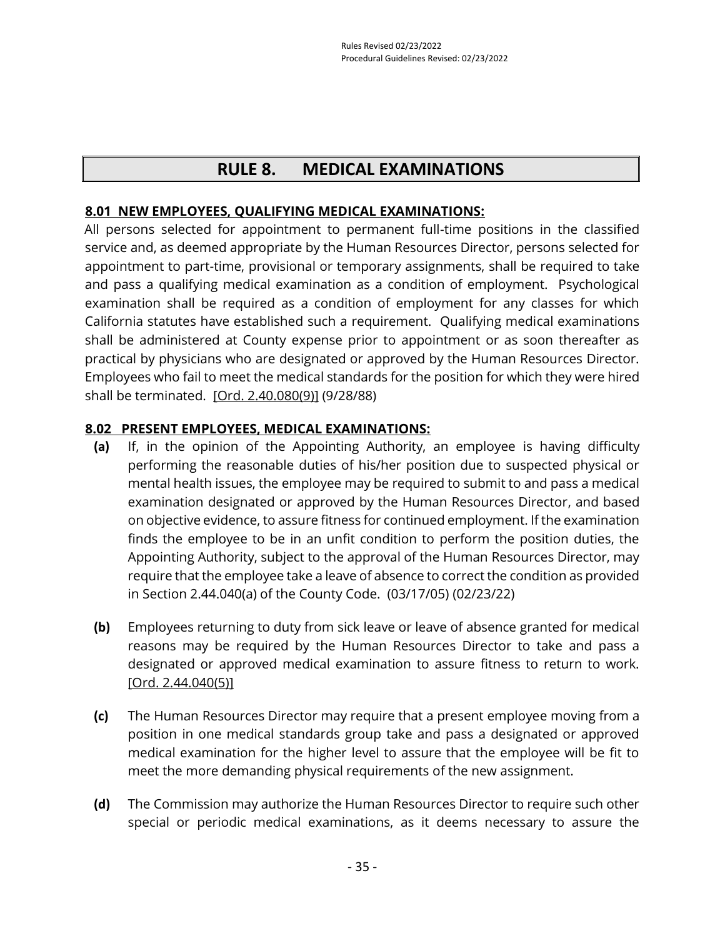# **RULE 8. MEDICAL EXAMINATIONS**

## **8.01 NEW EMPLOYEES, QUALIFYING MEDICAL EXAMINATIONS:**

All persons selected for appointment to permanent full-time positions in the classified service and, as deemed appropriate by the Human Resources Director, persons selected for appointment to part-time, provisional or temporary assignments, shall be required to take and pass a qualifying medical examination as a condition of employment. Psychological examination shall be required as a condition of employment for any classes for which California statutes have established such a requirement. Qualifying medical examinations shall be administered at County expense prior to appointment or as soon thereafter as practical by physicians who are designated or approved by the Human Resources Director. Employees who fail to meet the medical standards for the position for which they were hired shall be terminated. [\[Ord. 2.40.080\(9\)\]](https://library.municode.com/ca/san_luis_obispo_county/codes/county_code?nodeId=TIT2ADPE_CH2.40CISESY_2.40.080CORU) (9/28/88)

#### **8.02 PRESENT EMPLOYEES, MEDICAL EXAMINATIONS:**

- **(a)** If, in the opinion of the Appointing Authority, an employee is having difficulty performing the reasonable duties of his/her position due to suspected physical or mental health issues, the employee may be required to submit to and pass a medical examination designated or approved by the Human Resources Director, and based on objective evidence, to assure fitness for continued employment. If the examination finds the employee to be in an unfit condition to perform the position duties, the Appointing Authority, subject to the approval of the Human Resources Director, may require that the employee take a leave of absence to correct the condition as provided in Section 2.44.040(a) of the County Code. (03/17/05) (02/23/22)
- **(b)** Employees returning to duty from sick leave or leave of absence granted for medical reasons may be required by the Human Resources Director to take and pass a designated or approved medical examination to assure fitness to return to work. [\[Ord. 2.44.040\(5\)\]](https://library.municode.com/ca/san_luis_obispo_county/codes/county_code?nodeId=TIT2ADPE_CH2.44EMTE_2.44.040LEABWIPA)
- **(c)** The Human Resources Director may require that a present employee moving from a position in one medical standards group take and pass a designated or approved medical examination for the higher level to assure that the employee will be fit to meet the more demanding physical requirements of the new assignment.
- **(d)** The Commission may authorize the Human Resources Director to require such other special or periodic medical examinations, as it deems necessary to assure the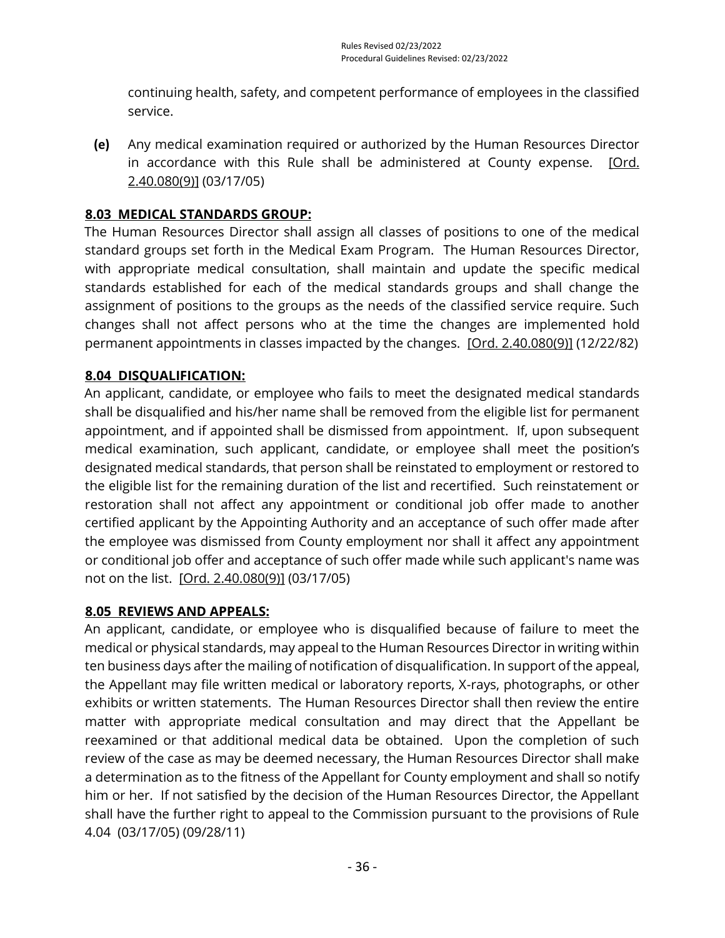continuing health, safety, and competent performance of employees in the classified service.

**(e)** Any medical examination required or authorized by the Human Resources Director in accordance with this Rule shall be administered at County expense. [Ord. [2.40.080\(9\)\]](https://library.municode.com/ca/san_luis_obispo_county/codes/county_code?nodeId=TIT2ADPE_CH2.40CISESY_2.40.080CORU) (03/17/05)

# **8.03 MEDICAL STANDARDS GROUP:**

The Human Resources Director shall assign all classes of positions to one of the medical standard groups set forth in the Medical Exam Program. The Human Resources Director, with appropriate medical consultation, shall maintain and update the specific medical standards established for each of the medical standards groups and shall change the assignment of positions to the groups as the needs of the classified service require. Such changes shall not affect persons who at the time the changes are implemented hold permanent appointments in classes impacted by the changes. [\[Ord. 2.40.080\(9\)\]](https://library.municode.com/ca/san_luis_obispo_county/codes/county_code?nodeId=TIT2ADPE_CH2.40CISESY_2.40.080CORU) (12/22/82)

# **8.04 DISQUALIFICATION:**

An applicant, candidate, or employee who fails to meet the designated medical standards shall be disqualified and his/her name shall be removed from the eligible list for permanent appointment, and if appointed shall be dismissed from appointment. If, upon subsequent medical examination, such applicant, candidate, or employee shall meet the position's designated medical standards, that person shall be reinstated to employment or restored to the eligible list for the remaining duration of the list and recertified. Such reinstatement or restoration shall not affect any appointment or conditional job offer made to another certified applicant by the Appointing Authority and an acceptance of such offer made after the employee was dismissed from County employment nor shall it affect any appointment or conditional job offer and acceptance of such offer made while such applicant's name was not on the list. [\[Ord. 2.40.080\(9\)\]](https://library.municode.com/ca/san_luis_obispo_county/codes/county_code?nodeId=TIT2ADPE_CH2.40CISESY_2.40.080CORU) (03/17/05)

#### **8.05 REVIEWS AND APPEALS:**

An applicant, candidate, or employee who is disqualified because of failure to meet the medical or physical standards, may appeal to the Human Resources Director in writing within ten business days after the mailing of notification of disqualification. In support of the appeal, the Appellant may file written medical or laboratory reports, X-rays, photographs, or other exhibits or written statements. The Human Resources Director shall then review the entire matter with appropriate medical consultation and may direct that the Appellant be reexamined or that additional medical data be obtained. Upon the completion of such review of the case as may be deemed necessary, the Human Resources Director shall make a determination as to the fitness of the Appellant for County employment and shall so notify him or her. If not satisfied by the decision of the Human Resources Director, the Appellant shall have the further right to appeal to the Commission pursuant to the provisions of Rule 4.04 (03/17/05) (09/28/11)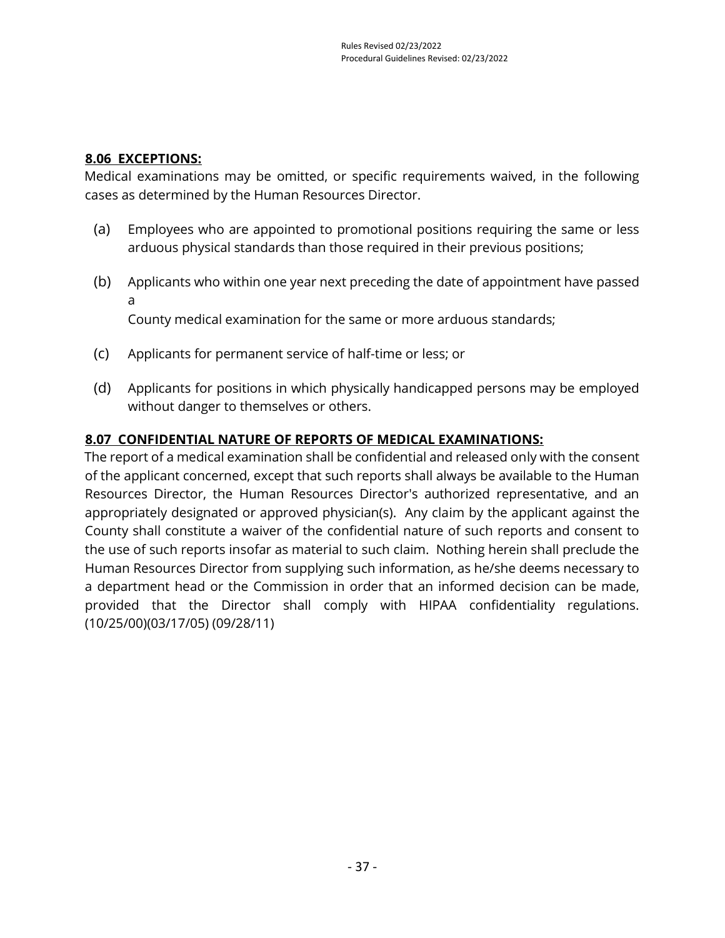# **8.06 EXCEPTIONS:**

Medical examinations may be omitted, or specific requirements waived, in the following cases as determined by the Human Resources Director.

- (a) Employees who are appointed to promotional positions requiring the same or less arduous physical standards than those required in their previous positions;
- (b) Applicants who within one year next preceding the date of appointment have passed a

County medical examination for the same or more arduous standards;

- (c) Applicants for permanent service of half-time or less; or
- (d) Applicants for positions in which physically handicapped persons may be employed without danger to themselves or others.

## **8.07 CONFIDENTIAL NATURE OF REPORTS OF MEDICAL EXAMINATIONS:**

The report of a medical examination shall be confidential and released only with the consent of the applicant concerned, except that such reports shall always be available to the Human Resources Director, the Human Resources Director's authorized representative, and an appropriately designated or approved physician(s). Any claim by the applicant against the County shall constitute a waiver of the confidential nature of such reports and consent to the use of such reports insofar as material to such claim. Nothing herein shall preclude the Human Resources Director from supplying such information, as he/she deems necessary to a department head or the Commission in order that an informed decision can be made, provided that the Director shall comply with HIPAA confidentiality regulations. (10/25/00)(03/17/05) (09/28/11)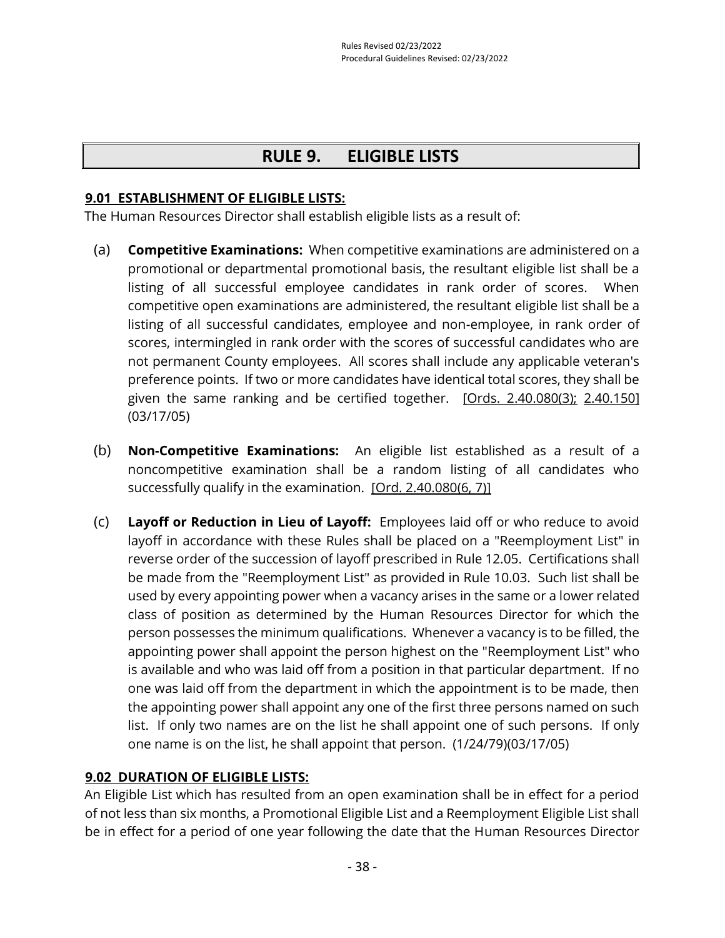# **RULE 9. ELIGIBLE LISTS**

#### **9.01 ESTABLISHMENT OF ELIGIBLE LISTS:**

The Human Resources Director shall establish eligible lists as a result of:

- (a) **Competitive Examinations:** When competitive examinations are administered on a promotional or departmental promotional basis, the resultant eligible list shall be a listing of all successful employee candidates in rank order of scores. When competitive open examinations are administered, the resultant eligible list shall be a listing of all successful candidates, employee and non-employee, in rank order of scores, intermingled in rank order with the scores of successful candidates who are not permanent County employees. All scores shall include any applicable veteran's preference points. If two or more candidates have identical total scores, they shall be given the same ranking and be certified together. [\[Ords. 2.40.080\(3\);](https://library.municode.com/ca/san_luis_obispo_county/codes/county_code?nodeId=TIT2ADPE_CH2.40CISESY_2.40.080CORU) [2.40.150\]](https://library.municode.com/ca/san_luis_obispo_county/codes/county_code?nodeId=TIT2ADPE_CH2.40CISESY_2.40.150VEPR) (03/17/05)
- (b) **Non-Competitive Examinations:** An eligible list established as a result of a noncompetitive examination shall be a random listing of all candidates who successfully qualify in the examination. [\[Ord. 2.40.080\(6, 7\)\]](https://library.municode.com/ca/san_luis_obispo_county/codes/county_code?nodeId=TIT2ADPE_CH2.40CISESY_2.40.080CORU)
- (c) **Layoff or Reduction in Lieu of Layoff:** Employees laid off or who reduce to avoid layoff in accordance with these Rules shall be placed on a "Reemployment List" in reverse order of the succession of layoff prescribed in Rule 12.05. Certifications shall be made from the "Reemployment List" as provided in Rule 10.03. Such list shall be used by every appointing power when a vacancy arises in the same or a lower related class of position as determined by the Human Resources Director for which the person possesses the minimum qualifications. Whenever a vacancy is to be filled, the appointing power shall appoint the person highest on the "Reemployment List" who is available and who was laid off from a position in that particular department. If no one was laid off from the department in which the appointment is to be made, then the appointing power shall appoint any one of the first three persons named on such list. If only two names are on the list he shall appoint one of such persons. If only one name is on the list, he shall appoint that person. (1/24/79)(03/17/05)

#### **9.02 DURATION OF ELIGIBLE LISTS:**

An Eligible List which has resulted from an open examination shall be in effect for a period of not less than six months, a Promotional Eligible List and a Reemployment Eligible List shall be in effect for a period of one year following the date that the Human Resources Director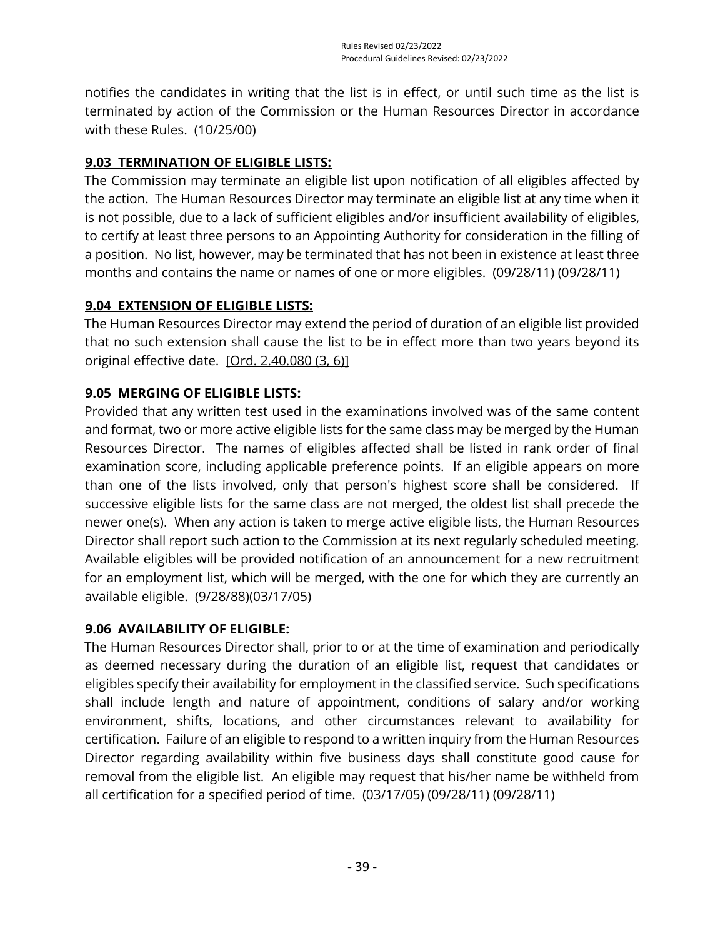notifies the candidates in writing that the list is in effect, or until such time as the list is terminated by action of the Commission or the Human Resources Director in accordance with these Rules. (10/25/00)

# **9.03 TERMINATION OF ELIGIBLE LISTS:**

The Commission may terminate an eligible list upon notification of all eligibles affected by the action. The Human Resources Director may terminate an eligible list at any time when it is not possible, due to a lack of sufficient eligibles and/or insufficient availability of eligibles, to certify at least three persons to an Appointing Authority for consideration in the filling of a position. No list, however, may be terminated that has not been in existence at least three months and contains the name or names of one or more eligibles. (09/28/11) (09/28/11)

# **9.04 EXTENSION OF ELIGIBLE LISTS:**

The Human Resources Director may extend the period of duration of an eligible list provided that no such extension shall cause the list to be in effect more than two years beyond its original effective date. [\[Ord. 2.40.080 \(3, 6\)\]](https://library.municode.com/ca/san_luis_obispo_county/codes/county_code?nodeId=TIT2ADPE_CH2.40CISESY_2.40.080CORU)

# **9.05 MERGING OF ELIGIBLE LISTS:**

Provided that any written test used in the examinations involved was of the same content and format, two or more active eligible lists for the same class may be merged by the Human Resources Director. The names of eligibles affected shall be listed in rank order of final examination score, including applicable preference points. If an eligible appears on more than one of the lists involved, only that person's highest score shall be considered. If successive eligible lists for the same class are not merged, the oldest list shall precede the newer one(s). When any action is taken to merge active eligible lists, the Human Resources Director shall report such action to the Commission at its next regularly scheduled meeting. Available eligibles will be provided notification of an announcement for a new recruitment for an employment list, which will be merged, with the one for which they are currently an available eligible. (9/28/88)(03/17/05)

#### **9.06 AVAILABILITY OF ELIGIBLE:**

The Human Resources Director shall, prior to or at the time of examination and periodically as deemed necessary during the duration of an eligible list, request that candidates or eligibles specify their availability for employment in the classified service. Such specifications shall include length and nature of appointment, conditions of salary and/or working environment, shifts, locations, and other circumstances relevant to availability for certification. Failure of an eligible to respond to a written inquiry from the Human Resources Director regarding availability within five business days shall constitute good cause for removal from the eligible list. An eligible may request that his/her name be withheld from all certification for a specified period of time. (03/17/05) (09/28/11) (09/28/11)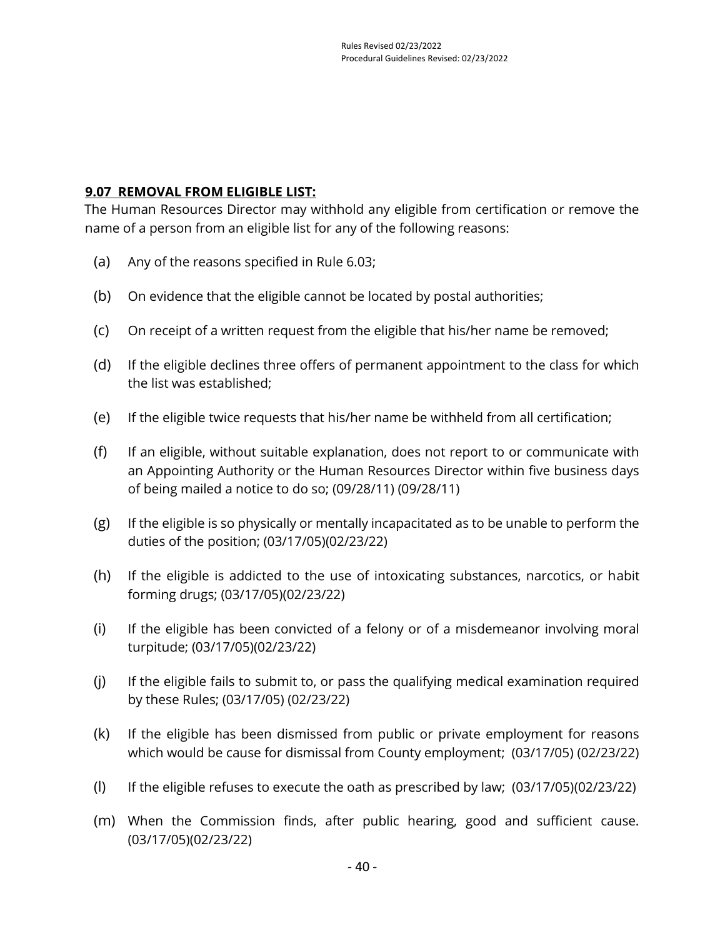#### **9.07 REMOVAL FROM ELIGIBLE LIST:**

The Human Resources Director may withhold any eligible from certification or remove the name of a person from an eligible list for any of the following reasons:

- (a) Any of the reasons specified in Rule 6.03;
- (b) On evidence that the eligible cannot be located by postal authorities;
- (c) On receipt of a written request from the eligible that his/her name be removed;
- (d) If the eligible declines three offers of permanent appointment to the class for which the list was established;
- (e) If the eligible twice requests that his/her name be withheld from all certification;
- (f) If an eligible, without suitable explanation, does not report to or communicate with an Appointing Authority or the Human Resources Director within five business days of being mailed a notice to do so; (09/28/11) (09/28/11)
- (g) If the eligible is so physically or mentally incapacitated as to be unable to perform the duties of the position; (03/17/05)(02/23/22)
- (h) If the eligible is addicted to the use of intoxicating substances, narcotics, or habit forming drugs; (03/17/05)(02/23/22)
- (i) If the eligible has been convicted of a felony or of a misdemeanor involving moral turpitude; (03/17/05)(02/23/22)
- (j) If the eligible fails to submit to, or pass the qualifying medical examination required by these Rules; (03/17/05) (02/23/22)
- (k) If the eligible has been dismissed from public or private employment for reasons which would be cause for dismissal from County employment; (03/17/05) (02/23/22)
- (I) If the eligible refuses to execute the oath as prescribed by law;  $(03/17/05)(02/23/22)$
- (m) When the Commission finds, after public hearing, good and sufficient cause. (03/17/05)(02/23/22)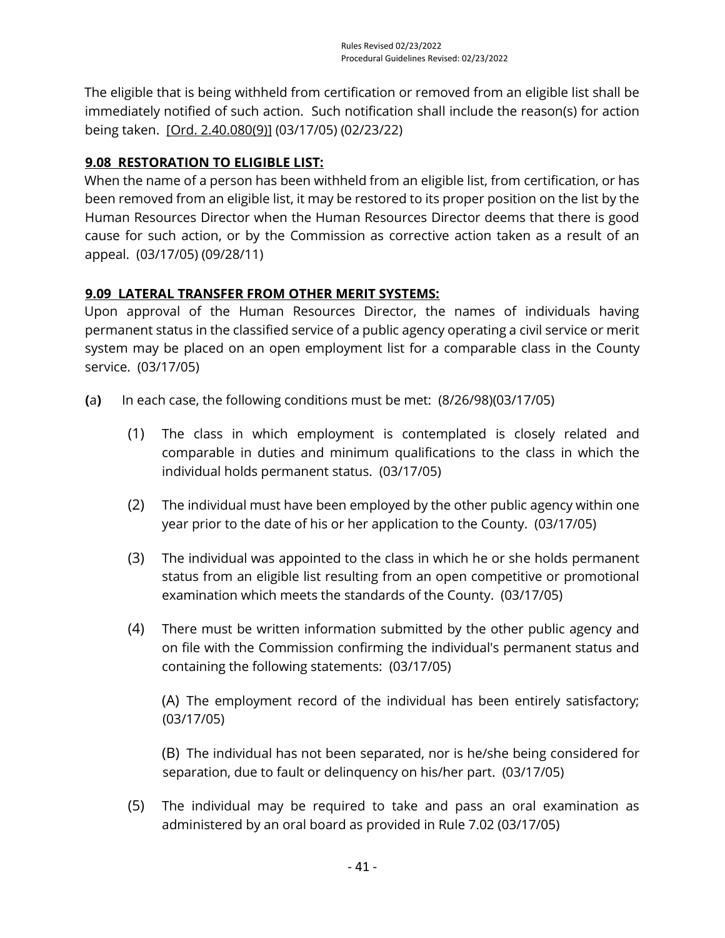The eligible that is being withheld from certification or removed from an eligible list shall be immediately notified of such action. Such notification shall include the reason(s) for action being taken. [\[Ord. 2.40.080\(9\)\]](https://library.municode.com/ca/san_luis_obispo_county/codes/county_code?nodeId=TIT2ADPE_CH2.40CISESY_2.40.080CORU) (03/17/05) (02/23/22)

# **9.08 RESTORATION TO ELIGIBLE LIST:**

When the name of a person has been withheld from an eligible list, from certification, or has been removed from an eligible list, it may be restored to its proper position on the list by the Human Resources Director when the Human Resources Director deems that there is good cause for such action, or by the Commission as corrective action taken as a result of an appeal. (03/17/05) (09/28/11)

## **9.09 LATERAL TRANSFER FROM OTHER MERIT SYSTEMS:**

Upon approval of the Human Resources Director, the names of individuals having permanent status in the classified service of a public agency operating a civil service or merit system may be placed on an open employment list for a comparable class in the County service. (03/17/05)

- **(**a**)** In each case, the following conditions must be met: (8/26/98)(03/17/05)
	- (1) The class in which employment is contemplated is closely related and comparable in duties and minimum qualifications to the class in which the individual holds permanent status. (03/17/05)
	- (2) The individual must have been employed by the other public agency within one year prior to the date of his or her application to the County. (03/17/05)
	- (3) The individual was appointed to the class in which he or she holds permanent status from an eligible list resulting from an open competitive or promotional examination which meets the standards of the County. (03/17/05)
	- (4) There must be written information submitted by the other public agency and on file with the Commission confirming the individual's permanent status and containing the following statements: (03/17/05)

(A) The employment record of the individual has been entirely satisfactory; (03/17/05)

(B) The individual has not been separated, nor is he/she being considered for separation, due to fault or delinquency on his/her part. (03/17/05)

(5) The individual may be required to take and pass an oral examination as administered by an oral board as provided in Rule 7.02 (03/17/05)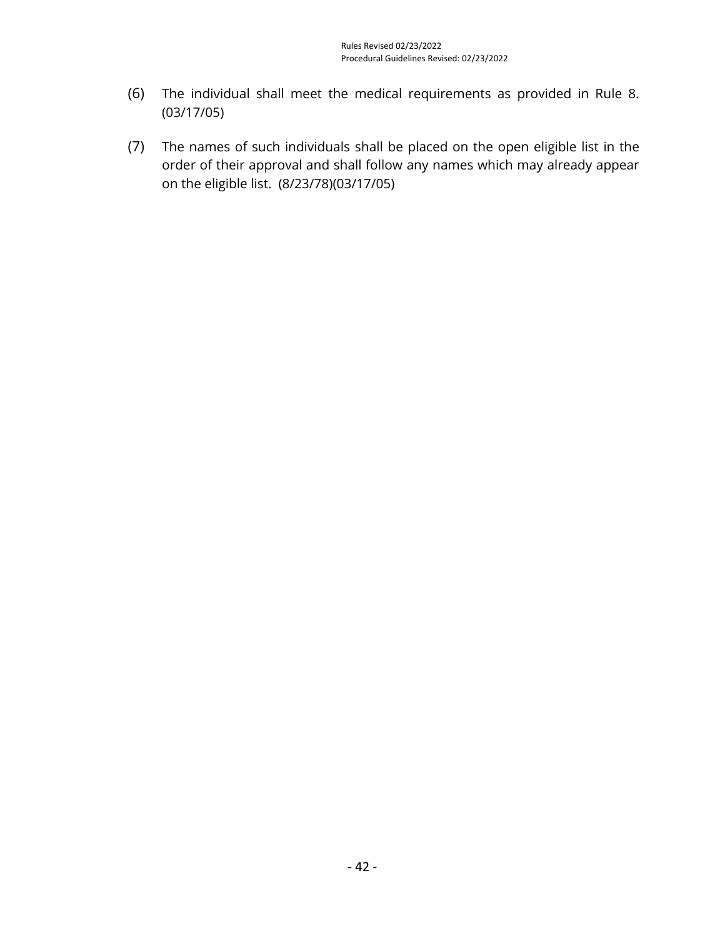- (6) The individual shall meet the medical requirements as provided in Rule 8. (03/17/05)
- (7) The names of such individuals shall be placed on the open eligible list in the order of their approval and shall follow any names which may already appear on the eligible list. (8/23/78)(03/17/05)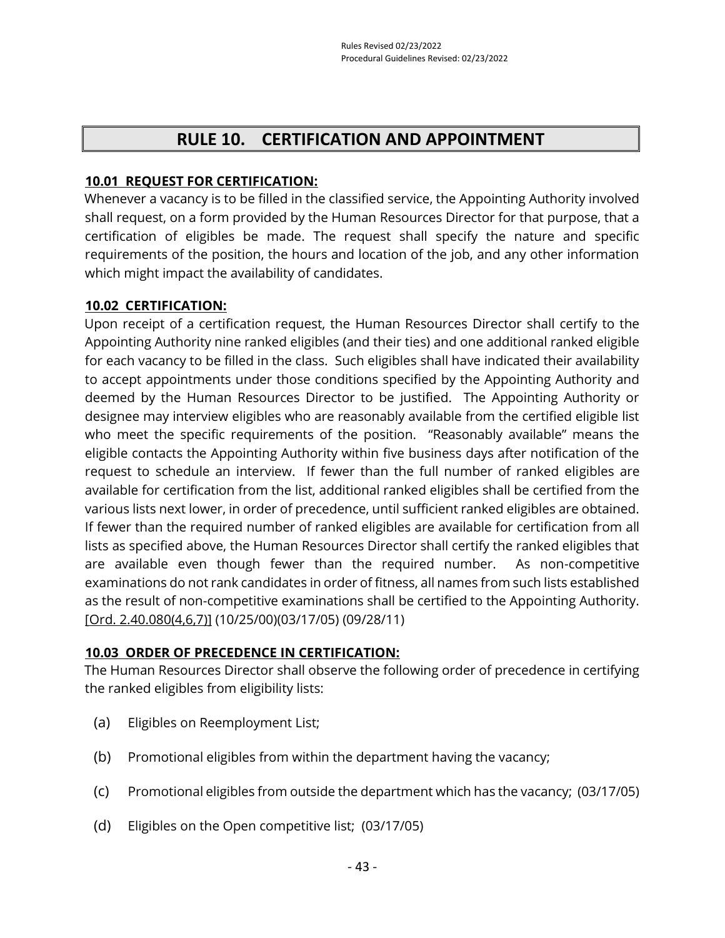# **RULE 10. CERTIFICATION AND APPOINTMENT**

#### **10.01 REQUEST FOR CERTIFICATION:**

Whenever a vacancy is to be filled in the classified service, the Appointing Authority involved shall request, on a form provided by the Human Resources Director for that purpose, that a certification of eligibles be made. The request shall specify the nature and specific requirements of the position, the hours and location of the job, and any other information which might impact the availability of candidates.

#### **10.02 CERTIFICATION:**

Upon receipt of a certification request, the Human Resources Director shall certify to the Appointing Authority nine ranked eligibles (and their ties) and one additional ranked eligible for each vacancy to be filled in the class. Such eligibles shall have indicated their availability to accept appointments under those conditions specified by the Appointing Authority and deemed by the Human Resources Director to be justified. The Appointing Authority or designee may interview eligibles who are reasonably available from the certified eligible list who meet the specific requirements of the position. "Reasonably available" means the eligible contacts the Appointing Authority within five business days after notification of the request to schedule an interview. If fewer than the full number of ranked eligibles are available for certification from the list, additional ranked eligibles shall be certified from the various lists next lower, in order of precedence, until sufficient ranked eligibles are obtained. If fewer than the required number of ranked eligibles are available for certification from all lists as specified above, the Human Resources Director shall certify the ranked eligibles that are available even though fewer than the required number. As non-competitive examinations do not rank candidates in order of fitness, all names from such lists established as the result of non-competitive examinations shall be certified to the Appointing Authority. [\[Ord. 2.40.080\(4,6,7\)\]](https://library.municode.com/ca/san_luis_obispo_county/codes/county_code?nodeId=TIT2ADPE_CH2.40CISESY_2.40.080CORU) (10/25/00)(03/17/05) (09/28/11)

#### **10.03 ORDER OF PRECEDENCE IN CERTIFICATION:**

The Human Resources Director shall observe the following order of precedence in certifying the ranked eligibles from eligibility lists:

- (a) Eligibles on Reemployment List;
- (b) Promotional eligibles from within the department having the vacancy;
- (c) Promotional eligibles from outside the department which has the vacancy; (03/17/05)
- (d) Eligibles on the Open competitive list; (03/17/05)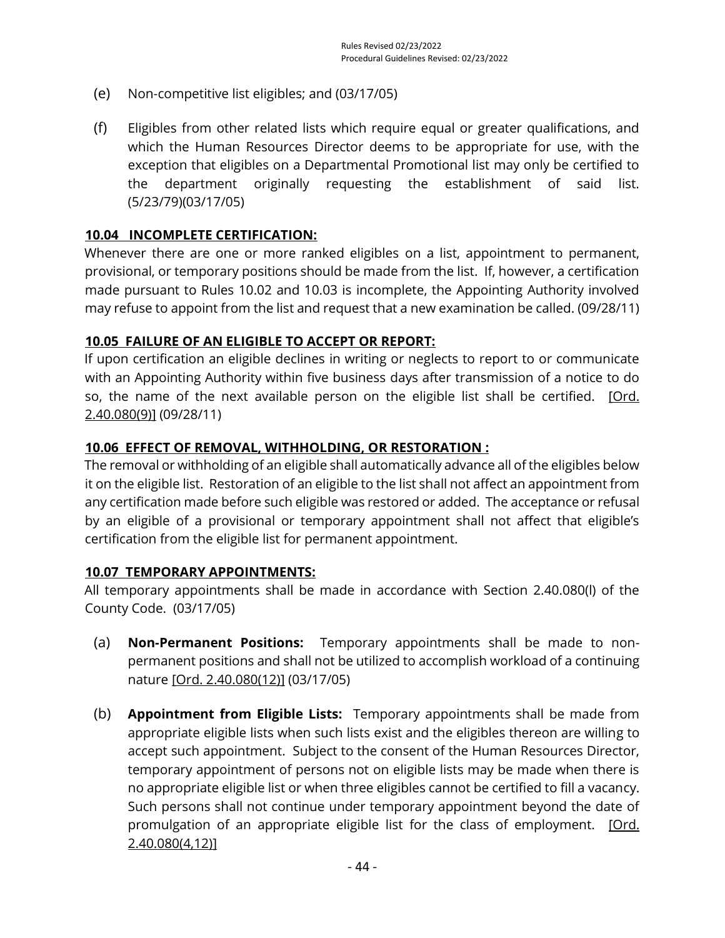- (e) Non-competitive list eligibles; and (03/17/05)
- (f) Eligibles from other related lists which require equal or greater qualifications, and which the Human Resources Director deems to be appropriate for use, with the exception that eligibles on a Departmental Promotional list may only be certified to the department originally requesting the establishment of said list. (5/23/79)(03/17/05)

#### **10.04 INCOMPLETE CERTIFICATION:**

Whenever there are one or more ranked eligibles on a list, appointment to permanent, provisional, or temporary positions should be made from the list. If, however, a certification made pursuant to Rules 10.02 and 10.03 is incomplete, the Appointing Authority involved may refuse to appoint from the list and request that a new examination be called. (09/28/11)

#### **10.05 FAILURE OF AN ELIGIBLE TO ACCEPT OR REPORT:**

If upon certification an eligible declines in writing or neglects to report to or communicate with an Appointing Authority within five business days after transmission of a notice to do so, the name of the next available person on the eligible list shall be certified. [Ord. [2.40.080\(9\)\]](https://library.municode.com/ca/san_luis_obispo_county/codes/county_code?nodeId=TIT2ADPE_CH2.40CISESY_2.40.080CORU) (09/28/11)

#### **10.06 EFFECT OF REMOVAL, WITHHOLDING, OR RESTORATION :**

The removal or withholding of an eligible shall automatically advance all of the eligibles below it on the eligible list. Restoration of an eligible to the list shall not affect an appointment from any certification made before such eligible was restored or added. The acceptance or refusal by an eligible of a provisional or temporary appointment shall not affect that eligible's certification from the eligible list for permanent appointment.

#### **10.07 TEMPORARY APPOINTMENTS:**

All temporary appointments shall be made in accordance with Section 2.40.080(l) of the County Code. (03/17/05)

- (a) **Non-Permanent Positions:** Temporary appointments shall be made to nonpermanent positions and shall not be utilized to accomplish workload of a continuing nature [\[Ord. 2.40.080\(12\)\]](https://library.municode.com/ca/san_luis_obispo_county/codes/county_code?nodeId=TIT2ADPE_CH2.40CISESY_2.40.080CORU) (03/17/05)
- (b) **Appointment from Eligible Lists:** Temporary appointments shall be made from appropriate eligible lists when such lists exist and the eligibles thereon are willing to accept such appointment. Subject to the consent of the Human Resources Director, temporary appointment of persons not on eligible lists may be made when there is no appropriate eligible list or when three eligibles cannot be certified to fill a vacancy. Such persons shall not continue under temporary appointment beyond the date of promulgation of an appropriate eligible list for the class of employment. [Ord.] [2.40.080\(4,12\)\]](https://library.municode.com/ca/san_luis_obispo_county/codes/county_code?nodeId=TIT2ADPE_CH2.40CISESY_2.40.080CORU)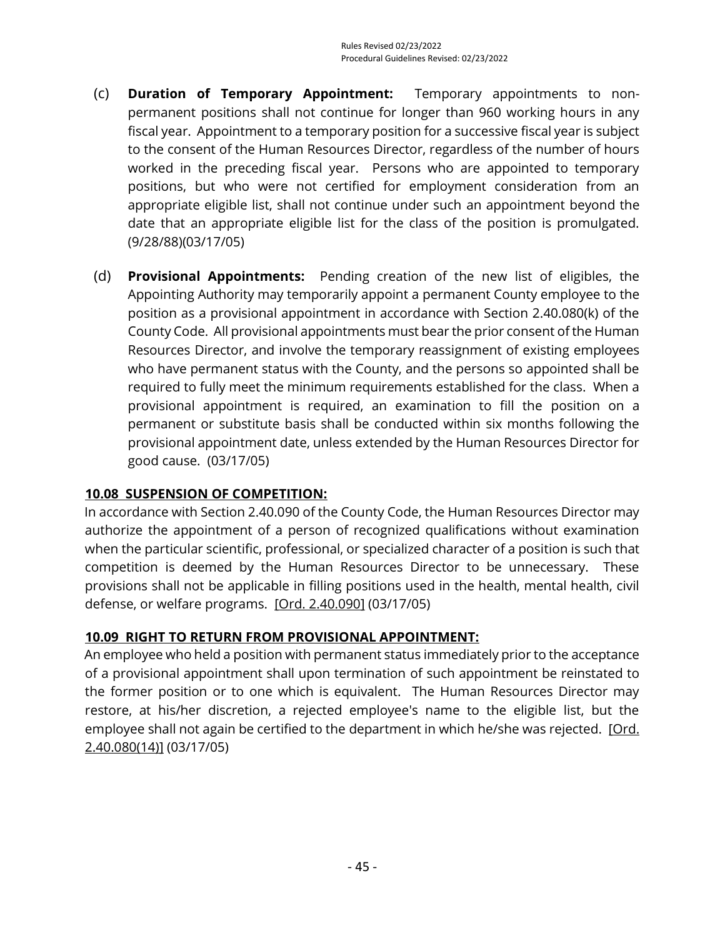- (c) **Duration of Temporary Appointment:** Temporary appointments to nonpermanent positions shall not continue for longer than 960 working hours in any fiscal year. Appointment to a temporary position for a successive fiscal year is subject to the consent of the Human Resources Director, regardless of the number of hours worked in the preceding fiscal year. Persons who are appointed to temporary positions, but who were not certified for employment consideration from an appropriate eligible list, shall not continue under such an appointment beyond the date that an appropriate eligible list for the class of the position is promulgated. (9/28/88)(03/17/05)
- (d) **Provisional Appointments:** Pending creation of the new list of eligibles, the Appointing Authority may temporarily appoint a permanent County employee to the position as a provisional appointment in accordance with Section 2.40.080(k) of the County Code. All provisional appointments must bear the prior consent of the Human Resources Director, and involve the temporary reassignment of existing employees who have permanent status with the County, and the persons so appointed shall be required to fully meet the minimum requirements established for the class. When a provisional appointment is required, an examination to fill the position on a permanent or substitute basis shall be conducted within six months following the provisional appointment date, unless extended by the Human Resources Director for good cause. (03/17/05)

#### **10.08 SUSPENSION OF COMPETITION:**

In accordance with Section 2.40.090 of the County Code, the Human Resources Director may authorize the appointment of a person of recognized qualifications without examination when the particular scientific, professional, or specialized character of a position is such that competition is deemed by the Human Resources Director to be unnecessary. These provisions shall not be applicable in filling positions used in the health, mental health, civil defense, or welfare programs. [\[Ord. 2.40.090\]](https://library.municode.com/ca/san_luis_obispo_county/codes/county_code?nodeId=TIT2ADPE_CH2.40CISESY_2.40.090VAPEPO) (03/17/05)

#### **10.09 RIGHT TO RETURN FROM PROVISIONAL APPOINTMENT:**

An employee who held a position with permanent status immediately prior to the acceptance of a provisional appointment shall upon termination of such appointment be reinstated to the former position or to one which is equivalent. The Human Resources Director may restore, at his/her discretion, a rejected employee's name to the eligible list, but the employee shall not again be certified to the department in which he/she was rejected. [Ord. [2.40.080\(14\)\]](https://library.municode.com/ca/san_luis_obispo_county/codes/county_code?nodeId=TIT2ADPE_CH2.40CISESY_2.40.080CORU) (03/17/05)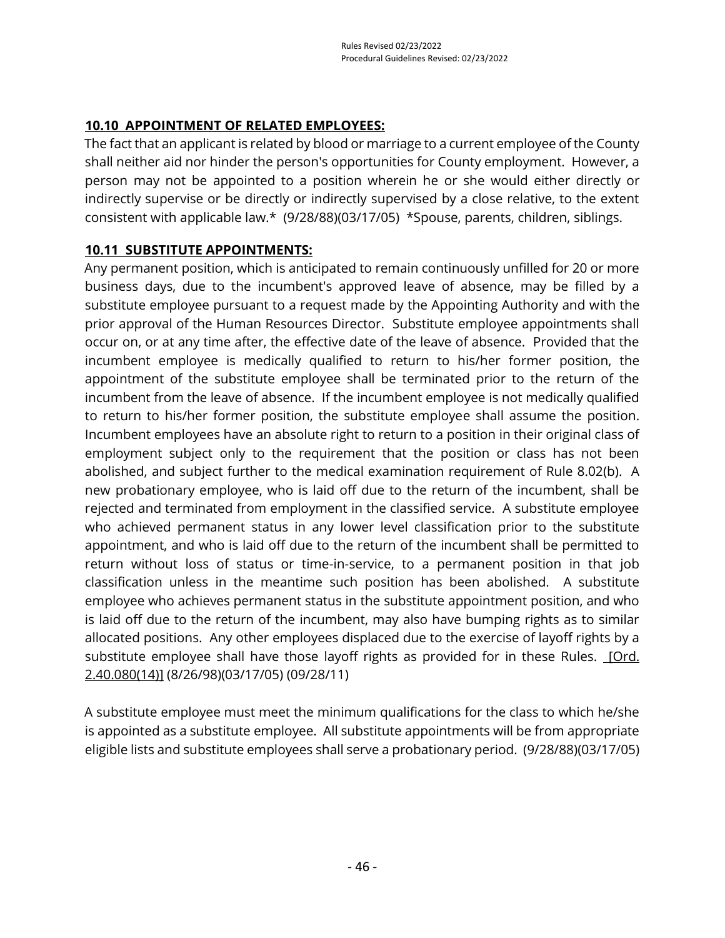# **10.10 APPOINTMENT OF RELATED EMPLOYEES:**

The fact that an applicant is related by blood or marriage to a current employee of the County shall neither aid nor hinder the person's opportunities for County employment. However, a person may not be appointed to a position wherein he or she would either directly or indirectly supervise or be directly or indirectly supervised by a close relative, to the extent consistent with applicable law.\* (9/28/88)(03/17/05) \*Spouse, parents, children, siblings.

## **10.11 SUBSTITUTE APPOINTMENTS:**

Any permanent position, which is anticipated to remain continuously unfilled for 20 or more business days, due to the incumbent's approved leave of absence, may be filled by a substitute employee pursuant to a request made by the Appointing Authority and with the prior approval of the Human Resources Director. Substitute employee appointments shall occur on, or at any time after, the effective date of the leave of absence. Provided that the incumbent employee is medically qualified to return to his/her former position, the appointment of the substitute employee shall be terminated prior to the return of the incumbent from the leave of absence. If the incumbent employee is not medically qualified to return to his/her former position, the substitute employee shall assume the position. Incumbent employees have an absolute right to return to a position in their original class of employment subject only to the requirement that the position or class has not been abolished, and subject further to the medical examination requirement of Rule 8.02(b). A new probationary employee, who is laid off due to the return of the incumbent, shall be rejected and terminated from employment in the classified service. A substitute employee who achieved permanent status in any lower level classification prior to the substitute appointment, and who is laid off due to the return of the incumbent shall be permitted to return without loss of status or time-in-service, to a permanent position in that job classification unless in the meantime such position has been abolished. A substitute employee who achieves permanent status in the substitute appointment position, and who is laid off due to the return of the incumbent, may also have bumping rights as to similar allocated positions. Any other employees displaced due to the exercise of layoff rights by a substitute employee shall have those layoff rights as provided for in these Rules. [Ord.] [2.40.080\(14\)\]](https://library.municode.com/ca/san_luis_obispo_county/codes/county_code?nodeId=TIT2ADPE_CH2.40CISESY_2.40.080CORU) (8/26/98)(03/17/05) (09/28/11)

A substitute employee must meet the minimum qualifications for the class to which he/she is appointed as a substitute employee. All substitute appointments will be from appropriate eligible lists and substitute employees shall serve a probationary period. (9/28/88)(03/17/05)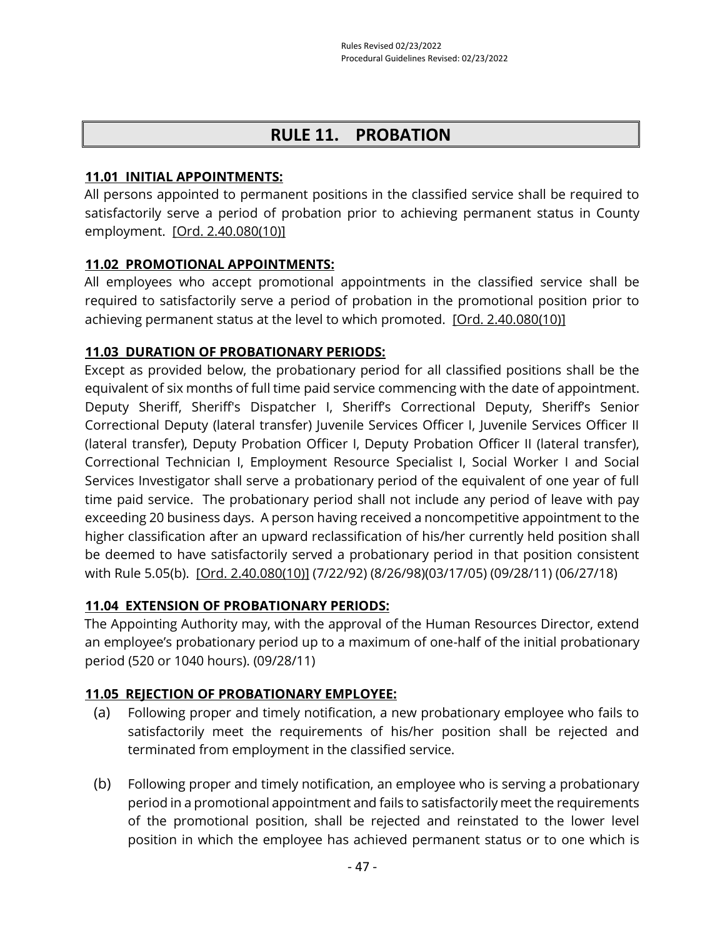# **RULE 11. PROBATION**

#### **11.01 INITIAL APPOINTMENTS:**

All persons appointed to permanent positions in the classified service shall be required to satisfactorily serve a period of probation prior to achieving permanent status in County employment. [\[Ord. 2.40.080\(10\)\]](https://library.municode.com/ca/san_luis_obispo_county/codes/county_code?nodeId=TIT2ADPE_CH2.40CISESY_2.40.080CORU)

## **11.02 PROMOTIONAL APPOINTMENTS:**

All employees who accept promotional appointments in the classified service shall be required to satisfactorily serve a period of probation in the promotional position prior to achieving permanent status at the level to which promoted. [\[Ord. 2.40.080\(10\)\]](https://library.municode.com/ca/san_luis_obispo_county/codes/county_code?nodeId=TIT2ADPE_CH2.40CISESY_2.40.080CORU)

# **11.03 DURATION OF PROBATIONARY PERIODS:**

Except as provided below, the probationary period for all classified positions shall be the equivalent of six months of full time paid service commencing with the date of appointment. Deputy Sheriff, Sheriff's Dispatcher I, Sheriff's Correctional Deputy, Sheriff's Senior Correctional Deputy (lateral transfer) Juvenile Services Officer I, Juvenile Services Officer II (lateral transfer), Deputy Probation Officer I, Deputy Probation Officer II (lateral transfer), Correctional Technician I, Employment Resource Specialist I, Social Worker I and Social Services Investigator shall serve a probationary period of the equivalent of one year of full time paid service. The probationary period shall not include any period of leave with pay exceeding 20 business days. A person having received a noncompetitive appointment to the higher classification after an upward reclassification of his/her currently held position shall be deemed to have satisfactorily served a probationary period in that position consistent with Rule 5.05(b). [\[Ord. 2.40.080\(10\)\]](https://library.municode.com/ca/san_luis_obispo_county/codes/county_code?nodeId=TIT2ADPE_CH2.40CISESY_2.40.080CORU) (7/22/92) (8/26/98)(03/17/05) (09/28/11) (06/27/18)

# **11.04 EXTENSION OF PROBATIONARY PERIODS:**

The Appointing Authority may, with the approval of the Human Resources Director, extend an employee's probationary period up to a maximum of one-half of the initial probationary period (520 or 1040 hours). (09/28/11)

# **11.05 REJECTION OF PROBATIONARY EMPLOYEE:**

- (a) Following proper and timely notification, a new probationary employee who fails to satisfactorily meet the requirements of his/her position shall be rejected and terminated from employment in the classified service.
- (b) Following proper and timely notification, an employee who is serving a probationary period in a promotional appointment and fails to satisfactorily meet the requirements of the promotional position, shall be rejected and reinstated to the lower level position in which the employee has achieved permanent status or to one which is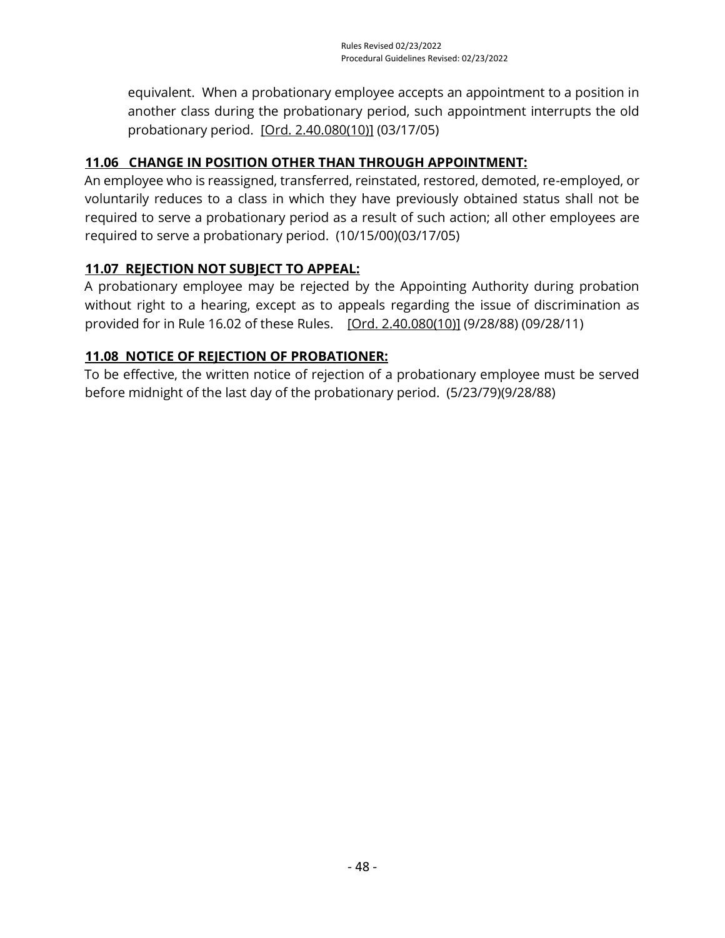equivalent. When a probationary employee accepts an appointment to a position in another class during the probationary period, such appointment interrupts the old probationary period. [\[Ord. 2.40.080\(10\)\]](https://library.municode.com/ca/san_luis_obispo_county/codes/county_code?nodeId=TIT2ADPE_CH2.40CISESY_2.40.080CORU) (03/17/05)

# **11.06 CHANGE IN POSITION OTHER THAN THROUGH APPOINTMENT:**

An employee who is reassigned, transferred, reinstated, restored, demoted, re-employed, or voluntarily reduces to a class in which they have previously obtained status shall not be required to serve a probationary period as a result of such action; all other employees are required to serve a probationary period. (10/15/00)(03/17/05)

## **11.07 REJECTION NOT SUBJECT TO APPEAL:**

A probationary employee may be rejected by the Appointing Authority during probation without right to a hearing, except as to appeals regarding the issue of discrimination as provided for in Rule 16.02 of these Rules. [\[Ord. 2.40.080\(10\)\]](https://library.municode.com/ca/san_luis_obispo_county/codes/county_code?nodeId=TIT2ADPE_CH2.40CISESY_2.40.080CORU) (9/28/88) (09/28/11)

# **11.08 NOTICE OF REJECTION OF PROBATIONER:**

To be effective, the written notice of rejection of a probationary employee must be served before midnight of the last day of the probationary period. (5/23/79)(9/28/88)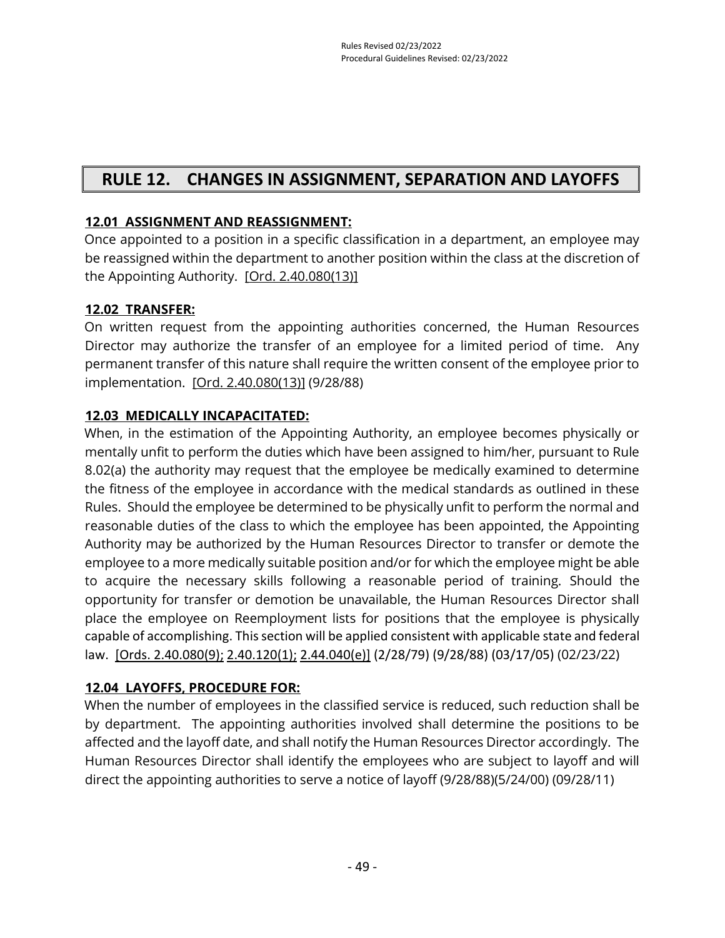# **RULE 12. CHANGES IN ASSIGNMENT, SEPARATION AND LAYOFFS**

# **12.01 ASSIGNMENT AND REASSIGNMENT:**

Once appointed to a position in a specific classification in a department, an employee may be reassigned within the department to another position within the class at the discretion of the Appointing Authority. [\[Ord. 2.40.080\(13\)\]](https://library.municode.com/ca/san_luis_obispo_county/codes/county_code?nodeId=TIT2ADPE_CH2.40CISESY_2.40.080CORU)

# **12.02 TRANSFER:**

On written request from the appointing authorities concerned, the Human Resources Director may authorize the transfer of an employee for a limited period of time. Any permanent transfer of this nature shall require the written consent of the employee prior to implementation. [\[Ord. 2.40.080\(13\)\]](https://library.municode.com/ca/san_luis_obispo_county/codes/county_code?nodeId=TIT2ADPE_CH2.40CISESY_2.40.080CORU) (9/28/88)

# **12.03 MEDICALLY INCAPACITATED:**

When, in the estimation of the Appointing Authority, an employee becomes physically or mentally unfit to perform the duties which have been assigned to him/her, pursuant to Rule 8.02(a) the authority may request that the employee be medically examined to determine the fitness of the employee in accordance with the medical standards as outlined in these Rules. Should the employee be determined to be physically unfit to perform the normal and reasonable duties of the class to which the employee has been appointed, the Appointing Authority may be authorized by the Human Resources Director to transfer or demote the employee to a more medically suitable position and/or for which the employee might be able to acquire the necessary skills following a reasonable period of training. Should the opportunity for transfer or demotion be unavailable, the Human Resources Director shall place the employee on Reemployment lists for positions that the employee is physically capable of accomplishing. This section will be applied consistent with applicable state and federal law. [\[Ords. 2.40.080\(9\);](https://library.municode.com/ca/san_luis_obispo_county/codes/county_code?nodeId=TIT2ADPE_CH2.40CISESY_2.40.080CORU) [2.40.120\(1\);](https://library.municode.com/ca/san_luis_obispo_county/codes/county_code?nodeId=TIT2ADPE_CH2.40CISESY_2.40.120RESUDI) [2.44.040\(e\)\]](https://library.municode.com/ca/san_luis_obispo_county/codes/county_code?nodeId=TIT2ADPE_CH2.44EMTE_2.44.040LEABWIPA) (2/28/79) (9/28/88) (03/17/05) (02/23/22)

# **12.04 LAYOFFS, PROCEDURE FOR:**

When the number of employees in the classified service is reduced, such reduction shall be by department. The appointing authorities involved shall determine the positions to be affected and the layoff date, and shall notify the Human Resources Director accordingly. The Human Resources Director shall identify the employees who are subject to layoff and will direct the appointing authorities to serve a notice of layoff (9/28/88)(5/24/00) (09/28/11)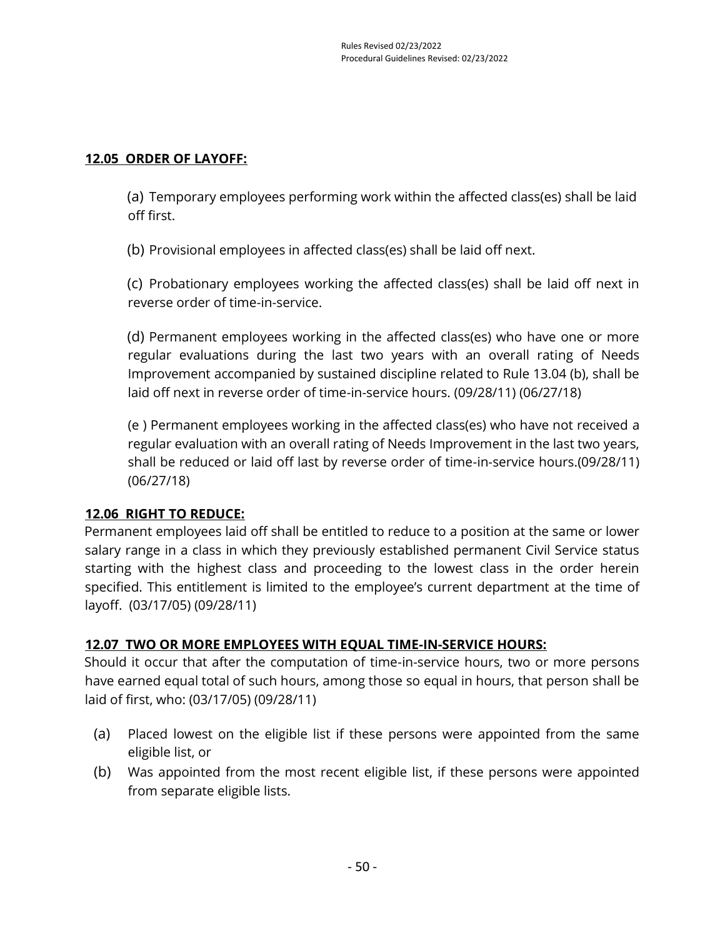#### **12.05 ORDER OF LAYOFF:**

(a) Temporary employees performing work within the affected class(es) shall be laid off first.

(b) Provisional employees in affected class(es) shall be laid off next.

(c) Probationary employees working the affected class(es) shall be laid off next in reverse order of time-in-service.

(d) Permanent employees working in the affected class(es) who have one or more regular evaluations during the last two years with an overall rating of Needs Improvement accompanied by sustained discipline related to Rule 13.04 (b), shall be laid off next in reverse order of time-in-service hours. (09/28/11) (06/27/18)

(e ) Permanent employees working in the affected class(es) who have not received a regular evaluation with an overall rating of Needs Improvement in the last two years, shall be reduced or laid off last by reverse order of time-in-service hours.(09/28/11) (06/27/18)

# **12.06 RIGHT TO REDUCE:**

Permanent employees laid off shall be entitled to reduce to a position at the same or lower salary range in a class in which they previously established permanent Civil Service status starting with the highest class and proceeding to the lowest class in the order herein specified. This entitlement is limited to the employee's current department at the time of layoff. (03/17/05) (09/28/11)

#### **12.07 TWO OR MORE EMPLOYEES WITH EQUAL TIME-IN-SERVICE HOURS:**

Should it occur that after the computation of time-in-service hours, two or more persons have earned equal total of such hours, among those so equal in hours, that person shall be laid of first, who: (03/17/05) (09/28/11)

- (a) Placed lowest on the eligible list if these persons were appointed from the same eligible list, or
- (b) Was appointed from the most recent eligible list, if these persons were appointed from separate eligible lists.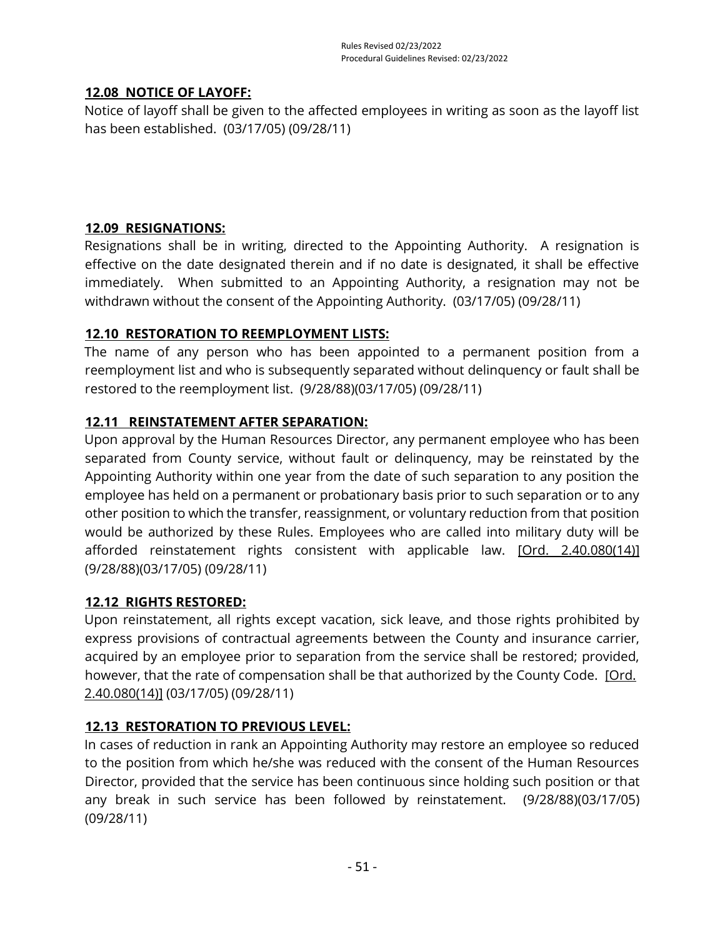## **12.08 NOTICE OF LAYOFF:**

Notice of layoff shall be given to the affected employees in writing as soon as the layoff list has been established. (03/17/05) (09/28/11)

# **12.09 RESIGNATIONS:**

Resignations shall be in writing, directed to the Appointing Authority. A resignation is effective on the date designated therein and if no date is designated, it shall be effective immediately. When submitted to an Appointing Authority, a resignation may not be withdrawn without the consent of the Appointing Authority. (03/17/05) (09/28/11)

## **12.10 RESTORATION TO REEMPLOYMENT LISTS:**

The name of any person who has been appointed to a permanent position from a reemployment list and who is subsequently separated without delinquency or fault shall be restored to the reemployment list. (9/28/88)(03/17/05) (09/28/11)

## **12.11 REINSTATEMENT AFTER SEPARATION:**

Upon approval by the Human Resources Director, any permanent employee who has been separated from County service, without fault or delinquency, may be reinstated by the Appointing Authority within one year from the date of such separation to any position the employee has held on a permanent or probationary basis prior to such separation or to any other position to which the transfer, reassignment, or voluntary reduction from that position would be authorized by these Rules. Employees who are called into military duty will be afforded reinstatement rights consistent with applicable law. [Ord. 2.40.080(14)] (9/28/88)(03/17/05) (09/28/11)

#### **12.12 RIGHTS RESTORED:**

Upon reinstatement, all rights except vacation, sick leave, and those rights prohibited by express provisions of contractual agreements between the County and insurance carrier, acquired by an employee prior to separation from the service shall be restored; provided, however, that the rate of compensation shall be that authorized by the County Code. [Ord.] [2.40.080\(14\)\]](https://library.municode.com/ca/san_luis_obispo_county/codes/county_code?nodeId=TIT2ADPE_CH2.40CISESY_2.40.080CORU) (03/17/05) (09/28/11)

# **12.13 RESTORATION TO PREVIOUS LEVEL:**

In cases of reduction in rank an Appointing Authority may restore an employee so reduced to the position from which he/she was reduced with the consent of the Human Resources Director, provided that the service has been continuous since holding such position or that any break in such service has been followed by reinstatement. (9/28/88)(03/17/05) (09/28/11)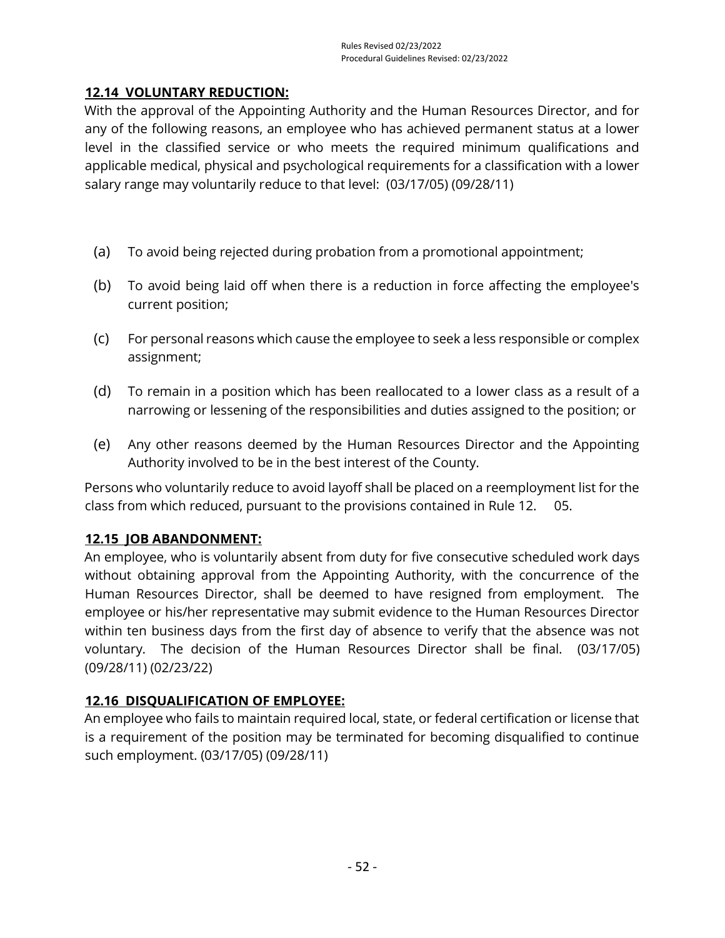# **12.14 VOLUNTARY REDUCTION:**

With the approval of the Appointing Authority and the Human Resources Director, and for any of the following reasons, an employee who has achieved permanent status at a lower level in the classified service or who meets the required minimum qualifications and applicable medical, physical and psychological requirements for a classification with a lower salary range may voluntarily reduce to that level: (03/17/05) (09/28/11)

- (a) To avoid being rejected during probation from a promotional appointment;
- (b) To avoid being laid off when there is a reduction in force affecting the employee's current position;
- (c) For personal reasons which cause the employee to seek a less responsible or complex assignment;
- (d) To remain in a position which has been reallocated to a lower class as a result of a narrowing or lessening of the responsibilities and duties assigned to the position; or
- (e) Any other reasons deemed by the Human Resources Director and the Appointing Authority involved to be in the best interest of the County.

Persons who voluntarily reduce to avoid layoff shall be placed on a reemployment list for the class from which reduced, pursuant to the provisions contained in Rule 12. 05.

#### **12.15 JOB ABANDONMENT:**

An employee, who is voluntarily absent from duty for five consecutive scheduled work days without obtaining approval from the Appointing Authority, with the concurrence of the Human Resources Director, shall be deemed to have resigned from employment. The employee or his/her representative may submit evidence to the Human Resources Director within ten business days from the first day of absence to verify that the absence was not voluntary. The decision of the Human Resources Director shall be final. (03/17/05) (09/28/11) (02/23/22)

#### **12.16 DISQUALIFICATION OF EMPLOYEE:**

An employee who fails to maintain required local, state, or federal certification or license that is a requirement of the position may be terminated for becoming disqualified to continue such employment. (03/17/05) (09/28/11)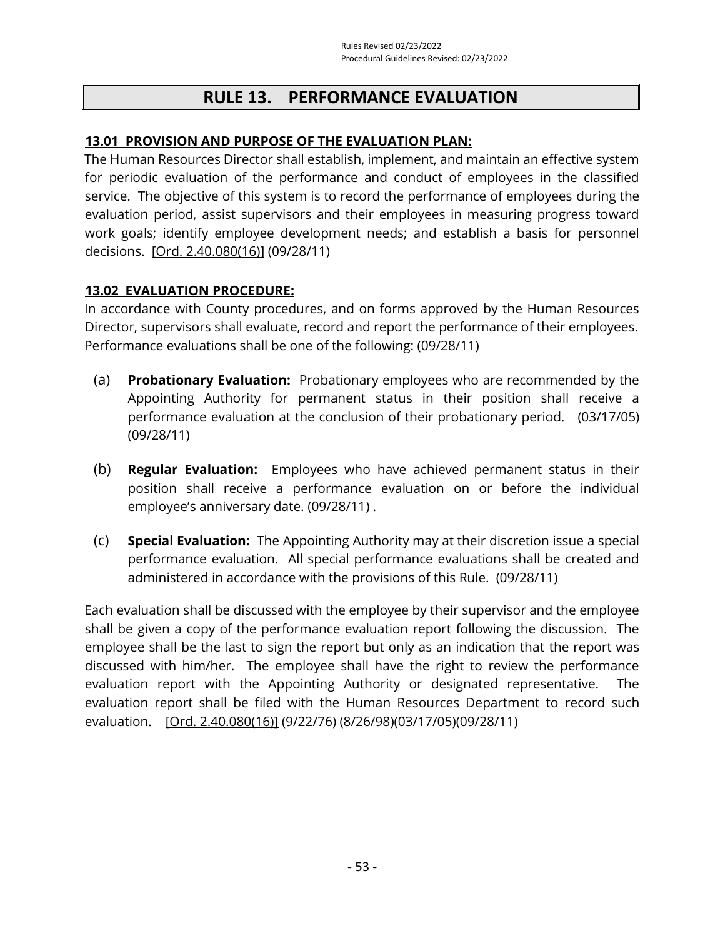# **RULE 13. PERFORMANCE EVALUATION**

## **13.01 PROVISION AND PURPOSE OF THE EVALUATION PLAN:**

The Human Resources Director shall establish, implement, and maintain an effective system for periodic evaluation of the performance and conduct of employees in the classified service. The objective of this system is to record the performance of employees during the evaluation period, assist supervisors and their employees in measuring progress toward work goals; identify employee development needs; and establish a basis for personnel decisions. [\[Ord. 2.40.080\(16\)\]](https://library.municode.com/ca/san_luis_obispo_county/codes/county_code?nodeId=TIT2ADPE_CH2.40CISESY_2.40.080CORU) (09/28/11)

## **13.02 EVALUATION PROCEDURE:**

In accordance with County procedures, and on forms approved by the Human Resources Director, supervisors shall evaluate, record and report the performance of their employees. Performance evaluations shall be one of the following: (09/28/11)

- (a) **Probationary Evaluation:** Probationary employees who are recommended by the Appointing Authority for permanent status in their position shall receive a performance evaluation at the conclusion of their probationary period. (03/17/05) (09/28/11)
- (b) **Regular Evaluation:** Employees who have achieved permanent status in their position shall receive a performance evaluation on or before the individual employee's anniversary date. (09/28/11) .
- (c) **Special Evaluation:** The Appointing Authority may at their discretion issue a special performance evaluation. All special performance evaluations shall be created and administered in accordance with the provisions of this Rule. (09/28/11)

Each evaluation shall be discussed with the employee by their supervisor and the employee shall be given a copy of the performance evaluation report following the discussion. The employee shall be the last to sign the report but only as an indication that the report was discussed with him/her. The employee shall have the right to review the performance evaluation report with the Appointing Authority or designated representative. The evaluation report shall be filed with the Human Resources Department to record such evaluation. [\[Ord. 2.40.080\(16\)\]](https://library.municode.com/ca/san_luis_obispo_county/codes/county_code?nodeId=TIT2ADPE_CH2.40CISESY_2.40.080CORU) (9/22/76) (8/26/98)(03/17/05)(09/28/11)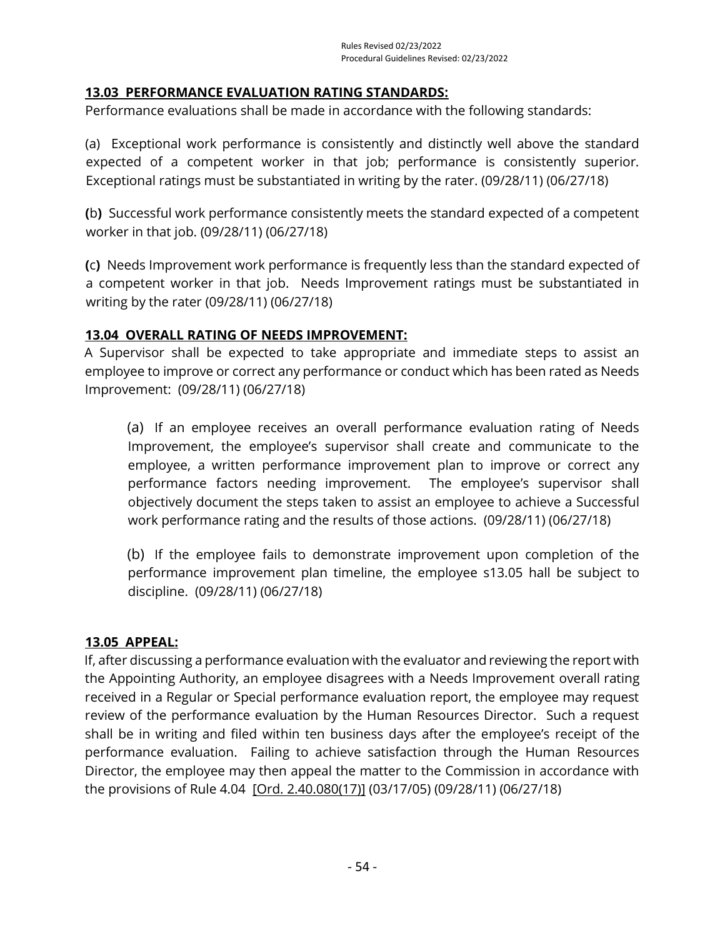## **13.03 PERFORMANCE EVALUATION RATING STANDARDS:**

Performance evaluations shall be made in accordance with the following standards:

(a) Exceptional work performance is consistently and distinctly well above the standard expected of a competent worker in that job; performance is consistently superior. Exceptional ratings must be substantiated in writing by the rater. (09/28/11) (06/27/18)

**(**b**)** Successful work performance consistently meets the standard expected of a competent worker in that job. (09/28/11) (06/27/18)

**(**c**)** Needs Improvement work performance is frequently less than the standard expected of a competent worker in that job. Needs Improvement ratings must be substantiated in writing by the rater (09/28/11) (06/27/18)

## **13.04 OVERALL RATING OF NEEDS IMPROVEMENT:**

A Supervisor shall be expected to take appropriate and immediate steps to assist an employee to improve or correct any performance or conduct which has been rated as Needs Improvement: (09/28/11) (06/27/18)

(a) If an employee receives an overall performance evaluation rating of Needs Improvement, the employee's supervisor shall create and communicate to the employee, a written performance improvement plan to improve or correct any performance factors needing improvement. The employee's supervisor shall objectively document the steps taken to assist an employee to achieve a Successful work performance rating and the results of those actions. (09/28/11) (06/27/18)

(b) If the employee fails to demonstrate improvement upon completion of the performance improvement plan timeline, the employee s13.05 hall be subject to discipline. (09/28/11) (06/27/18)

#### **13.05 APPEAL:**

If, after discussing a performance evaluation with the evaluator and reviewing the report with the Appointing Authority, an employee disagrees with a Needs Improvement overall rating received in a Regular or Special performance evaluation report, the employee may request review of the performance evaluation by the Human Resources Director. Such a request shall be in writing and filed within ten business days after the employee's receipt of the performance evaluation. Failing to achieve satisfaction through the Human Resources Director, the employee may then appeal the matter to the Commission in accordance with the provisions of Rule 4.04 [\[Ord. 2.40.080\(17\)\]](https://library.municode.com/ca/san_luis_obispo_county/codes/county_code?nodeId=TIT2ADPE_CH2.40CISESY_2.40.080CORU) (03/17/05) (09/28/11) (06/27/18)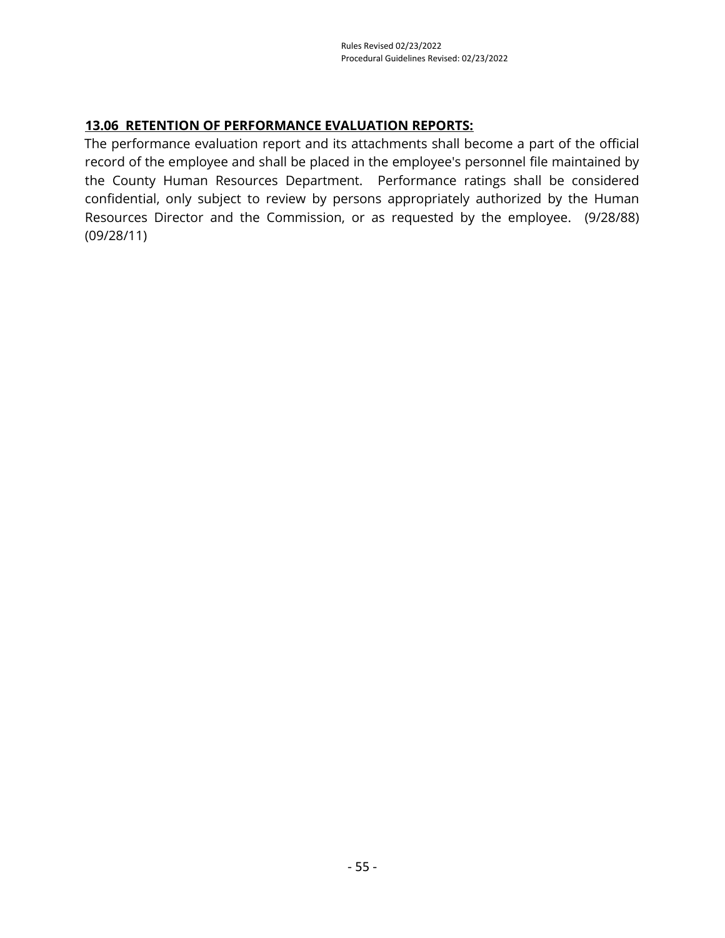# **13.06 RETENTION OF PERFORMANCE EVALUATION REPORTS:**

The performance evaluation report and its attachments shall become a part of the official record of the employee and shall be placed in the employee's personnel file maintained by the County Human Resources Department. Performance ratings shall be considered confidential, only subject to review by persons appropriately authorized by the Human Resources Director and the Commission, or as requested by the employee. (9/28/88) (09/28/11)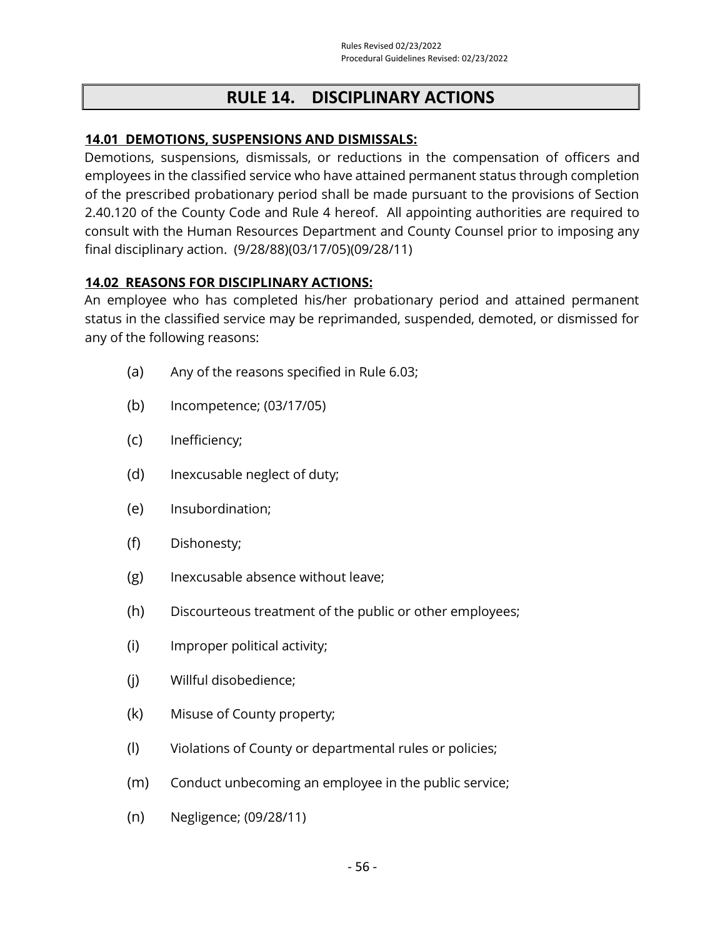# **RULE 14. DISCIPLINARY ACTIONS**

#### **14.01 DEMOTIONS, SUSPENSIONS AND DISMISSALS:**

Demotions, suspensions, dismissals, or reductions in the compensation of officers and employees in the classified service who have attained permanent status through completion of the prescribed probationary period shall be made pursuant to the provisions of Section 2.40.120 of the County Code and Rule 4 hereof. All appointing authorities are required to consult with the Human Resources Department and County Counsel prior to imposing any final disciplinary action. (9/28/88)(03/17/05)(09/28/11)

#### **14.02 REASONS FOR DISCIPLINARY ACTIONS:**

An employee who has completed his/her probationary period and attained permanent status in the classified service may be reprimanded, suspended, demoted, or dismissed for any of the following reasons:

- (a) Any of the reasons specified in Rule 6.03;
- (b) Incompetence; (03/17/05)
- (c) Inefficiency;
- (d) Inexcusable neglect of duty;
- (e) Insubordination;
- (f) Dishonesty;
- (g) Inexcusable absence without leave;
- (h) Discourteous treatment of the public or other employees;
- (i) Improper political activity;
- (j) Willful disobedience;
- (k) Misuse of County property;
- (l) Violations of County or departmental rules or policies;
- (m) Conduct unbecoming an employee in the public service;
- (n) Negligence; (09/28/11)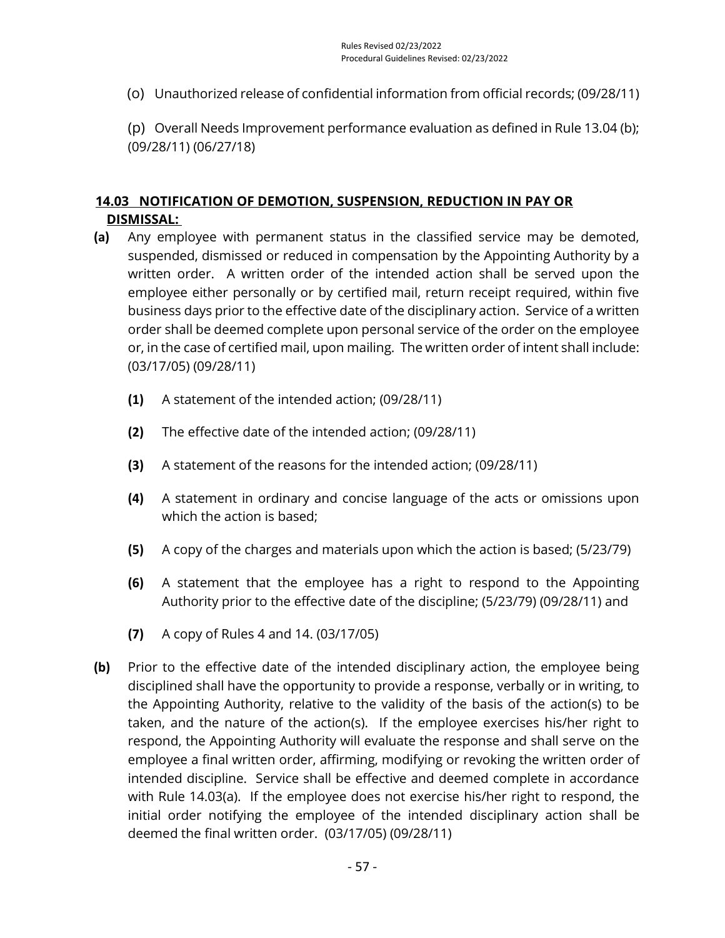(o) Unauthorized release of confidential information from official records; (09/28/11)

(p) Overall Needs Improvement performance evaluation as defined in Rule 13.04 (b); (09/28/11) (06/27/18)

# **14.03 NOTIFICATION OF DEMOTION, SUSPENSION, REDUCTION IN PAY OR DISMISSAL:**

- **(a)** Any employee with permanent status in the classified service may be demoted, suspended, dismissed or reduced in compensation by the Appointing Authority by a written order. A written order of the intended action shall be served upon the employee either personally or by certified mail, return receipt required, within five business days prior to the effective date of the disciplinary action. Service of a written order shall be deemed complete upon personal service of the order on the employee or, in the case of certified mail, upon mailing. The written order of intent shall include: (03/17/05) (09/28/11)
	- **(1)** A statement of the intended action; (09/28/11)
	- **(2)** The effective date of the intended action; (09/28/11)
	- **(3)** A statement of the reasons for the intended action; (09/28/11)
	- **(4)** A statement in ordinary and concise language of the acts or omissions upon which the action is based;
	- **(5)** A copy of the charges and materials upon which the action is based; (5/23/79)
	- **(6)** A statement that the employee has a right to respond to the Appointing Authority prior to the effective date of the discipline; (5/23/79) (09/28/11) and
	- **(7)** A copy of Rules 4 and 14. (03/17/05)
- **(b)** Prior to the effective date of the intended disciplinary action, the employee being disciplined shall have the opportunity to provide a response, verbally or in writing, to the Appointing Authority, relative to the validity of the basis of the action(s) to be taken, and the nature of the action(s). If the employee exercises his/her right to respond, the Appointing Authority will evaluate the response and shall serve on the employee a final written order, affirming, modifying or revoking the written order of intended discipline. Service shall be effective and deemed complete in accordance with Rule 14.03(a). If the employee does not exercise his/her right to respond, the initial order notifying the employee of the intended disciplinary action shall be deemed the final written order. (03/17/05) (09/28/11)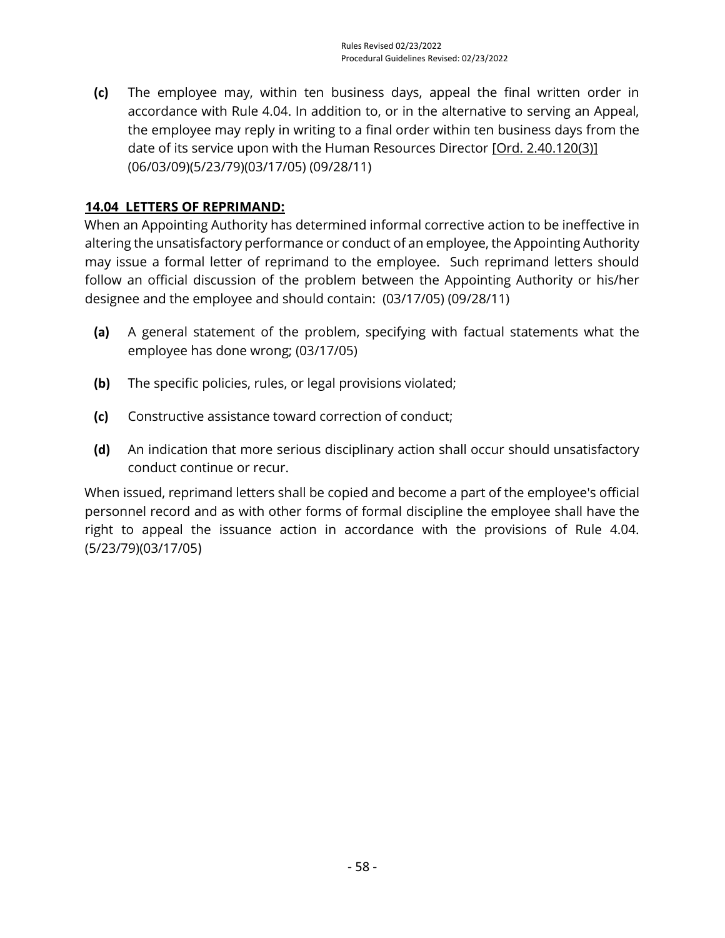**(c)** The employee may, within ten business days, appeal the final written order in accordance with Rule 4.04. In addition to, or in the alternative to serving an Appeal, the employee may reply in writing to a final order within ten business days from the date of its service upon with the Human Resources Director [\[Ord. 2.40.120\(3\)\]](https://library.municode.com/ca/san_luis_obispo_county/codes/county_code?nodeId=TIT2ADPE_CH2.40CISESY_2.40.120RESUDI) (06/03/09)(5/23/79)(03/17/05) (09/28/11)

# **14.04 LETTERS OF REPRIMAND:**

When an Appointing Authority has determined informal corrective action to be ineffective in altering the unsatisfactory performance or conduct of an employee, the Appointing Authority may issue a formal letter of reprimand to the employee. Such reprimand letters should follow an official discussion of the problem between the Appointing Authority or his/her designee and the employee and should contain: (03/17/05) (09/28/11)

- **(a)** A general statement of the problem, specifying with factual statements what the employee has done wrong; (03/17/05)
- **(b)** The specific policies, rules, or legal provisions violated;
- **(c)** Constructive assistance toward correction of conduct;
- **(d)** An indication that more serious disciplinary action shall occur should unsatisfactory conduct continue or recur.

When issued, reprimand letters shall be copied and become a part of the employee's official personnel record and as with other forms of formal discipline the employee shall have the right to appeal the issuance action in accordance with the provisions of Rule 4.04. (5/23/79)(03/17/05)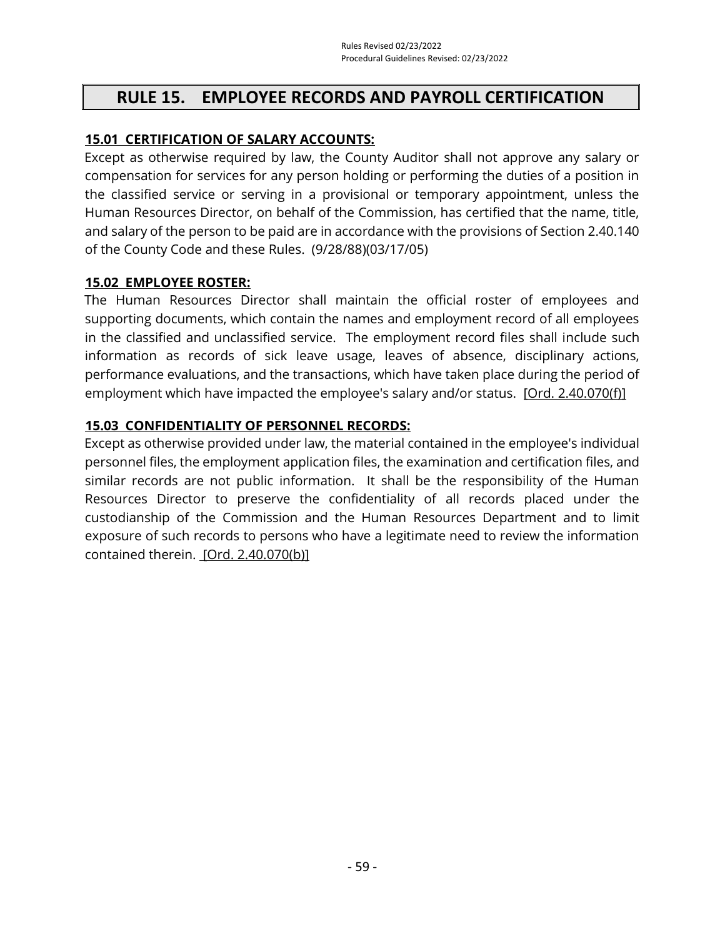# **RULE 15. EMPLOYEE RECORDS AND PAYROLL CERTIFICATION**

# **15.01 CERTIFICATION OF SALARY ACCOUNTS:**

Except as otherwise required by law, the County Auditor shall not approve any salary or compensation for services for any person holding or performing the duties of a position in the classified service or serving in a provisional or temporary appointment, unless the Human Resources Director, on behalf of the Commission, has certified that the name, title, and salary of the person to be paid are in accordance with the provisions of Section 2.40.140 of the County Code and these Rules. (9/28/88)(03/17/05)

#### **15.02 EMPLOYEE ROSTER:**

The Human Resources Director shall maintain the official roster of employees and supporting documents, which contain the names and employment record of all employees in the classified and unclassified service. The employment record files shall include such information as records of sick leave usage, leaves of absence, disciplinary actions, performance evaluations, and the transactions, which have taken place during the period of employment which have impacted the employee's salary and/or status. [\[Ord. 2.40.070\(f\)\]](https://library.municode.com/ca/san_luis_obispo_county/codes/county_code?nodeId=TIT2ADPE_CH2.40CISESY_2.40.070DUCOPEDI)

#### **15.03 CONFIDENTIALITY OF PERSONNEL RECORDS:**

Except as otherwise provided under law, the material contained in the employee's individual personnel files, the employment application files, the examination and certification files, and similar records are not public information. It shall be the responsibility of the Human Resources Director to preserve the confidentiality of all records placed under the custodianship of the Commission and the Human Resources Department and to limit exposure of such records to persons who have a legitimate need to review the information contained therein. [\[Ord. 2.40.070\(b\)\]](https://library.municode.com/ca/san_luis_obispo_county/codes/county_code?nodeId=TIT2ADPE_CH2.40CISESY_2.40.070DUCOPEDI)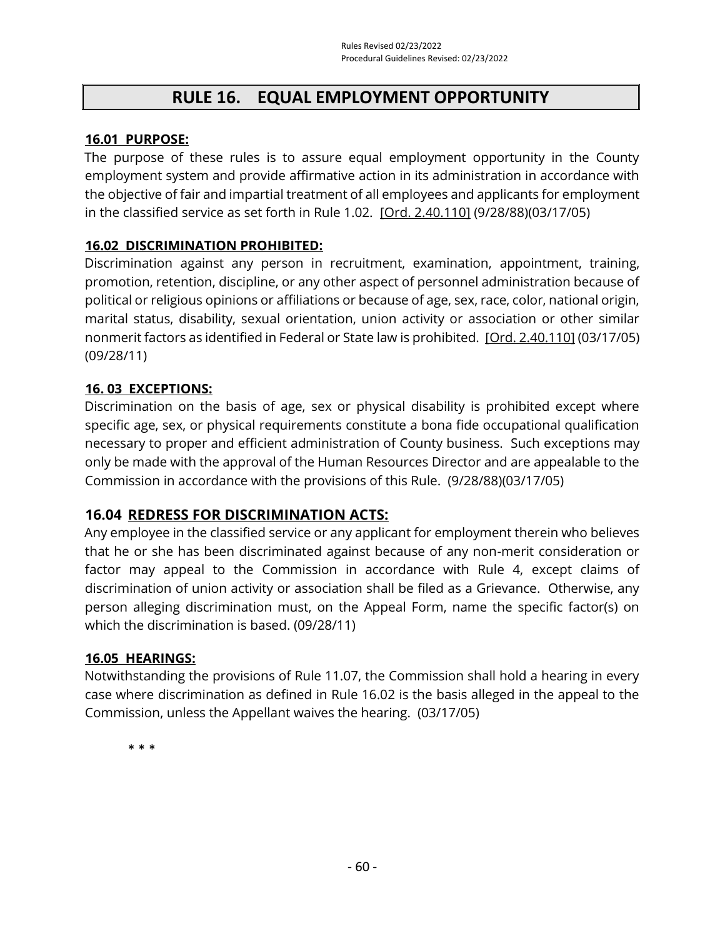# **RULE 16. EQUAL EMPLOYMENT OPPORTUNITY**

#### **16.01 PURPOSE:**

The purpose of these rules is to assure equal employment opportunity in the County employment system and provide affirmative action in its administration in accordance with the objective of fair and impartial treatment of all employees and applicants for employment in the classified service as set forth in Rule 1.02. [\[Ord. 2.40.110\]](https://library.municode.com/ca/san_luis_obispo_county/codes/county_code?nodeId=TIT2ADPE_CH2.40CISESY_2.40.110DIPR) (9/28/88)(03/17/05)

## **16.02 DISCRIMINATION PROHIBITED:**

Discrimination against any person in recruitment, examination, appointment, training, promotion, retention, discipline, or any other aspect of personnel administration because of political or religious opinions or affiliations or because of age, sex, race, color, national origin, marital status, disability, sexual orientation, union activity or association or other similar nonmerit factors as identified in Federal or State law is prohibited. [\[Ord. 2.40.110\]](https://library.municode.com/ca/san_luis_obispo_county/codes/county_code?nodeId=TIT2ADPE_CH2.40CISESY_2.40.110DIPR) (03/17/05) (09/28/11)

## **16. 03 EXCEPTIONS:**

Discrimination on the basis of age, sex or physical disability is prohibited except where specific age, sex, or physical requirements constitute a bona fide occupational qualification necessary to proper and efficient administration of County business. Such exceptions may only be made with the approval of the Human Resources Director and are appealable to the Commission in accordance with the provisions of this Rule. (9/28/88)(03/17/05)

# **16.04 REDRESS FOR DISCRIMINATION ACTS:**

Any employee in the classified service or any applicant for employment therein who believes that he or she has been discriminated against because of any non-merit consideration or factor may appeal to the Commission in accordance with Rule 4, except claims of discrimination of union activity or association shall be filed as a Grievance. Otherwise, any person alleging discrimination must, on the Appeal Form, name the specific factor(s) on which the discrimination is based. (09/28/11)

#### **16.05 HEARINGS:**

Notwithstanding the provisions of Rule 11.07, the Commission shall hold a hearing in every case where discrimination as defined in Rule 16.02 is the basis alleged in the appeal to the Commission, unless the Appellant waives the hearing. (03/17/05)

\* \* \*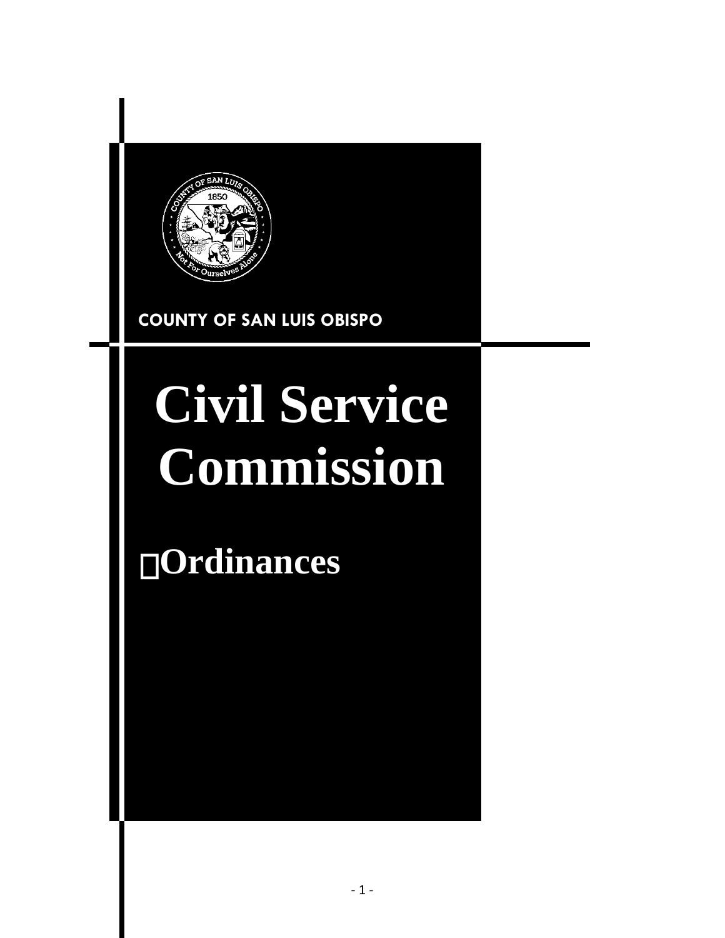

**COUNTY OF SAN LUIS OBISPO**

# **Civil Service Commission**

**Ordinances**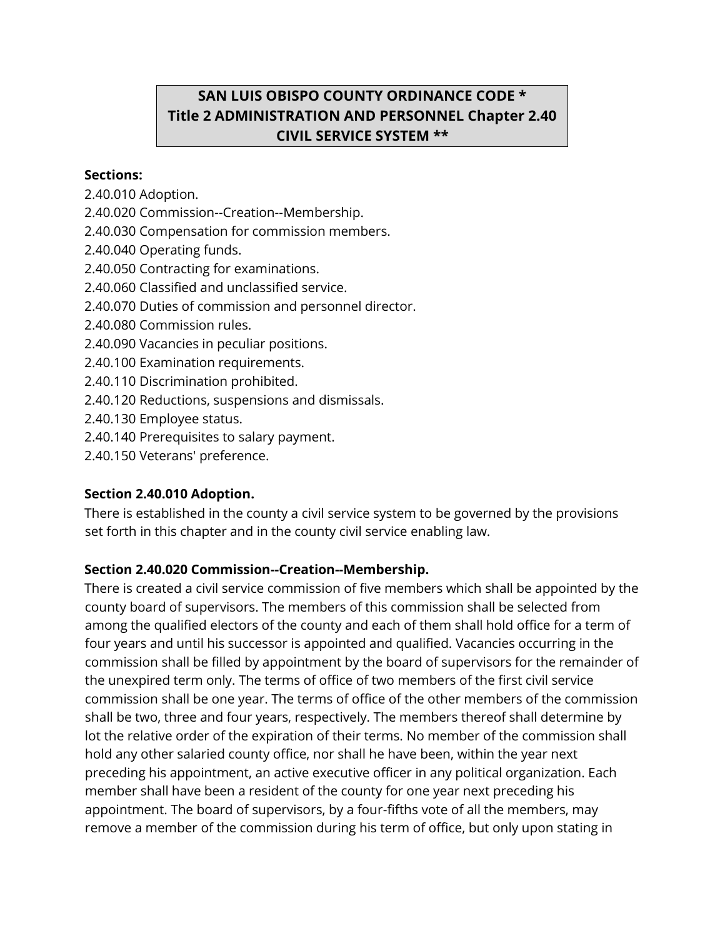# **SAN LUIS OBISPO COUNTY ORDINANCE CODE \* Title 2 ADMINISTRATION AND PERSONNEL Chapter 2.40 CIVIL SERVICE SYSTEM \*\***

#### **Sections:**

2.40.010 Adoption.

2.40.020 Commission--Creation--Membership.

- 2.40.030 Compensation for commission members.
- 2.40.040 Operating funds.
- 2.40.050 Contracting for examinations.
- 2.40.060 Classified and unclassified service.
- 2.40.070 Duties of commission and personnel director.
- 2.40.080 Commission rules.
- 2.40.090 Vacancies in peculiar positions.
- 2.40.100 Examination requirements.
- 2.40.110 Discrimination prohibited.
- 2.40.120 Reductions, suspensions and dismissals.
- 2.40.130 Employee status.
- 2.40.140 Prerequisites to salary payment.
- 2.40.150 Veterans' preference.

# **Section 2.40.010 Adoption.**

There is established in the county a civil service system to be governed by the provisions set forth in this chapter and in the county civil service enabling law.

# **Section 2.40.020 Commission--Creation--Membership.**

There is created a civil service commission of five members which shall be appointed by the county board of supervisors. The members of this commission shall be selected from among the qualified electors of the county and each of them shall hold office for a term of four years and until his successor is appointed and qualified. Vacancies occurring in the commission shall be filled by appointment by the board of supervisors for the remainder of the unexpired term only. The terms of office of two members of the first civil service commission shall be one year. The terms of office of the other members of the commission shall be two, three and four years, respectively. The members thereof shall determine by lot the relative order of the expiration of their terms. No member of the commission shall hold any other salaried county office, nor shall he have been, within the year next preceding his appointment, an active executive officer in any political organization. Each member shall have been a resident of the county for one year next preceding his appointment. The board of supervisors, by a four-fifths vote of all the members, may remove a member of the commission during his term of office, but only upon stating in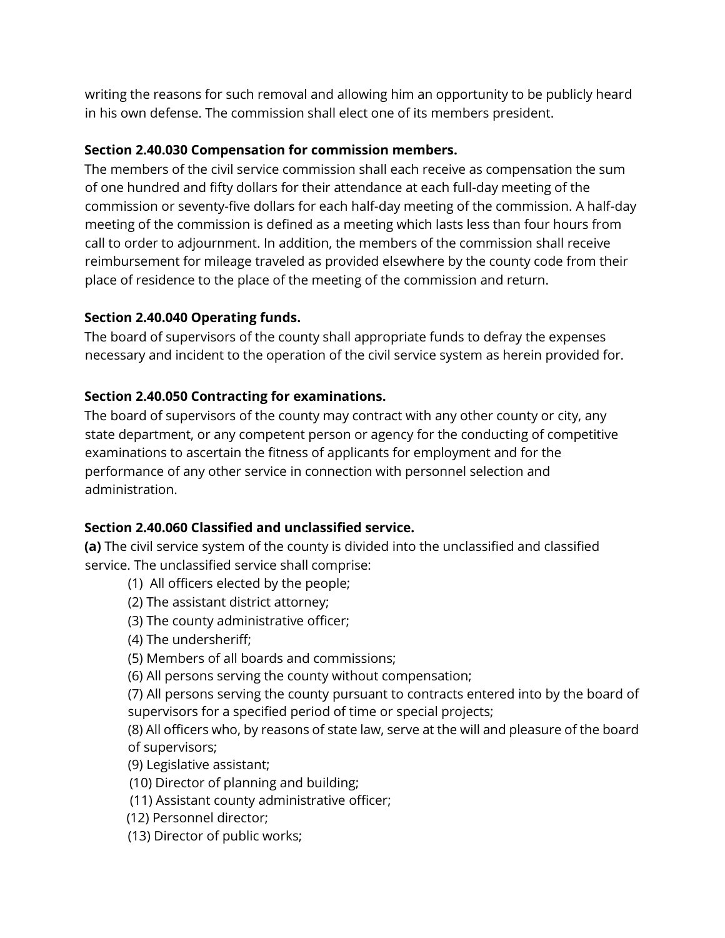writing the reasons for such removal and allowing him an opportunity to be publicly heard in his own defense. The commission shall elect one of its members president.

# **Section 2.40.030 Compensation for commission members.**

The members of the civil service commission shall each receive as compensation the sum of one hundred and fifty dollars for their attendance at each full-day meeting of the commission or seventy-five dollars for each half-day meeting of the commission. A half-day meeting of the commission is defined as a meeting which lasts less than four hours from call to order to adjournment. In addition, the members of the commission shall receive reimbursement for mileage traveled as provided elsewhere by the county code from their place of residence to the place of the meeting of the commission and return.

# **Section 2.40.040 Operating funds.**

The board of supervisors of the county shall appropriate funds to defray the expenses necessary and incident to the operation of the civil service system as herein provided for.

# **Section 2.40.050 Contracting for examinations.**

The board of supervisors of the county may contract with any other county or city, any state department, or any competent person or agency for the conducting of competitive examinations to ascertain the fitness of applicants for employment and for the performance of any other service in connection with personnel selection and administration.

# **Section 2.40.060 Classified and unclassified service.**

**(a)** The civil service system of the county is divided into the unclassified and classified service. The unclassified service shall comprise:

- (1) All officers elected by the people;
- (2) The assistant district attorney;
- (3) The county administrative officer;

(4) The undersheriff;

(5) Members of all boards and commissions;

(6) All persons serving the county without compensation;

(7) All persons serving the county pursuant to contracts entered into by the board of supervisors for a specified period of time or special projects;

(8) All officers who, by reasons of state law, serve at the will and pleasure of the board of supervisors;

(9) Legislative assistant;

- (10) Director of planning and building;
- (11) Assistant county administrative officer;
- (12) Personnel director;

(13) Director of public works;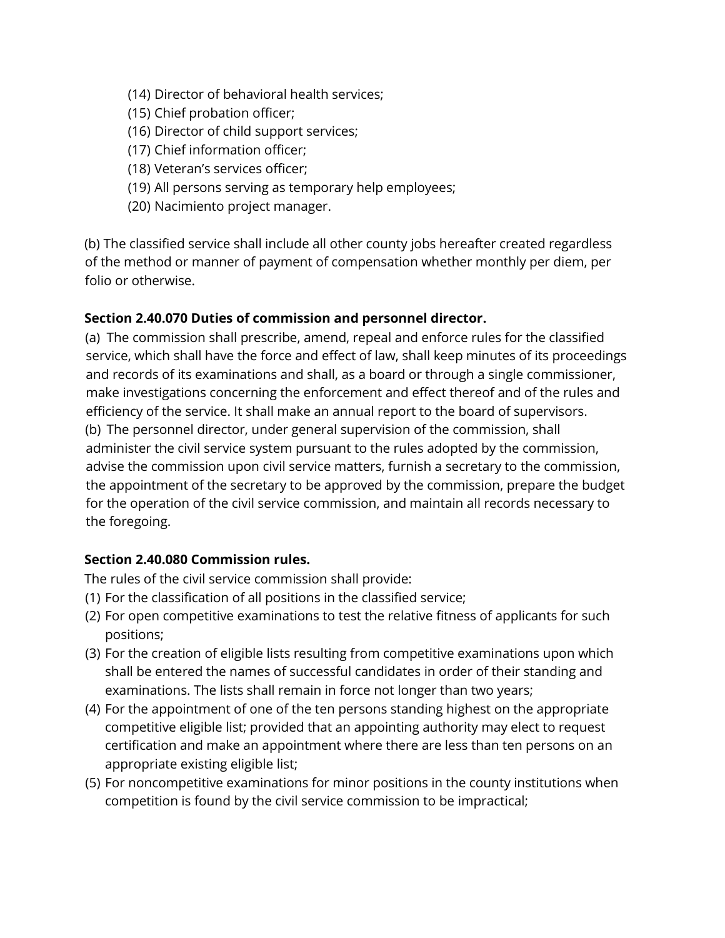- (14) Director of behavioral health services;
- (15) Chief probation officer;
- (16) Director of child support services;
- (17) Chief information officer;
- (18) Veteran's services officer;
- (19) All persons serving as temporary help employees;
- (20) Nacimiento project manager.

(b) The classified service shall include all other county jobs hereafter created regardless of the method or manner of payment of compensation whether monthly per diem, per folio or otherwise.

# **Section 2.40.070 Duties of commission and personnel director.**

(a) The commission shall prescribe, amend, repeal and enforce rules for the classified service, which shall have the force and effect of law, shall keep minutes of its proceedings and records of its examinations and shall, as a board or through a single commissioner, make investigations concerning the enforcement and effect thereof and of the rules and efficiency of the service. It shall make an annual report to the board of supervisors. (b) The personnel director, under general supervision of the commission, shall administer the civil service system pursuant to the rules adopted by the commission, advise the commission upon civil service matters, furnish a secretary to the commission, the appointment of the secretary to be approved by the commission, prepare the budget for the operation of the civil service commission, and maintain all records necessary to the foregoing.

# **Section 2.40.080 Commission rules.**

The rules of the civil service commission shall provide:

- (1) For the classification of all positions in the classified service;
- (2) For open competitive examinations to test the relative fitness of applicants for such positions;
- (3) For the creation of eligible lists resulting from competitive examinations upon which shall be entered the names of successful candidates in order of their standing and examinations. The lists shall remain in force not longer than two years;
- (4) For the appointment of one of the ten persons standing highest on the appropriate competitive eligible list; provided that an appointing authority may elect to request certification and make an appointment where there are less than ten persons on an appropriate existing eligible list;
- (5) For noncompetitive examinations for minor positions in the county institutions when competition is found by the civil service commission to be impractical;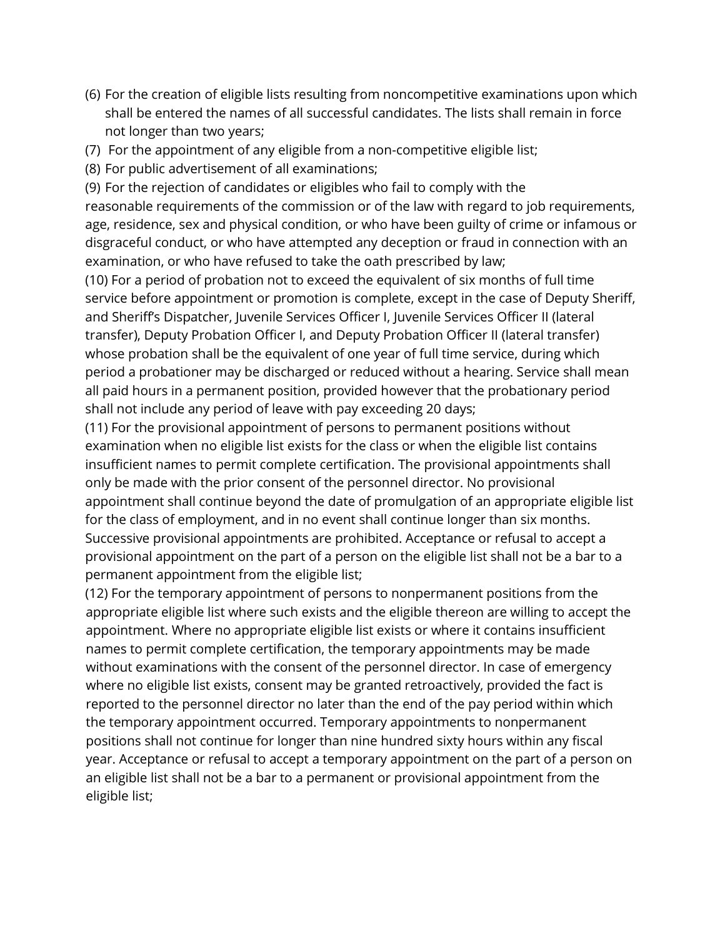- (6) For the creation of eligible lists resulting from noncompetitive examinations upon which shall be entered the names of all successful candidates. The lists shall remain in force not longer than two years;
- (7) For the appointment of any eligible from a non-competitive eligible list;
- (8) For public advertisement of all examinations;

(9) For the rejection of candidates or eligibles who fail to comply with the reasonable requirements of the commission or of the law with regard to job requirements, age, residence, sex and physical condition, or who have been guilty of crime or infamous or disgraceful conduct, or who have attempted any deception or fraud in connection with an examination, or who have refused to take the oath prescribed by law;

(10) For a period of probation not to exceed the equivalent of six months of full time service before appointment or promotion is complete, except in the case of Deputy Sheriff, and Sheriff's Dispatcher, Juvenile Services Officer I, Juvenile Services Officer II (lateral transfer), Deputy Probation Officer I, and Deputy Probation Officer II (lateral transfer) whose probation shall be the equivalent of one year of full time service, during which period a probationer may be discharged or reduced without a hearing. Service shall mean all paid hours in a permanent position, provided however that the probationary period shall not include any period of leave with pay exceeding 20 days;

(11) For the provisional appointment of persons to permanent positions without examination when no eligible list exists for the class or when the eligible list contains insufficient names to permit complete certification. The provisional appointments shall only be made with the prior consent of the personnel director. No provisional appointment shall continue beyond the date of promulgation of an appropriate eligible list for the class of employment, and in no event shall continue longer than six months. Successive provisional appointments are prohibited. Acceptance or refusal to accept a provisional appointment on the part of a person on the eligible list shall not be a bar to a permanent appointment from the eligible list;

(12) For the temporary appointment of persons to nonpermanent positions from the appropriate eligible list where such exists and the eligible thereon are willing to accept the appointment. Where no appropriate eligible list exists or where it contains insufficient names to permit complete certification, the temporary appointments may be made without examinations with the consent of the personnel director. In case of emergency where no eligible list exists, consent may be granted retroactively, provided the fact is reported to the personnel director no later than the end of the pay period within which the temporary appointment occurred. Temporary appointments to nonpermanent positions shall not continue for longer than nine hundred sixty hours within any fiscal year. Acceptance or refusal to accept a temporary appointment on the part of a person on an eligible list shall not be a bar to a permanent or provisional appointment from the eligible list;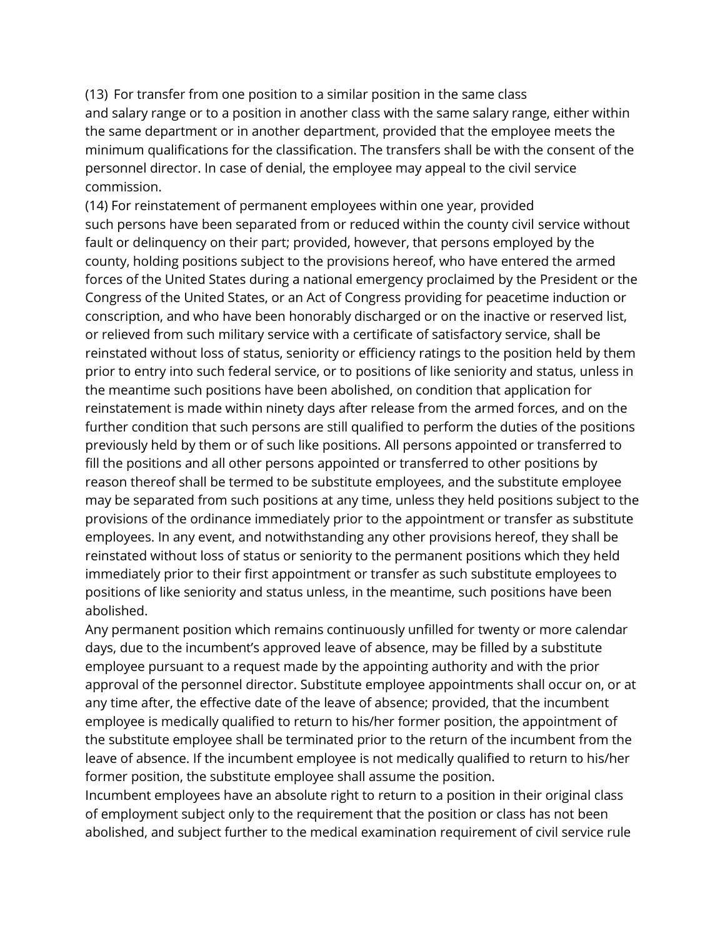(13) For transfer from one position to a similar position in the same class and salary range or to a position in another class with the same salary range, either within the same department or in another department, provided that the employee meets the minimum qualifications for the classification. The transfers shall be with the consent of the personnel director. In case of denial, the employee may appeal to the civil service commission.

(14) For reinstatement of permanent employees within one year, provided such persons have been separated from or reduced within the county civil service without fault or delinquency on their part; provided, however, that persons employed by the county, holding positions subject to the provisions hereof, who have entered the armed forces of the United States during a national emergency proclaimed by the President or the Congress of the United States, or an Act of Congress providing for peacetime induction or conscription, and who have been honorably discharged or on the inactive or reserved list, or relieved from such military service with a certificate of satisfactory service, shall be reinstated without loss of status, seniority or efficiency ratings to the position held by them prior to entry into such federal service, or to positions of like seniority and status, unless in the meantime such positions have been abolished, on condition that application for reinstatement is made within ninety days after release from the armed forces, and on the further condition that such persons are still qualified to perform the duties of the positions previously held by them or of such like positions. All persons appointed or transferred to fill the positions and all other persons appointed or transferred to other positions by reason thereof shall be termed to be substitute employees, and the substitute employee may be separated from such positions at any time, unless they held positions subject to the provisions of the ordinance immediately prior to the appointment or transfer as substitute employees. In any event, and notwithstanding any other provisions hereof, they shall be reinstated without loss of status or seniority to the permanent positions which they held immediately prior to their first appointment or transfer as such substitute employees to positions of like seniority and status unless, in the meantime, such positions have been abolished.

Any permanent position which remains continuously unfilled for twenty or more calendar days, due to the incumbent's approved leave of absence, may be filled by a substitute employee pursuant to a request made by the appointing authority and with the prior approval of the personnel director. Substitute employee appointments shall occur on, or at any time after, the effective date of the leave of absence; provided, that the incumbent employee is medically qualified to return to his/her former position, the appointment of the substitute employee shall be terminated prior to the return of the incumbent from the leave of absence. If the incumbent employee is not medically qualified to return to his/her former position, the substitute employee shall assume the position.

Incumbent employees have an absolute right to return to a position in their original class of employment subject only to the requirement that the position or class has not been abolished, and subject further to the medical examination requirement of civil service rule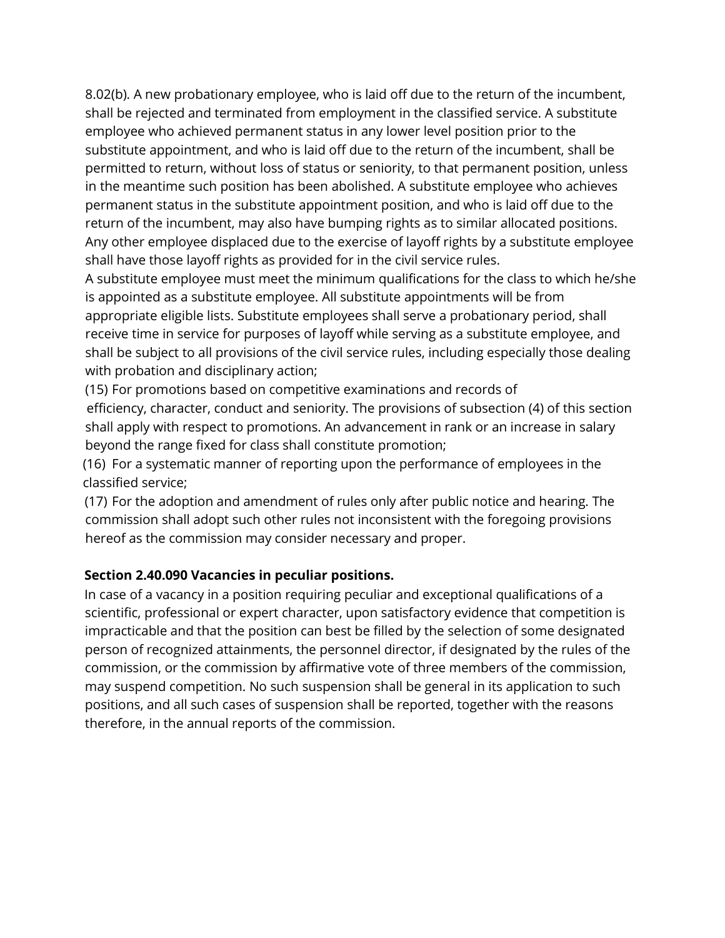8.02(b). A new probationary employee, who is laid off due to the return of the incumbent, shall be rejected and terminated from employment in the classified service. A substitute employee who achieved permanent status in any lower level position prior to the substitute appointment, and who is laid off due to the return of the incumbent, shall be permitted to return, without loss of status or seniority, to that permanent position, unless in the meantime such position has been abolished. A substitute employee who achieves permanent status in the substitute appointment position, and who is laid off due to the return of the incumbent, may also have bumping rights as to similar allocated positions. Any other employee displaced due to the exercise of layoff rights by a substitute employee shall have those layoff rights as provided for in the civil service rules.

A substitute employee must meet the minimum qualifications for the class to which he/she is appointed as a substitute employee. All substitute appointments will be from appropriate eligible lists. Substitute employees shall serve a probationary period, shall receive time in service for purposes of layoff while serving as a substitute employee, and shall be subject to all provisions of the civil service rules, including especially those dealing with probation and disciplinary action;

(15) For promotions based on competitive examinations and records of efficiency, character, conduct and seniority. The provisions of subsection (4) of this section shall apply with respect to promotions. An advancement in rank or an increase in salary beyond the range fixed for class shall constitute promotion;

(16) For a systematic manner of reporting upon the performance of employees in the classified service;

(17) For the adoption and amendment of rules only after public notice and hearing. The commission shall adopt such other rules not inconsistent with the foregoing provisions hereof as the commission may consider necessary and proper.

#### **Section 2.40.090 Vacancies in peculiar positions.**

In case of a vacancy in a position requiring peculiar and exceptional qualifications of a scientific, professional or expert character, upon satisfactory evidence that competition is impracticable and that the position can best be filled by the selection of some designated person of recognized attainments, the personnel director, if designated by the rules of the commission, or the commission by affirmative vote of three members of the commission, may suspend competition. No such suspension shall be general in its application to such positions, and all such cases of suspension shall be reported, together with the reasons therefore, in the annual reports of the commission.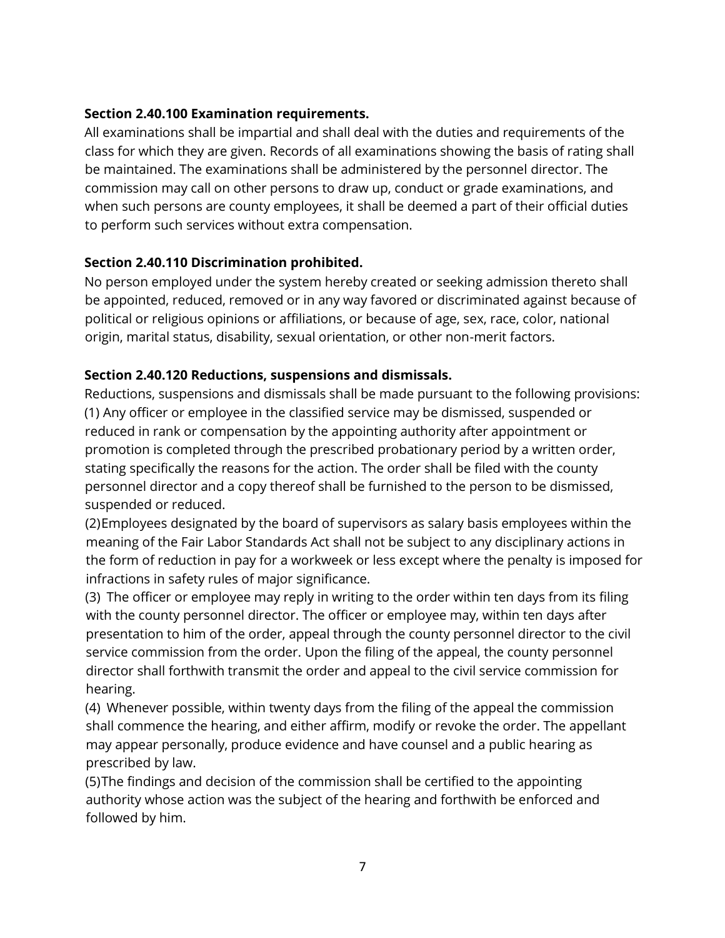### **Section 2.40.100 Examination requirements.**

All examinations shall be impartial and shall deal with the duties and requirements of the class for which they are given. Records of all examinations showing the basis of rating shall be maintained. The examinations shall be administered by the personnel director. The commission may call on other persons to draw up, conduct or grade examinations, and when such persons are county employees, it shall be deemed a part of their official duties to perform such services without extra compensation.

## **Section 2.40.110 Discrimination prohibited.**

No person employed under the system hereby created or seeking admission thereto shall be appointed, reduced, removed or in any way favored or discriminated against because of political or religious opinions or affiliations, or because of age, sex, race, color, national origin, marital status, disability, sexual orientation, or other non-merit factors.

## **Section 2.40.120 Reductions, suspensions and dismissals.**

Reductions, suspensions and dismissals shall be made pursuant to the following provisions: (1) Any officer or employee in the classified service may be dismissed, suspended or reduced in rank or compensation by the appointing authority after appointment or promotion is completed through the prescribed probationary period by a written order, stating specifically the reasons for the action. The order shall be filed with the county personnel director and a copy thereof shall be furnished to the person to be dismissed, suspended or reduced.

(2)Employees designated by the board of supervisors as salary basis employees within the meaning of the Fair Labor Standards Act shall not be subject to any disciplinary actions in the form of reduction in pay for a workweek or less except where the penalty is imposed for infractions in safety rules of major significance.

(3) The officer or employee may reply in writing to the order within ten days from its filing with the county personnel director. The officer or employee may, within ten days after presentation to him of the order, appeal through the county personnel director to the civil service commission from the order. Upon the filing of the appeal, the county personnel director shall forthwith transmit the order and appeal to the civil service commission for hearing.

(4) Whenever possible, within twenty days from the filing of the appeal the commission shall commence the hearing, and either affirm, modify or revoke the order. The appellant may appear personally, produce evidence and have counsel and a public hearing as prescribed by law.

(5)The findings and decision of the commission shall be certified to the appointing authority whose action was the subject of the hearing and forthwith be enforced and followed by him.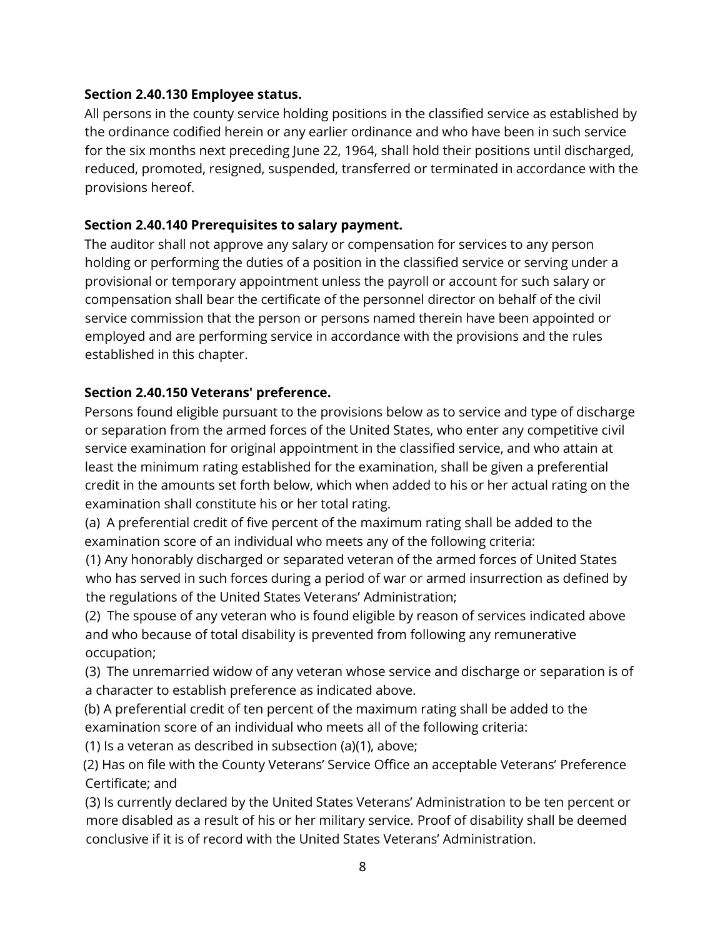#### **Section 2.40.130 Employee status.**

All persons in the county service holding positions in the classified service as established by the ordinance codified herein or any earlier ordinance and who have been in such service for the six months next preceding June 22, 1964, shall hold their positions until discharged, reduced, promoted, resigned, suspended, transferred or terminated in accordance with the provisions hereof.

#### **Section 2.40.140 Prerequisites to salary payment.**

The auditor shall not approve any salary or compensation for services to any person holding or performing the duties of a position in the classified service or serving under a provisional or temporary appointment unless the payroll or account for such salary or compensation shall bear the certificate of the personnel director on behalf of the civil service commission that the person or persons named therein have been appointed or employed and are performing service in accordance with the provisions and the rules established in this chapter.

#### **Section 2.40.150 Veterans' preference.**

Persons found eligible pursuant to the provisions below as to service and type of discharge or separation from the armed forces of the United States, who enter any competitive civil service examination for original appointment in the classified service, and who attain at least the minimum rating established for the examination, shall be given a preferential credit in the amounts set forth below, which when added to his or her actual rating on the examination shall constitute his or her total rating.

(a) A preferential credit of five percent of the maximum rating shall be added to the examination score of an individual who meets any of the following criteria:

(1) Any honorably discharged or separated veteran of the armed forces of United States who has served in such forces during a period of war or armed insurrection as defined by the regulations of the United States Veterans' Administration;

(2) The spouse of any veteran who is found eligible by reason of services indicated above and who because of total disability is prevented from following any remunerative occupation;

(3) The unremarried widow of any veteran whose service and discharge or separation is of a character to establish preference as indicated above.

(b) A preferential credit of ten percent of the maximum rating shall be added to the examination score of an individual who meets all of the following criteria:

(1) Is a veteran as described in subsection (a)(1), above;

(2) Has on file with the County Veterans' Service Office an acceptable Veterans' Preference Certificate; and

(3) Is currently declared by the United States Veterans' Administration to be ten percent or more disabled as a result of his or her military service. Proof of disability shall be deemed conclusive if it is of record with the United States Veterans' Administration.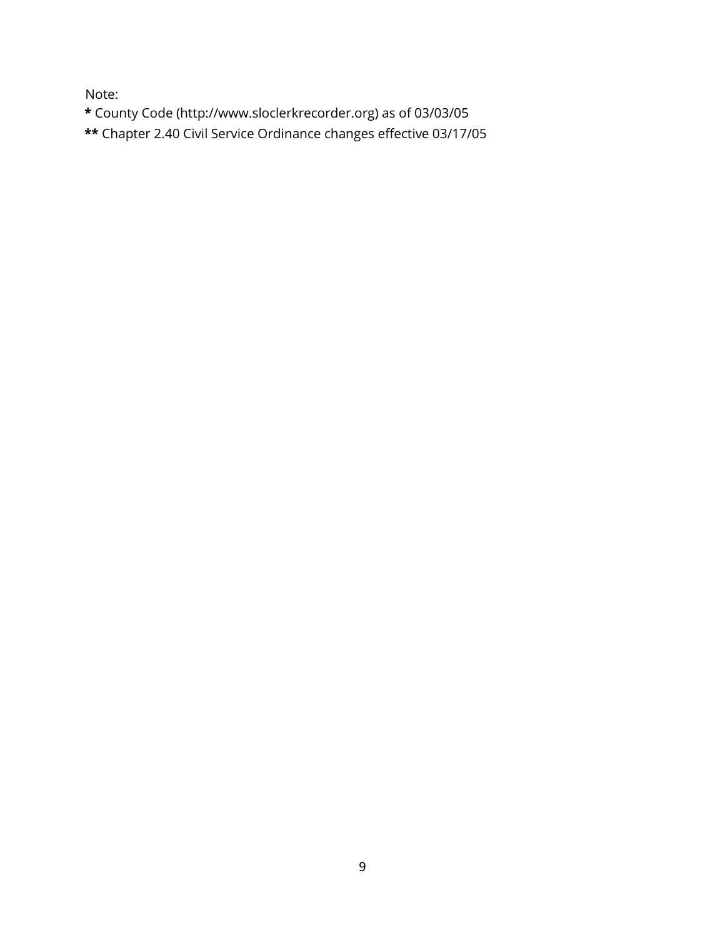Note:

**\*** County Code (http://www.sloclerkrecorder.org) as of 03/03/05

**\*\*** Chapter 2.40 Civil Service Ordinance changes effective 03/17/05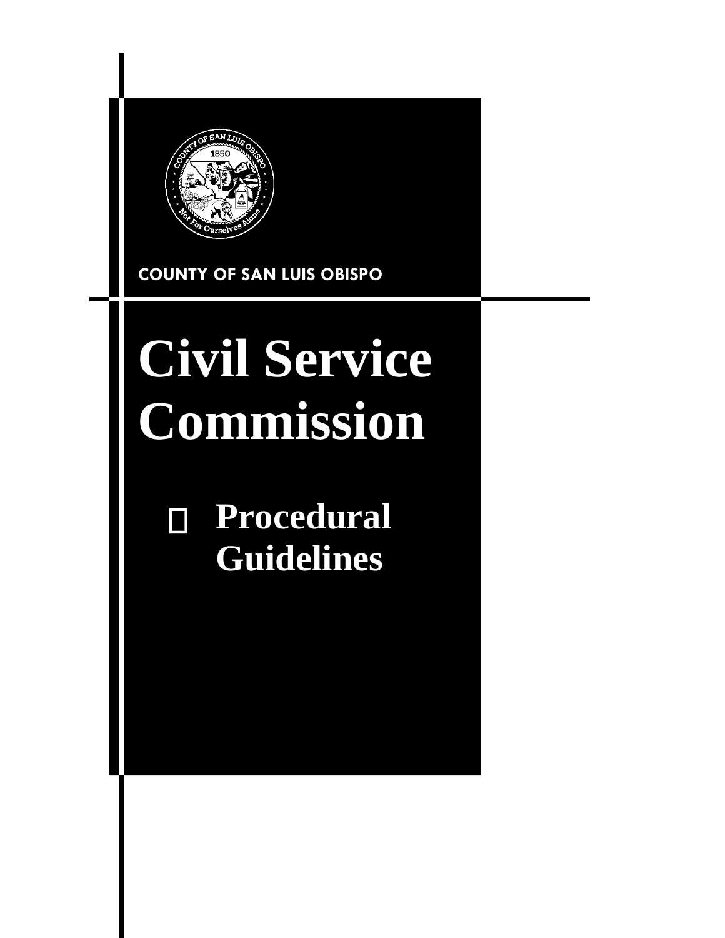

## **COUNTY OF SAN LUIS OBISPO**

# **Civil Service Commission**

## **Procedural Guidelines**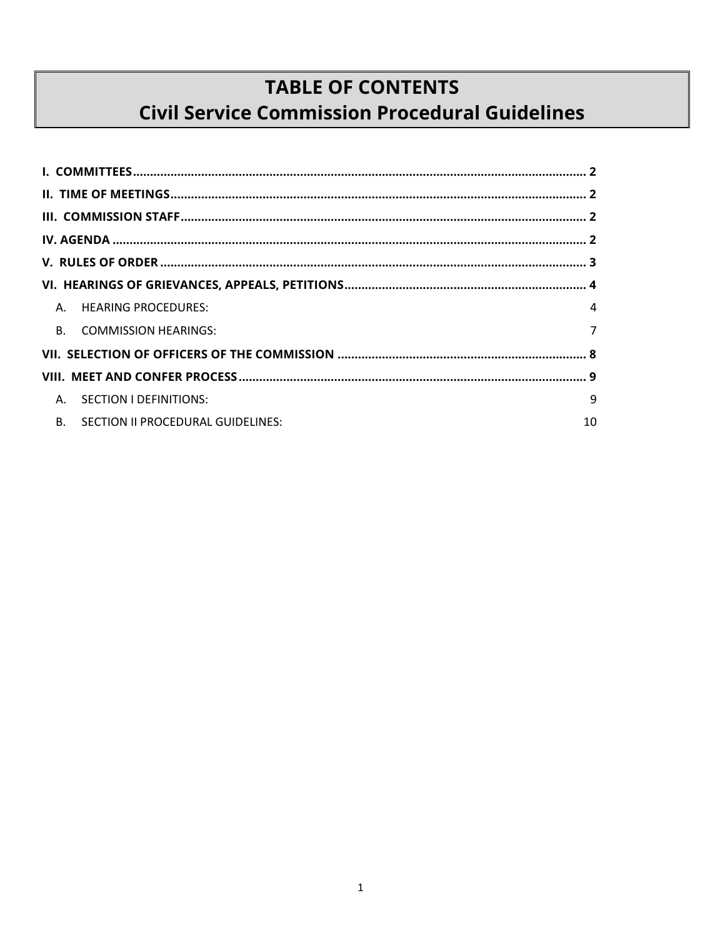## **TABLE OF CONTENTS Civil Service Commission Procedural Guidelines**

| A. HEARING PROCEDURES:                         | 4              |  |
|------------------------------------------------|----------------|--|
| B. COMMISSION HEARINGS:                        | $\overline{7}$ |  |
|                                                |                |  |
|                                                |                |  |
| SECTION I DEFINITIONS:<br>Α.                   | 9              |  |
| <b>B.</b><br>SECTION II PROCEDURAL GUIDELINES: | 10             |  |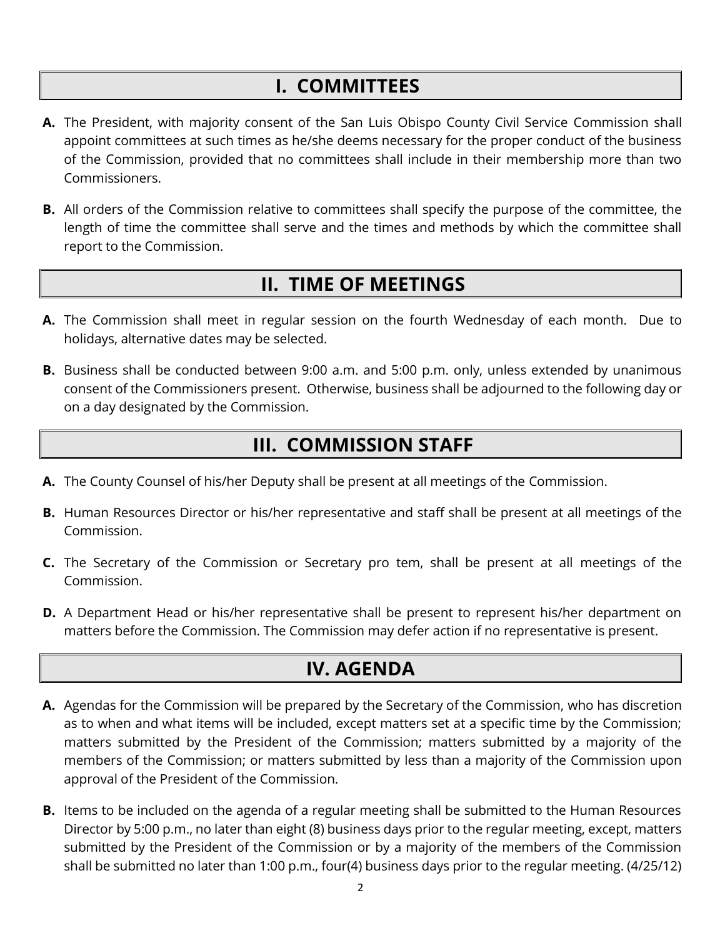## **I. COMMITTEES**

- <span id="page-81-0"></span>**A.** The President, with majority consent of the San Luis Obispo County Civil Service Commission shall appoint committees at such times as he/she deems necessary for the proper conduct of the business of the Commission, provided that no committees shall include in their membership more than two Commissioners.
- **B.** All orders of the Commission relative to committees shall specify the purpose of the committee, the length of time the committee shall serve and the times and methods by which the committee shall report to the Commission.

## <span id="page-81-1"></span>**II. TIME OF MEETINGS**

- **A.** The Commission shall meet in regular session on the fourth Wednesday of each month. Due to holidays, alternative dates may be selected.
- **B.** Business shall be conducted between 9:00 a.m. and 5:00 p.m. only, unless extended by unanimous consent of the Commissioners present. Otherwise, business shall be adjourned to the following day or on a day designated by the Commission.

## <span id="page-81-2"></span>**III. COMMISSION STAFF**

- **A.** The County Counsel of his/her Deputy shall be present at all meetings of the Commission.
- **B.** Human Resources Director or his/her representative and staff shall be present at all meetings of the Commission.
- **C.** The Secretary of the Commission or Secretary pro tem, shall be present at all meetings of the Commission.
- **D.** A Department Head or his/her representative shall be present to represent his/her department on matters before the Commission. The Commission may defer action if no representative is present.

## **IV. AGENDA**

- <span id="page-81-3"></span>**A.** Agendas for the Commission will be prepared by the Secretary of the Commission, who has discretion as to when and what items will be included, except matters set at a specific time by the Commission; matters submitted by the President of the Commission; matters submitted by a majority of the members of the Commission; or matters submitted by less than a majority of the Commission upon approval of the President of the Commission.
- **B.** Items to be included on the agenda of a regular meeting shall be submitted to the Human Resources Director by 5:00 p.m., no later than eight (8) business days prior to the regular meeting, except, matters submitted by the President of the Commission or by a majority of the members of the Commission shall be submitted no later than 1:00 p.m., four(4) business days prior to the regular meeting. (4/25/12)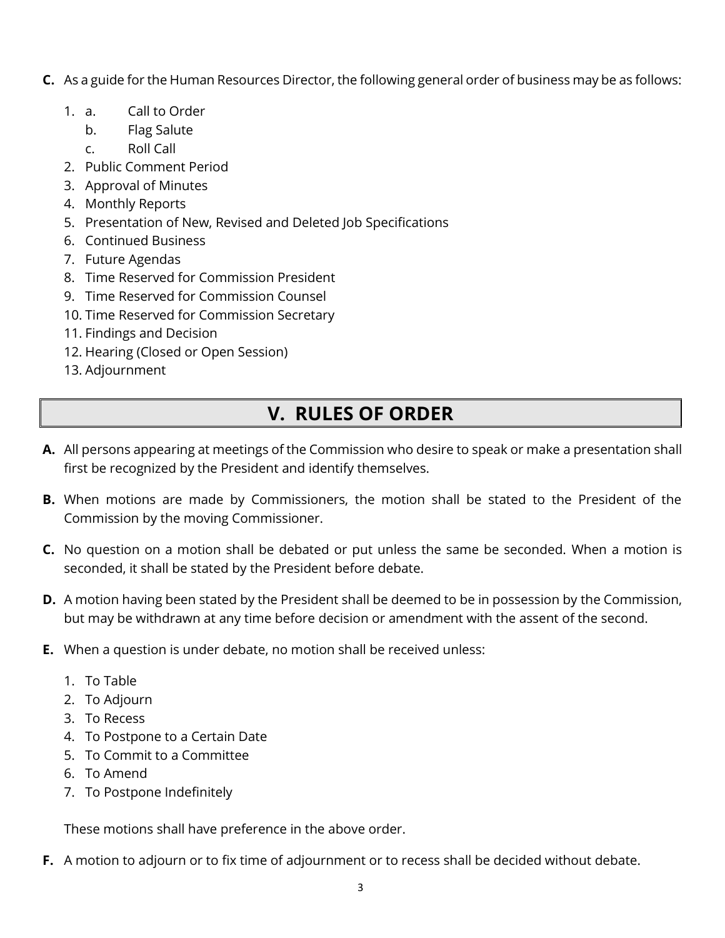- **C.** As a guide for the Human Resources Director, the following general order of business may be as follows:
	- 1. a. Call to Order
		- b. Flag Salute
		- c. Roll Call
	- 2. Public Comment Period
	- 3. Approval of Minutes
	- 4. Monthly Reports
	- 5. Presentation of New, Revised and Deleted Job Specifications
	- 6. Continued Business
	- 7. Future Agendas
	- 8. Time Reserved for Commission President
	- 9. Time Reserved for Commission Counsel
	- 10. Time Reserved for Commission Secretary
	- 11. Findings and Decision
	- 12. Hearing (Closed or Open Session)
	- 13. Adjournment

## **V. RULES OF ORDER**

- <span id="page-82-0"></span>**A.** All persons appearing at meetings of the Commission who desire to speak or make a presentation shall first be recognized by the President and identify themselves.
- **B.** When motions are made by Commissioners, the motion shall be stated to the President of the Commission by the moving Commissioner.
- **C.** No question on a motion shall be debated or put unless the same be seconded. When a motion is seconded, it shall be stated by the President before debate.
- **D.** A motion having been stated by the President shall be deemed to be in possession by the Commission, but may be withdrawn at any time before decision or amendment with the assent of the second.
- **E.** When a question is under debate, no motion shall be received unless:
	- 1. To Table
	- 2. To Adjourn
	- 3. To Recess
	- 4. To Postpone to a Certain Date
	- 5. To Commit to a Committee
	- 6. To Amend
	- 7. To Postpone Indefinitely

These motions shall have preference in the above order.

**F.** A motion to adjourn or to fix time of adjournment or to recess shall be decided without debate.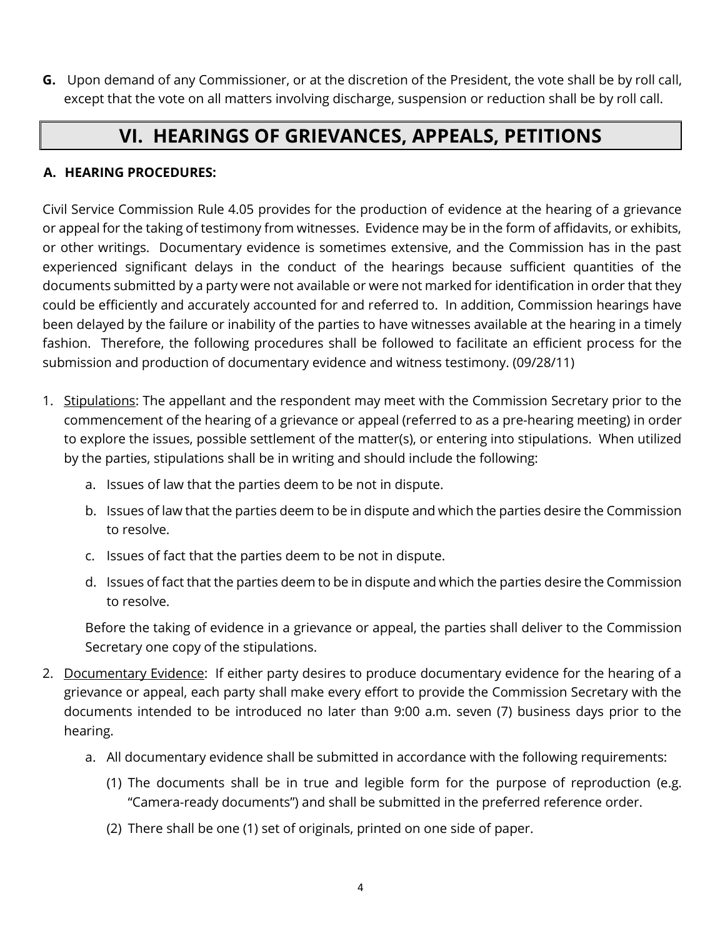**G.** Upon demand of any Commissioner, or at the discretion of the President, the vote shall be by roll call, except that the vote on all matters involving discharge, suspension or reduction shall be by roll call.

## **VI. HEARINGS OF GRIEVANCES, APPEALS, PETITIONS**

### <span id="page-83-1"></span><span id="page-83-0"></span>**A. HEARING PROCEDURES:**

Civil Service Commission Rule 4.05 provides for the production of evidence at the hearing of a grievance or appeal for the taking of testimony from witnesses. Evidence may be in the form of affidavits, or exhibits, or other writings. Documentary evidence is sometimes extensive, and the Commission has in the past experienced significant delays in the conduct of the hearings because sufficient quantities of the documents submitted by a party were not available or were not marked for identification in order that they could be efficiently and accurately accounted for and referred to. In addition, Commission hearings have been delayed by the failure or inability of the parties to have witnesses available at the hearing in a timely fashion. Therefore, the following procedures shall be followed to facilitate an efficient process for the submission and production of documentary evidence and witness testimony. (09/28/11)

- 1. Stipulations: The appellant and the respondent may meet with the Commission Secretary prior to the commencement of the hearing of a grievance or appeal (referred to as a pre-hearing meeting) in order to explore the issues, possible settlement of the matter(s), or entering into stipulations. When utilized by the parties, stipulations shall be in writing and should include the following:
	- a. Issues of law that the parties deem to be not in dispute.
	- b. Issues of law that the parties deem to be in dispute and which the parties desire the Commission to resolve.
	- c. Issues of fact that the parties deem to be not in dispute.
	- d. Issues of fact that the parties deem to be in dispute and which the parties desire the Commission to resolve.

Before the taking of evidence in a grievance or appeal, the parties shall deliver to the Commission Secretary one copy of the stipulations.

- 2. Documentary Evidence: If either party desires to produce documentary evidence for the hearing of a grievance or appeal, each party shall make every effort to provide the Commission Secretary with the documents intended to be introduced no later than 9:00 a.m. seven (7) business days prior to the hearing.
	- a. All documentary evidence shall be submitted in accordance with the following requirements:
		- (1) The documents shall be in true and legible form for the purpose of reproduction (e.g. "Camera-ready documents") and shall be submitted in the preferred reference order.
		- (2) There shall be one (1) set of originals, printed on one side of paper.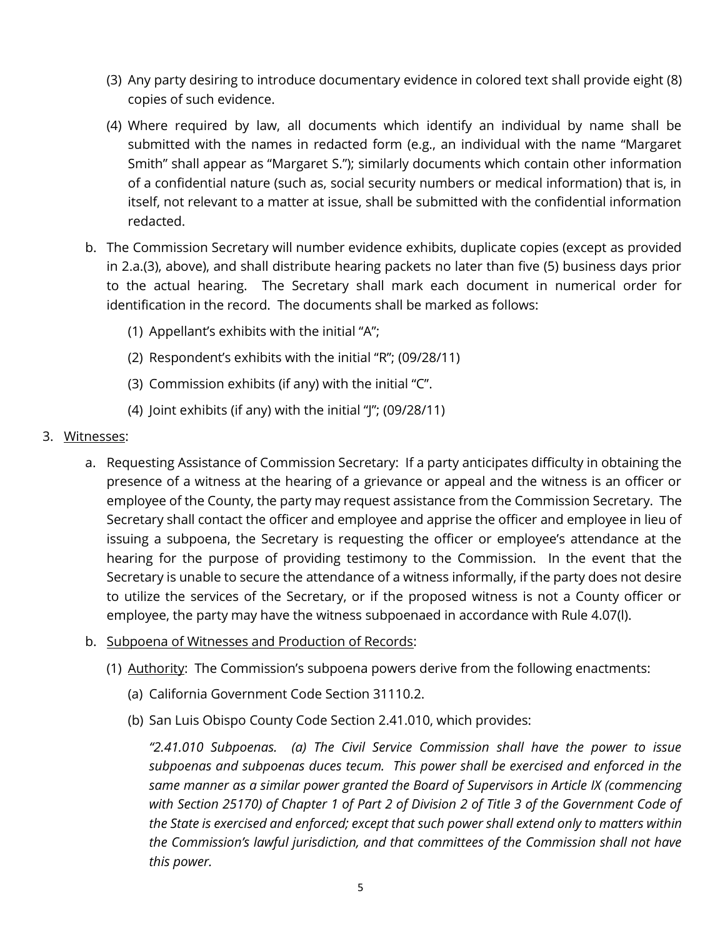- (3) Any party desiring to introduce documentary evidence in colored text shall provide eight (8) copies of such evidence.
- (4) Where required by law, all documents which identify an individual by name shall be submitted with the names in redacted form (e.g., an individual with the name "Margaret Smith" shall appear as "Margaret S."); similarly documents which contain other information of a confidential nature (such as, social security numbers or medical information) that is, in itself, not relevant to a matter at issue, shall be submitted with the confidential information redacted.
- b. The Commission Secretary will number evidence exhibits, duplicate copies (except as provided in 2.a.(3), above), and shall distribute hearing packets no later than five (5) business days prior to the actual hearing. The Secretary shall mark each document in numerical order for identification in the record. The documents shall be marked as follows:
	- (1) Appellant's exhibits with the initial "A";
	- (2) Respondent's exhibits with the initial "R"; (09/28/11)
	- (3) Commission exhibits (if any) with the initial "C".
	- (4) Joint exhibits (if any) with the initial "J"; (09/28/11)
- 3. Witnesses:
	- a. Requesting Assistance of Commission Secretary: If a party anticipates difficulty in obtaining the presence of a witness at the hearing of a grievance or appeal and the witness is an officer or employee of the County, the party may request assistance from the Commission Secretary. The Secretary shall contact the officer and employee and apprise the officer and employee in lieu of issuing a subpoena, the Secretary is requesting the officer or employee's attendance at the hearing for the purpose of providing testimony to the Commission. In the event that the Secretary is unable to secure the attendance of a witness informally, if the party does not desire to utilize the services of the Secretary, or if the proposed witness is not a County officer or employee, the party may have the witness subpoenaed in accordance with Rule 4.07(l).
	- b. Subpoena of Witnesses and Production of Records:
		- (1) Authority: The Commission's subpoena powers derive from the following enactments:
			- (a) California Government Code Section 31110.2.
			- (b) San Luis Obispo County Code Section 2.41.010, which provides:

*"2.41.010 Subpoenas. (a) The Civil Service Commission shall have the power to issue subpoenas and subpoenas duces tecum. This power shall be exercised and enforced in the same manner as a similar power granted the Board of Supervisors in Article IX (commencing with Section 25170) of Chapter 1 of Part 2 of Division 2 of Title 3 of the Government Code of the State is exercised and enforced; except that such power shall extend only to matters within the Commission's lawful jurisdiction, and that committees of the Commission shall not have this power.*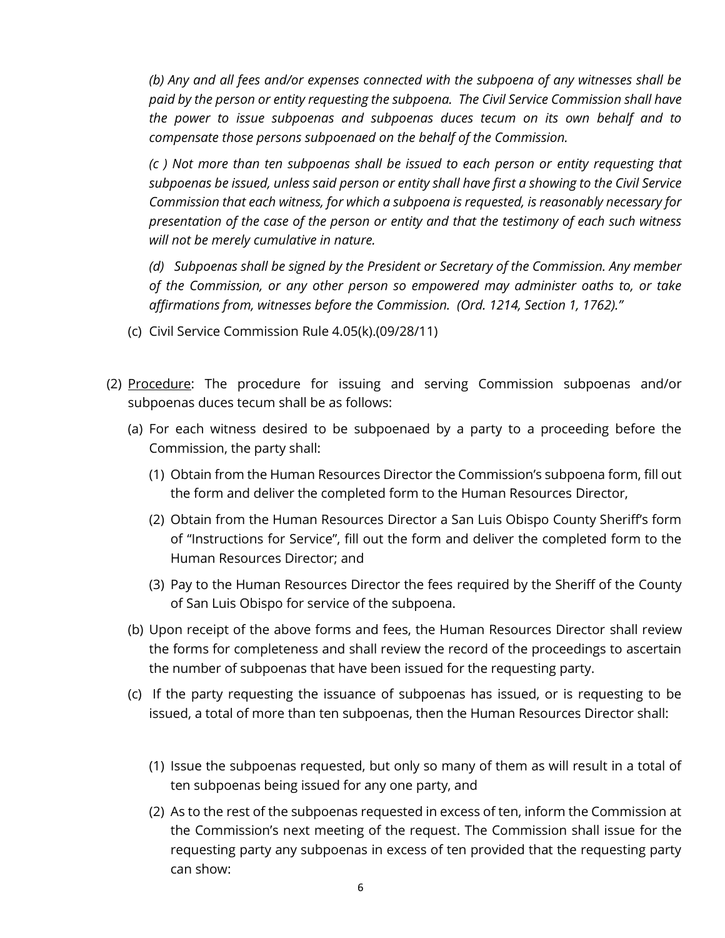*(b) Any and all fees and/or expenses connected with the subpoena of any witnesses shall be paid by the person or entity requesting the subpoena. The Civil Service Commission shall have the power to issue subpoenas and subpoenas duces tecum on its own behalf and to compensate those persons subpoenaed on the behalf of the Commission.* 

*(c ) Not more than ten subpoenas shall be issued to each person or entity requesting that subpoenas be issued, unless said person or entity shall have first a showing to the Civil Service Commission that each witness, for which a subpoena is requested, is reasonably necessary for presentation of the case of the person or entity and that the testimony of each such witness will not be merely cumulative in nature.* 

*(d) Subpoenas shall be signed by the President or Secretary of the Commission. Any member of the Commission, or any other person so empowered may administer oaths to, or take affirmations from, witnesses before the Commission. (Ord. 1214, Section 1, 1762)."* 

- (c) Civil Service Commission Rule 4.05(k).(09/28/11)
- (2) Procedure: The procedure for issuing and serving Commission subpoenas and/or subpoenas duces tecum shall be as follows:
	- (a) For each witness desired to be subpoenaed by a party to a proceeding before the Commission, the party shall:
		- (1) Obtain from the Human Resources Director the Commission's subpoena form, fill out the form and deliver the completed form to the Human Resources Director,
		- (2) Obtain from the Human Resources Director a San Luis Obispo County Sheriff's form of "Instructions for Service", fill out the form and deliver the completed form to the Human Resources Director; and
		- (3) Pay to the Human Resources Director the fees required by the Sheriff of the County of San Luis Obispo for service of the subpoena.
	- (b) Upon receipt of the above forms and fees, the Human Resources Director shall review the forms for completeness and shall review the record of the proceedings to ascertain the number of subpoenas that have been issued for the requesting party.
	- (c) If the party requesting the issuance of subpoenas has issued, or is requesting to be issued, a total of more than ten subpoenas, then the Human Resources Director shall:
		- (1) Issue the subpoenas requested, but only so many of them as will result in a total of ten subpoenas being issued for any one party, and
		- (2) As to the rest of the subpoenas requested in excess of ten, inform the Commission at the Commission's next meeting of the request. The Commission shall issue for the requesting party any subpoenas in excess of ten provided that the requesting party can show: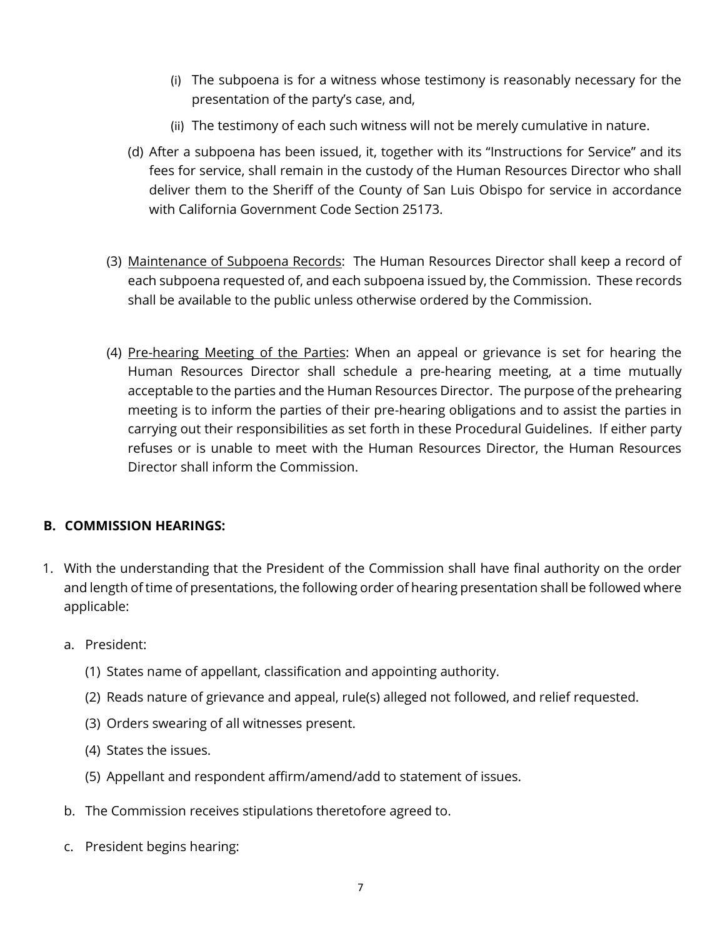- (i) The subpoena is for a witness whose testimony is reasonably necessary for the presentation of the party's case, and,
- (ii) The testimony of each such witness will not be merely cumulative in nature.
- (d) After a subpoena has been issued, it, together with its "Instructions for Service" and its fees for service, shall remain in the custody of the Human Resources Director who shall deliver them to the Sheriff of the County of San Luis Obispo for service in accordance with California Government Code Section 25173.
- (3) Maintenance of Subpoena Records: The Human Resources Director shall keep a record of each subpoena requested of, and each subpoena issued by, the Commission. These records shall be available to the public unless otherwise ordered by the Commission.
- (4) Pre-hearing Meeting of the Parties: When an appeal or grievance is set for hearing the Human Resources Director shall schedule a pre-hearing meeting, at a time mutually acceptable to the parties and the Human Resources Director. The purpose of the prehearing meeting is to inform the parties of their pre-hearing obligations and to assist the parties in carrying out their responsibilities as set forth in these Procedural Guidelines. If either party refuses or is unable to meet with the Human Resources Director, the Human Resources Director shall inform the Commission.

#### <span id="page-86-0"></span>**B. COMMISSION HEARINGS:**

- 1. With the understanding that the President of the Commission shall have final authority on the order and length of time of presentations, the following order of hearing presentation shall be followed where applicable:
	- a. President:
		- (1) States name of appellant, classification and appointing authority.
		- (2) Reads nature of grievance and appeal, rule(s) alleged not followed, and relief requested.
		- (3) Orders swearing of all witnesses present.
		- (4) States the issues.
		- (5) Appellant and respondent affirm/amend/add to statement of issues.
	- b. The Commission receives stipulations theretofore agreed to.
	- c. President begins hearing: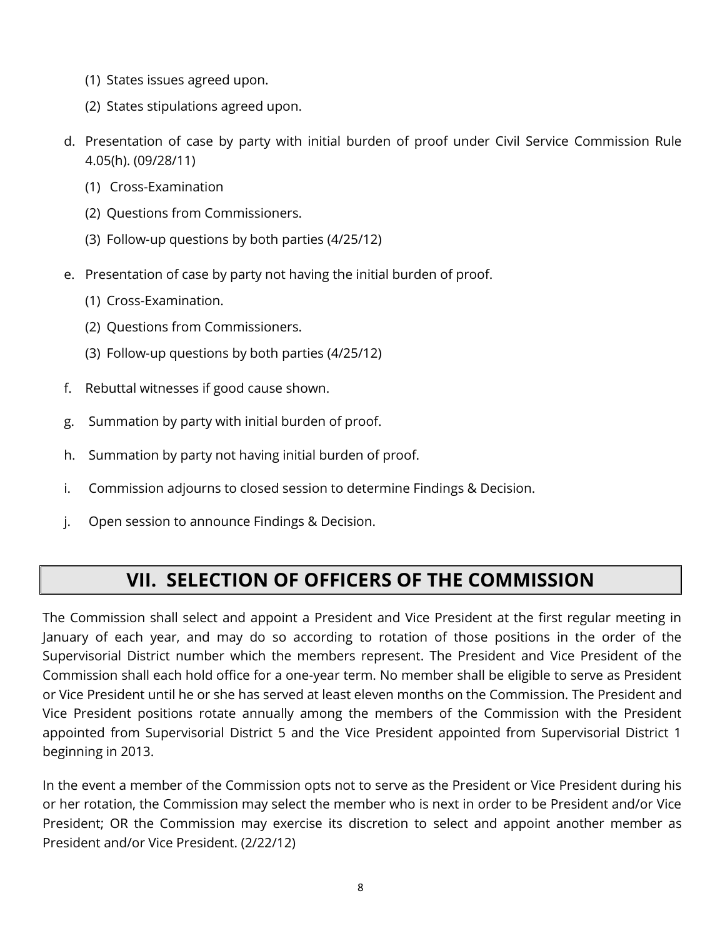- (1) States issues agreed upon.
- (2) States stipulations agreed upon.
- d. Presentation of case by party with initial burden of proof under Civil Service Commission Rule 4.05(h). (09/28/11)
	- (1) Cross-Examination
	- (2) Questions from Commissioners.
	- (3) Follow-up questions by both parties (4/25/12)
- e. Presentation of case by party not having the initial burden of proof.
	- (1) Cross-Examination.
	- (2) Questions from Commissioners.
	- (3) Follow-up questions by both parties (4/25/12)
- f. Rebuttal witnesses if good cause shown.
- g. Summation by party with initial burden of proof.
- h. Summation by party not having initial burden of proof.
- i. Commission adjourns to closed session to determine Findings & Decision.
- j. Open session to announce Findings & Decision.

## **VII. SELECTION OF OFFICERS OF THE COMMISSION**

<span id="page-87-0"></span>The Commission shall select and appoint a President and Vice President at the first regular meeting in January of each year, and may do so according to rotation of those positions in the order of the Supervisorial District number which the members represent. The President and Vice President of the Commission shall each hold office for a one-year term. No member shall be eligible to serve as President or Vice President until he or she has served at least eleven months on the Commission. The President and Vice President positions rotate annually among the members of the Commission with the President appointed from Supervisorial District 5 and the Vice President appointed from Supervisorial District 1 beginning in 2013.

In the event a member of the Commission opts not to serve as the President or Vice President during his or her rotation, the Commission may select the member who is next in order to be President and/or Vice President; OR the Commission may exercise its discretion to select and appoint another member as President and/or Vice President. (2/22/12)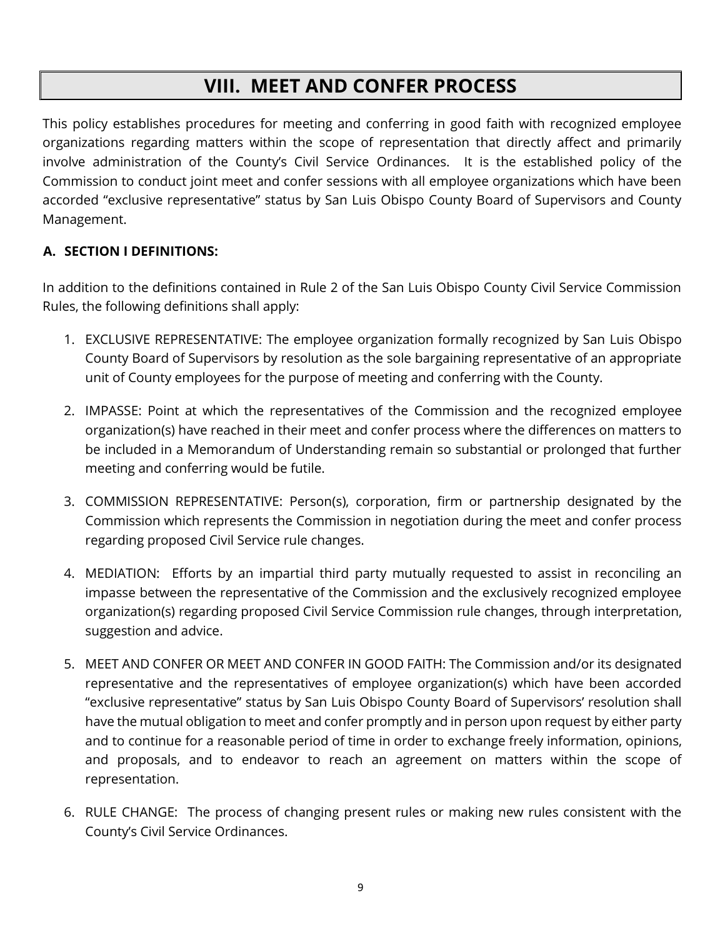## **VIII. MEET AND CONFER PROCESS**

<span id="page-88-0"></span>This policy establishes procedures for meeting and conferring in good faith with recognized employee organizations regarding matters within the scope of representation that directly affect and primarily involve administration of the County's Civil Service Ordinances. It is the established policy of the Commission to conduct joint meet and confer sessions with all employee organizations which have been accorded "exclusive representative" status by San Luis Obispo County Board of Supervisors and County Management.

## <span id="page-88-1"></span>**A. SECTION I DEFINITIONS:**

In addition to the definitions contained in Rule 2 of the San Luis Obispo County Civil Service Commission Rules, the following definitions shall apply:

- 1. EXCLUSIVE REPRESENTATIVE: The employee organization formally recognized by San Luis Obispo County Board of Supervisors by resolution as the sole bargaining representative of an appropriate unit of County employees for the purpose of meeting and conferring with the County.
- 2. IMPASSE: Point at which the representatives of the Commission and the recognized employee organization(s) have reached in their meet and confer process where the differences on matters to be included in a Memorandum of Understanding remain so substantial or prolonged that further meeting and conferring would be futile.
- 3. COMMISSION REPRESENTATIVE: Person(s), corporation, firm or partnership designated by the Commission which represents the Commission in negotiation during the meet and confer process regarding proposed Civil Service rule changes.
- 4. MEDIATION: Efforts by an impartial third party mutually requested to assist in reconciling an impasse between the representative of the Commission and the exclusively recognized employee organization(s) regarding proposed Civil Service Commission rule changes, through interpretation, suggestion and advice.
- 5. MEET AND CONFER OR MEET AND CONFER IN GOOD FAITH: The Commission and/or its designated representative and the representatives of employee organization(s) which have been accorded "exclusive representative" status by San Luis Obispo County Board of Supervisors' resolution shall have the mutual obligation to meet and confer promptly and in person upon request by either party and to continue for a reasonable period of time in order to exchange freely information, opinions, and proposals, and to endeavor to reach an agreement on matters within the scope of representation.
- 6. RULE CHANGE: The process of changing present rules or making new rules consistent with the County's Civil Service Ordinances.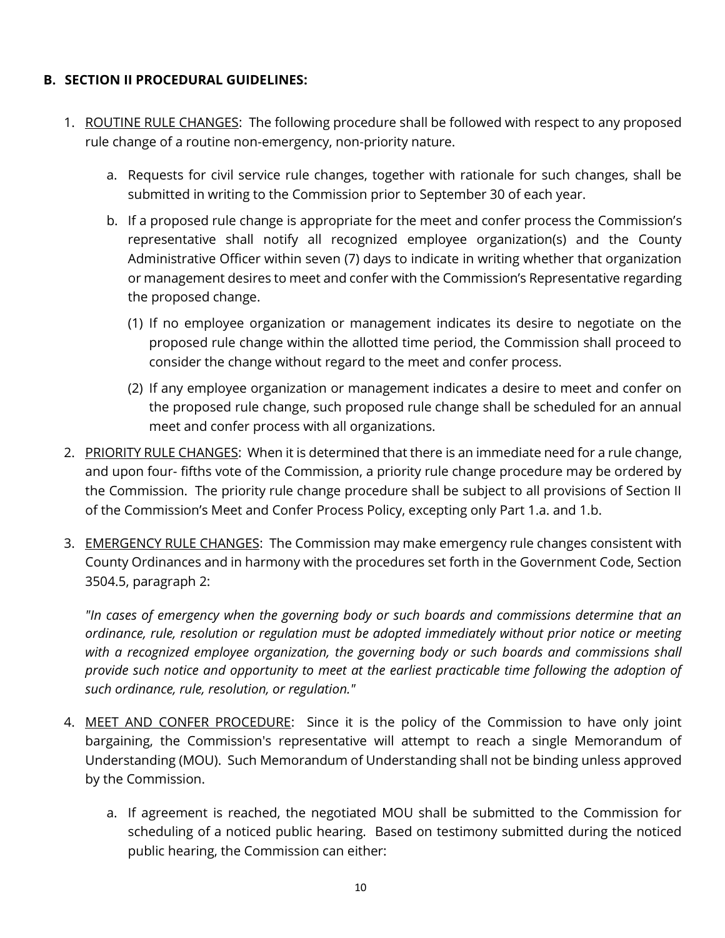#### <span id="page-89-0"></span>**B. SECTION II PROCEDURAL GUIDELINES:**

- 1. ROUTINE RULE CHANGES: The following procedure shall be followed with respect to any proposed rule change of a routine non-emergency, non-priority nature.
	- a. Requests for civil service rule changes, together with rationale for such changes, shall be submitted in writing to the Commission prior to September 30 of each year.
	- b. If a proposed rule change is appropriate for the meet and confer process the Commission's representative shall notify all recognized employee organization(s) and the County Administrative Officer within seven (7) days to indicate in writing whether that organization or management desires to meet and confer with the Commission's Representative regarding the proposed change.
		- (1) If no employee organization or management indicates its desire to negotiate on the proposed rule change within the allotted time period, the Commission shall proceed to consider the change without regard to the meet and confer process.
		- (2) If any employee organization or management indicates a desire to meet and confer on the proposed rule change, such proposed rule change shall be scheduled for an annual meet and confer process with all organizations.
- 2. PRIORITY RULE CHANGES: When it is determined that there is an immediate need for a rule change, and upon four- fifths vote of the Commission, a priority rule change procedure may be ordered by the Commission. The priority rule change procedure shall be subject to all provisions of Section II of the Commission's Meet and Confer Process Policy, excepting only Part 1.a. and 1.b.
- 3. EMERGENCY RULE CHANGES: The Commission may make emergency rule changes consistent with County Ordinances and in harmony with the procedures set forth in the Government Code, Section 3504.5, paragraph 2:

*"In cases of emergency when the governing body or such boards and commissions determine that an ordinance, rule, resolution or regulation must be adopted immediately without prior notice or meeting with a recognized employee organization, the governing body or such boards and commissions shall provide such notice and opportunity to meet at the earliest practicable time following the adoption of such ordinance, rule, resolution, or regulation."* 

- 4. MEET AND CONFER PROCEDURE: Since it is the policy of the Commission to have only joint bargaining, the Commission's representative will attempt to reach a single Memorandum of Understanding (MOU). Such Memorandum of Understanding shall not be binding unless approved by the Commission.
	- a. If agreement is reached, the negotiated MOU shall be submitted to the Commission for scheduling of a noticed public hearing. Based on testimony submitted during the noticed public hearing, the Commission can either: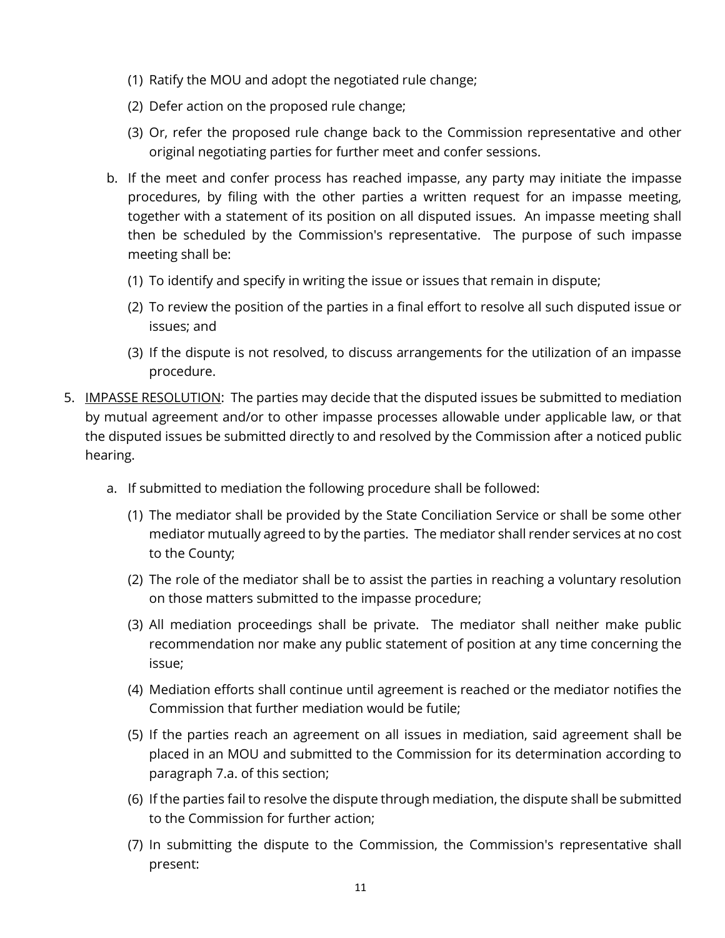- (1) Ratify the MOU and adopt the negotiated rule change;
- (2) Defer action on the proposed rule change;
- (3) Or, refer the proposed rule change back to the Commission representative and other original negotiating parties for further meet and confer sessions.
- b. If the meet and confer process has reached impasse, any party may initiate the impasse procedures, by filing with the other parties a written request for an impasse meeting, together with a statement of its position on all disputed issues. An impasse meeting shall then be scheduled by the Commission's representative. The purpose of such impasse meeting shall be:
	- (1) To identify and specify in writing the issue or issues that remain in dispute;
	- (2) To review the position of the parties in a final effort to resolve all such disputed issue or issues; and
	- (3) If the dispute is not resolved, to discuss arrangements for the utilization of an impasse procedure.
- 5. IMPASSE RESOLUTION: The parties may decide that the disputed issues be submitted to mediation by mutual agreement and/or to other impasse processes allowable under applicable law, or that the disputed issues be submitted directly to and resolved by the Commission after a noticed public hearing.
	- a. If submitted to mediation the following procedure shall be followed:
		- (1) The mediator shall be provided by the State Conciliation Service or shall be some other mediator mutually agreed to by the parties. The mediator shall render services at no cost to the County;
		- (2) The role of the mediator shall be to assist the parties in reaching a voluntary resolution on those matters submitted to the impasse procedure;
		- (3) All mediation proceedings shall be private. The mediator shall neither make public recommendation nor make any public statement of position at any time concerning the issue;
		- (4) Mediation efforts shall continue until agreement is reached or the mediator notifies the Commission that further mediation would be futile;
		- (5) If the parties reach an agreement on all issues in mediation, said agreement shall be placed in an MOU and submitted to the Commission for its determination according to paragraph 7.a. of this section;
		- (6) If the parties fail to resolve the dispute through mediation, the dispute shall be submitted to the Commission for further action;
		- (7) In submitting the dispute to the Commission, the Commission's representative shall present: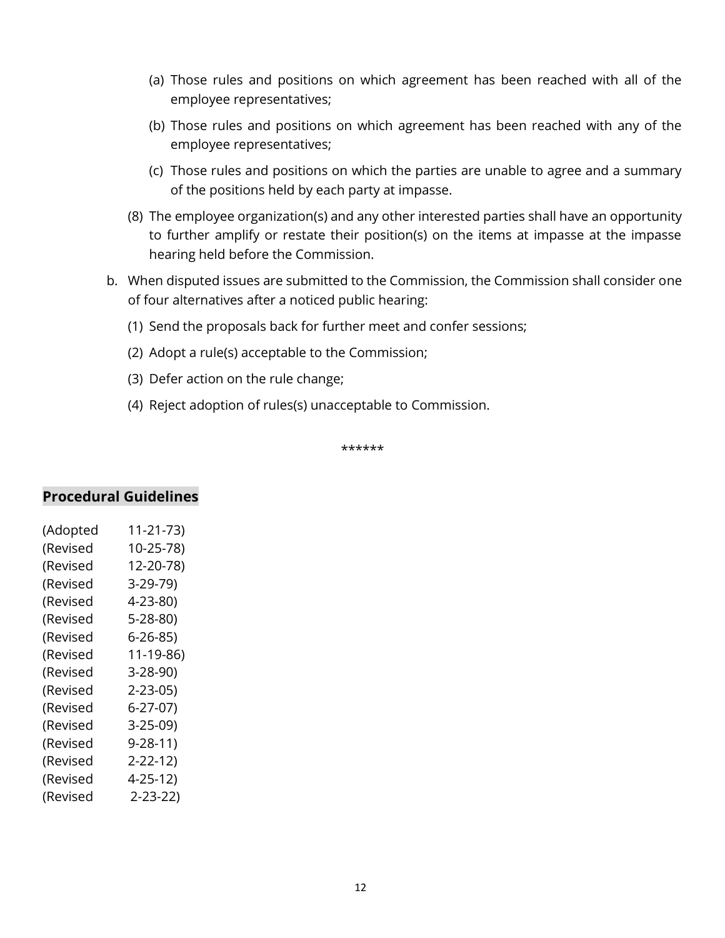- (a) Those rules and positions on which agreement has been reached with all of the employee representatives;
- (b) Those rules and positions on which agreement has been reached with any of the employee representatives;
- (c) Those rules and positions on which the parties are unable to agree and a summary of the positions held by each party at impasse.
- (8) The employee organization(s) and any other interested parties shall have an opportunity to further amplify or restate their position(s) on the items at impasse at the impasse hearing held before the Commission.
- b. When disputed issues are submitted to the Commission, the Commission shall consider one of four alternatives after a noticed public hearing:
	- (1) Send the proposals back for further meet and confer sessions;
	- (2) Adopt a rule(s) acceptable to the Commission;
	- (3) Defer action on the rule change;
	- (4) Reject adoption of rules(s) unacceptable to Commission.

\*\*\*\*\*\*

#### **Procedural Guidelines**

| (Adopted | 11-21-73)     |
|----------|---------------|
| (Revised | $10-25-78$    |
| (Revised | 12-20-78)     |
| (Revised | 3-29-79)      |
| (Revised | 4-23-80)      |
| (Revised | 5-28-80)      |
| (Revised | 6-26-85)      |
| (Revised | 11-19-86)     |
| (Revised | 3-28-90)      |
| (Revised | $2 - 23 - 05$ |
| (Revised | 6-27-07)      |
| (Revised | 3-25-09)      |
| (Revised | $9 - 28 - 11$ |
| (Revised | 2-22-12)      |
| (Revised | $4 - 25 - 12$ |
| (Revised | $2 - 23 - 22$ |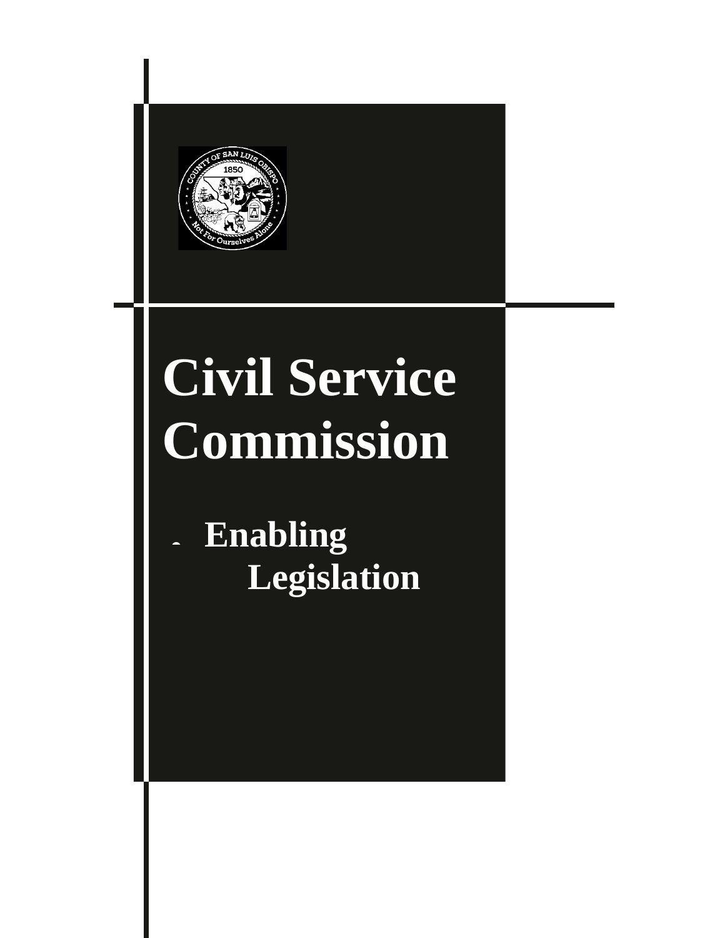

# **Civil Service Commission**

• **Enabling Legislation**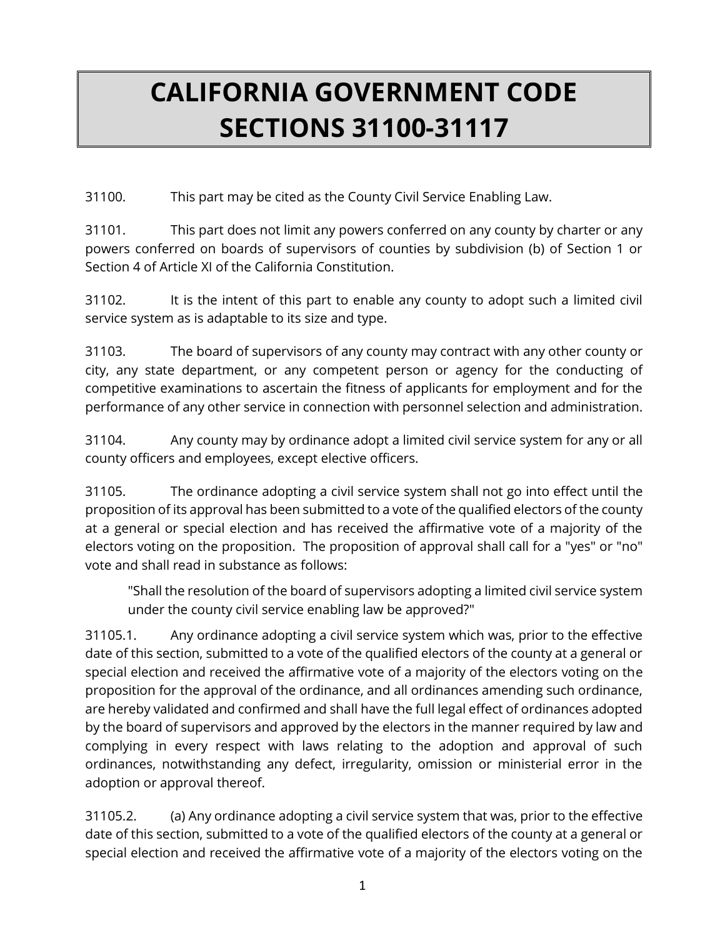## **CALIFORNIA GOVERNMENT CODE SECTIONS 31100-31117**

31100. This part may be cited as the County Civil Service Enabling Law.

31101. This part does not limit any powers conferred on any county by charter or any powers conferred on boards of supervisors of counties by subdivision (b) of Section 1 or Section 4 of Article XI of the California Constitution.

31102. It is the intent of this part to enable any county to adopt such a limited civil service system as is adaptable to its size and type.

31103. The board of supervisors of any county may contract with any other county or city, any state department, or any competent person or agency for the conducting of competitive examinations to ascertain the fitness of applicants for employment and for the performance of any other service in connection with personnel selection and administration.

31104. Any county may by ordinance adopt a limited civil service system for any or all county officers and employees, except elective officers.

31105. The ordinance adopting a civil service system shall not go into effect until the proposition of its approval has been submitted to a vote of the qualified electors of the county at a general or special election and has received the affirmative vote of a majority of the electors voting on the proposition. The proposition of approval shall call for a "yes" or "no" vote and shall read in substance as follows:

"Shall the resolution of the board of supervisors adopting a limited civil service system under the county civil service enabling law be approved?"

31105.1. Any ordinance adopting a civil service system which was, prior to the effective date of this section, submitted to a vote of the qualified electors of the county at a general or special election and received the affirmative vote of a majority of the electors voting on the proposition for the approval of the ordinance, and all ordinances amending such ordinance, are hereby validated and confirmed and shall have the full legal effect of ordinances adopted by the board of supervisors and approved by the electors in the manner required by law and complying in every respect with laws relating to the adoption and approval of such ordinances, notwithstanding any defect, irregularity, omission or ministerial error in the adoption or approval thereof.

31105.2. (a) Any ordinance adopting a civil service system that was, prior to the effective date of this section, submitted to a vote of the qualified electors of the county at a general or special election and received the affirmative vote of a majority of the electors voting on the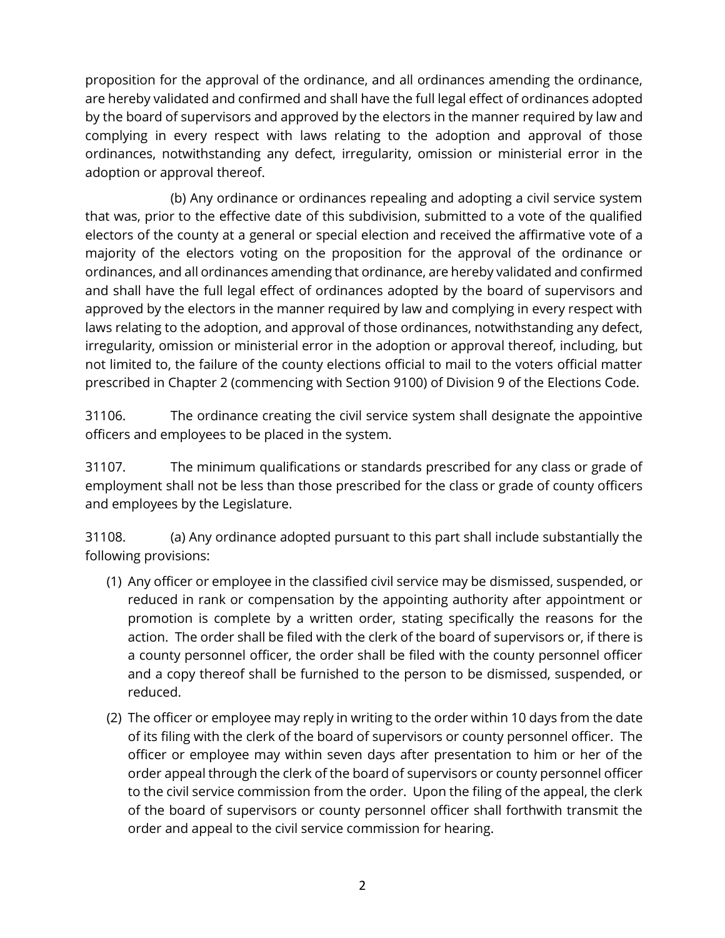proposition for the approval of the ordinance, and all ordinances amending the ordinance, are hereby validated and confirmed and shall have the full legal effect of ordinances adopted by the board of supervisors and approved by the electors in the manner required by law and complying in every respect with laws relating to the adoption and approval of those ordinances, notwithstanding any defect, irregularity, omission or ministerial error in the adoption or approval thereof.

(b) Any ordinance or ordinances repealing and adopting a civil service system that was, prior to the effective date of this subdivision, submitted to a vote of the qualified electors of the county at a general or special election and received the affirmative vote of a majority of the electors voting on the proposition for the approval of the ordinance or ordinances, and all ordinances amending that ordinance, are hereby validated and confirmed and shall have the full legal effect of ordinances adopted by the board of supervisors and approved by the electors in the manner required by law and complying in every respect with laws relating to the adoption, and approval of those ordinances, notwithstanding any defect, irregularity, omission or ministerial error in the adoption or approval thereof, including, but not limited to, the failure of the county elections official to mail to the voters official matter prescribed in Chapter 2 (commencing with Section 9100) of Division 9 of the Elections Code.

31106. The ordinance creating the civil service system shall designate the appointive officers and employees to be placed in the system.

31107. The minimum qualifications or standards prescribed for any class or grade of employment shall not be less than those prescribed for the class or grade of county officers and employees by the Legislature.

31108. (a) Any ordinance adopted pursuant to this part shall include substantially the following provisions:

- (1) Any officer or employee in the classified civil service may be dismissed, suspended, or reduced in rank or compensation by the appointing authority after appointment or promotion is complete by a written order, stating specifically the reasons for the action. The order shall be filed with the clerk of the board of supervisors or, if there is a county personnel officer, the order shall be filed with the county personnel officer and a copy thereof shall be furnished to the person to be dismissed, suspended, or reduced.
- (2) The officer or employee may reply in writing to the order within 10 days from the date of its filing with the clerk of the board of supervisors or county personnel officer. The officer or employee may within seven days after presentation to him or her of the order appeal through the clerk of the board of supervisors or county personnel officer to the civil service commission from the order. Upon the filing of the appeal, the clerk of the board of supervisors or county personnel officer shall forthwith transmit the order and appeal to the civil service commission for hearing.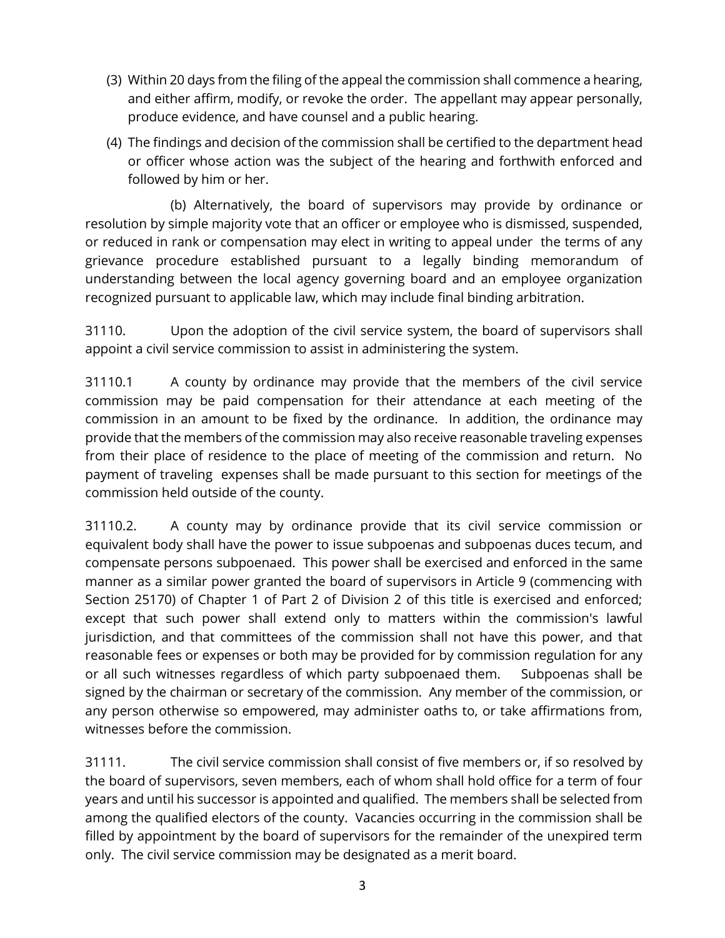- (3) Within 20 days from the filing of the appeal the commission shall commence a hearing, and either affirm, modify, or revoke the order. The appellant may appear personally, produce evidence, and have counsel and a public hearing.
- (4) The findings and decision of the commission shall be certified to the department head or officer whose action was the subject of the hearing and forthwith enforced and followed by him or her.

 (b) Alternatively, the board of supervisors may provide by ordinance or resolution by simple majority vote that an officer or employee who is dismissed, suspended, or reduced in rank or compensation may elect in writing to appeal under the terms of any grievance procedure established pursuant to a legally binding memorandum of understanding between the local agency governing board and an employee organization recognized pursuant to applicable law, which may include final binding arbitration.

31110. Upon the adoption of the civil service system, the board of supervisors shall appoint a civil service commission to assist in administering the system.

31110.1 A county by ordinance may provide that the members of the civil service commission may be paid compensation for their attendance at each meeting of the commission in an amount to be fixed by the ordinance. In addition, the ordinance may provide that the members of the commission may also receive reasonable traveling expenses from their place of residence to the place of meeting of the commission and return. No payment of traveling expenses shall be made pursuant to this section for meetings of the commission held outside of the county.

31110.2. A county may by ordinance provide that its civil service commission or equivalent body shall have the power to issue subpoenas and subpoenas duces tecum, and compensate persons subpoenaed. This power shall be exercised and enforced in the same manner as a similar power granted the board of supervisors in Article 9 (commencing with Section 25170) of Chapter 1 of Part 2 of Division 2 of this title is exercised and enforced; except that such power shall extend only to matters within the commission's lawful jurisdiction, and that committees of the commission shall not have this power, and that reasonable fees or expenses or both may be provided for by commission regulation for any or all such witnesses regardless of which party subpoenaed them. Subpoenas shall be signed by the chairman or secretary of the commission. Any member of the commission, or any person otherwise so empowered, may administer oaths to, or take affirmations from, witnesses before the commission.

31111. The civil service commission shall consist of five members or, if so resolved by the board of supervisors, seven members, each of whom shall hold office for a term of four years and until his successor is appointed and qualified. The members shall be selected from among the qualified electors of the county. Vacancies occurring in the commission shall be filled by appointment by the board of supervisors for the remainder of the unexpired term only. The civil service commission may be designated as a merit board.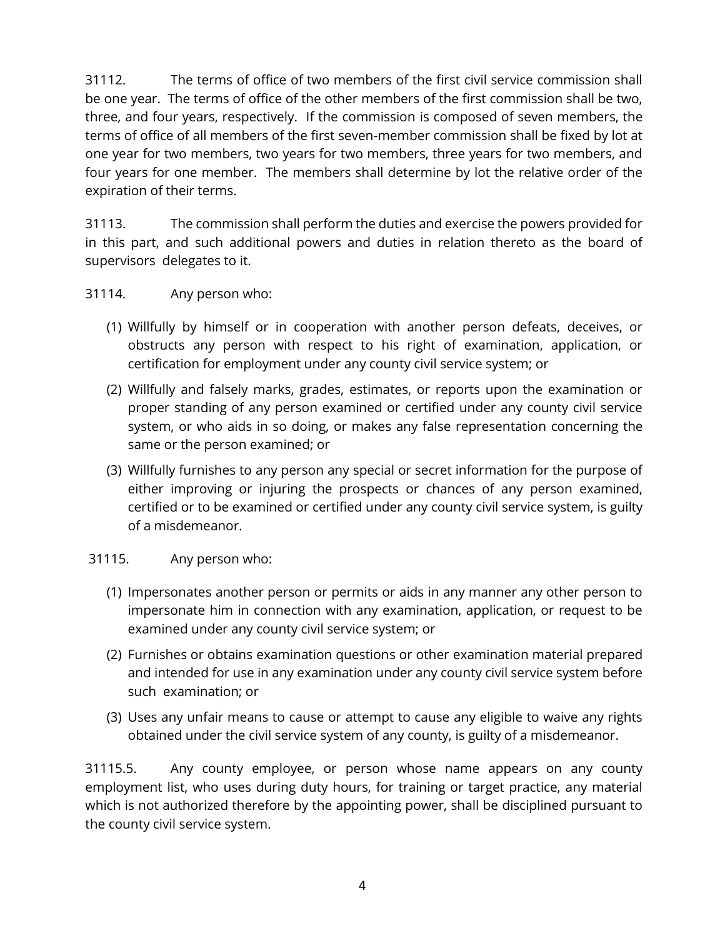31112. The terms of office of two members of the first civil service commission shall be one year. The terms of office of the other members of the first commission shall be two, three, and four years, respectively. If the commission is composed of seven members, the terms of office of all members of the first seven-member commission shall be fixed by lot at one year for two members, two years for two members, three years for two members, and four years for one member. The members shall determine by lot the relative order of the expiration of their terms.

31113. The commission shall perform the duties and exercise the powers provided for in this part, and such additional powers and duties in relation thereto as the board of supervisors delegates to it.

#### 31114. Any person who:

- (1) Willfully by himself or in cooperation with another person defeats, deceives, or obstructs any person with respect to his right of examination, application, or certification for employment under any county civil service system; or
- (2) Willfully and falsely marks, grades, estimates, or reports upon the examination or proper standing of any person examined or certified under any county civil service system, or who aids in so doing, or makes any false representation concerning the same or the person examined; or
- (3) Willfully furnishes to any person any special or secret information for the purpose of either improving or injuring the prospects or chances of any person examined, certified or to be examined or certified under any county civil service system, is guilty of a misdemeanor.

#### 31115. Any person who:

- (1) Impersonates another person or permits or aids in any manner any other person to impersonate him in connection with any examination, application, or request to be examined under any county civil service system; or
- (2) Furnishes or obtains examination questions or other examination material prepared and intended for use in any examination under any county civil service system before such examination; or
- (3) Uses any unfair means to cause or attempt to cause any eligible to waive any rights obtained under the civil service system of any county, is guilty of a misdemeanor.

31115.5. Any county employee, or person whose name appears on any county employment list, who uses during duty hours, for training or target practice, any material which is not authorized therefore by the appointing power, shall be disciplined pursuant to the county civil service system.